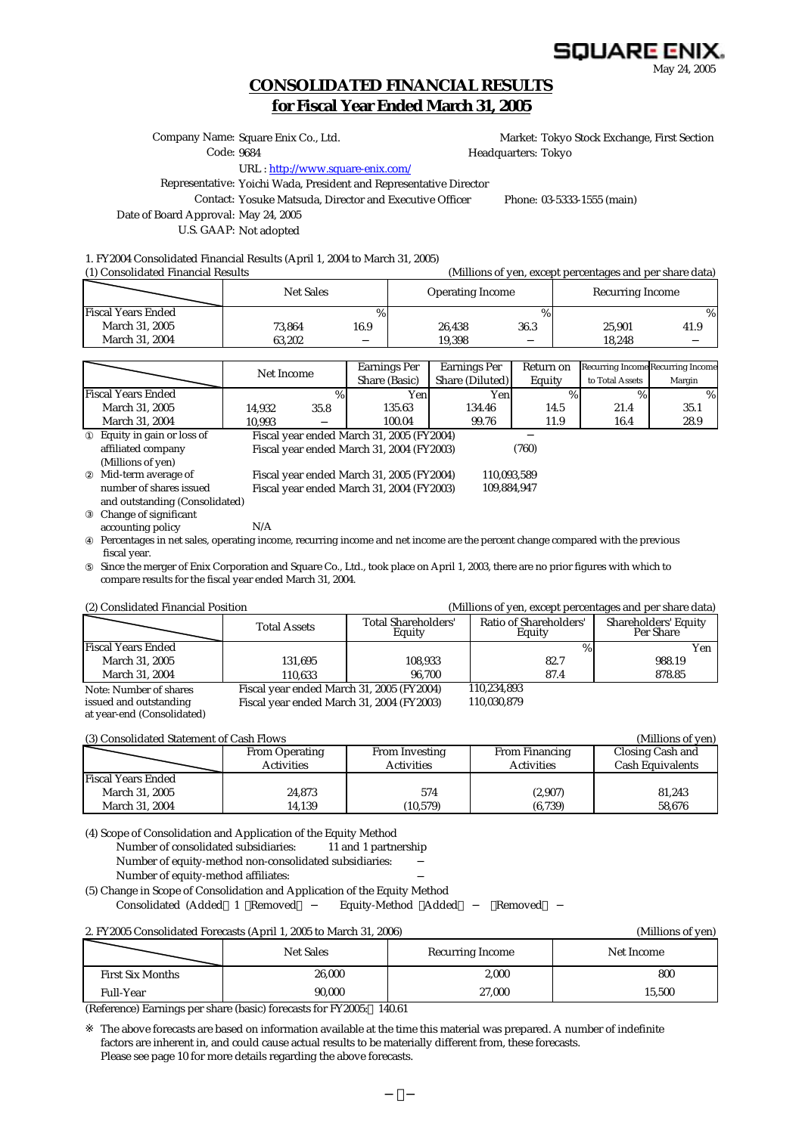# SQUARE ENIX.

May 24, 2005

# **CONSOLIDATED FINANCIAL RESULTS for Fiscal Year Ended March 31, 2005**

Company Name: Square Enix Co., Ltd. Code: 9684

Market: Tokyo Stock Exchange, First Section Headquarters: Tokyo

URL : http://www.square-enix.com/

Representative: Yoichi Wada, President and Representative Director

Contact: Yosuke Matsuda, Director and Executive Officer Phone: 03-5333-1555 (main)

Date of Board Approval: May 24, 2005

U.S. GAAP: Not adopted

# 1. FY2004 Consolidated Financial Results (April 1, 2004 to March 31, 2005)

| (1) Consolidated Financial Results |           |      |                         |      | (Millions of yen, except percentages and per share data) |      |
|------------------------------------|-----------|------|-------------------------|------|----------------------------------------------------------|------|
|                                    | Net Sales |      | <b>Operating Income</b> |      | Recurring Income                                         |      |
| <b>Fiscal Years Ended</b>          |           |      |                         | $\%$ |                                                          | $\%$ |
| March 31, 2005                     | 73,864    | 16.9 | 26.438                  | 36.3 | 25.901                                                   | 41.9 |
| March 31, 2004                     | 63.202    |      | 19.398                  |      | 18.248                                                   |      |

|                                | Net Income |      | <b>Earnings Per</b>                       | <b>Earnings Per</b> | Return on |                 | <b>Recurring Income Recurring Income</b> |
|--------------------------------|------------|------|-------------------------------------------|---------------------|-----------|-----------------|------------------------------------------|
|                                |            |      | Share (Basic)                             | Share (Diluted)     | Equity    | to Total Assets | Margin                                   |
| <b>Fiscal Years Ended</b>      |            | %    | Yen                                       | Yen                 | $\%$      | $\%$            | $\%$                                     |
| March 31, 2005                 | 14.932     | 35.8 | 135.63                                    | 134.46              | 14.5      | 21.4            | 35.1                                     |
| March 31, 2004                 | 10.993     |      | 100.04                                    | 99.76               | 11.9      | 16.4            | 28.9                                     |
| Equity in gain or loss of      |            |      | Fiscal year ended March 31, 2005 (FY2004) |                     |           |                 |                                          |
| affiliated company             |            |      | Fiscal year ended March 31, 2004 (FY2003) |                     | (760)     |                 |                                          |
| (Millions of yen)              |            |      |                                           |                     |           |                 |                                          |
| Mid-term average of            |            |      | Fiscal year ended March 31, 2005 (FY2004) | 110,093,589         |           |                 |                                          |
| number of shares issued        |            |      | Fiscal year ended March 31, 2004 (FY2003) | 109,884,947         |           |                 |                                          |
| and outstanding (Consolidated) |            |      |                                           |                     |           |                 |                                          |
| Change of significant          |            |      |                                           |                     |           |                 |                                          |
| accounting policy              | N/A        |      |                                           |                     |           |                 |                                          |
|                                |            |      |                                           |                     |           |                 |                                          |

Percentages in net sales, operating income, recurring income and net income are the percent change compared with the previous fiscal year.

Since the merger of Enix Corporation and Square Co., Ltd., took place on April 1, 2003, there are no prior figures with which to compare results for the fiscal year ended March 31, 2004.

| (2) Conslidated Financial Position |                                           |                                      | (Millions of yen, except percentages and per share data) |                                          |
|------------------------------------|-------------------------------------------|--------------------------------------|----------------------------------------------------------|------------------------------------------|
|                                    | <b>Total Assets</b>                       | <b>Total Shareholders'</b><br>Equity | Ratio of Shareholders'<br>Equity                         | <b>Shareholders' Equity</b><br>Per Share |
| Fiscal Years Ended                 |                                           |                                      |                                                          | Yen                                      |
| March 31, 2005                     | 131.695                                   | 108,933                              | 82.7                                                     | 988.19                                   |
| <b>March 31, 2004</b>              | 110.633                                   | 96.700                               | 87.4                                                     | 878.85                                   |
| Note: Number of shares             | Fiscal year ended March 31, 2005 (FY2004) |                                      | 110,234,893                                              |                                          |
| issued and outstanding             | Fiscal year ended March 31, 2004 (FY2003) |                                      | 110,030,879                                              |                                          |
| ot wear and (Cancalidated)         |                                           |                                      |                                                          |                                          |

at year-end (Consolidated)

| (3) Consolidated Statement of Cash Flows |                       |                       |                       | (Millions of yen)       |
|------------------------------------------|-----------------------|-----------------------|-----------------------|-------------------------|
|                                          | <b>From Operating</b> | <b>From Investing</b> | <b>From Financing</b> | Closing Cash and        |
|                                          | <b>Activities</b>     | <b>Activities</b>     | <b>Activities</b>     | <b>Cash Equivalents</b> |
| <b>Fiscal Years Ended</b>                |                       |                       |                       |                         |
| March 31, 2005                           | 24,873                | 574                   | (2,907)               | 81,243                  |
| March 31, 2004                           | 14.139                | (10, 579)             | (6,739)               | 58.676                  |

(4) Scope of Consolidation and Application of the Equity Method Number of consolidated subsidiaries: Number of equity-method non-consolidated subsidiaries: Number of equity-method affiliates:

(5) Change in Scope of Consolidation and Application of the Equity Method Consolidated (Added 1 Removed Equity-Method Added Removed

#### 2. FY2005 Consolidated Forecasts (April 1, 2005 to March 31, 2006) (Millions of yen)

|                         | Net Sales | Recurring Income | Net Income |
|-------------------------|-----------|------------------|------------|
| <b>First Six Months</b> | 26,000    | 2,000            | 800        |
| <b>Full-Year</b>        | 90.000    | 27,000           | 15,500     |

(Reference) Earnings per share (basic) forecasts for FY2005: 140.61

factors are inherent in, and could cause actual results to be materially different from, these forecasts. The above forecasts are based on information available at the time this material was prepared. A number of indefinite Please see page 10 for more details regarding the above forecasts.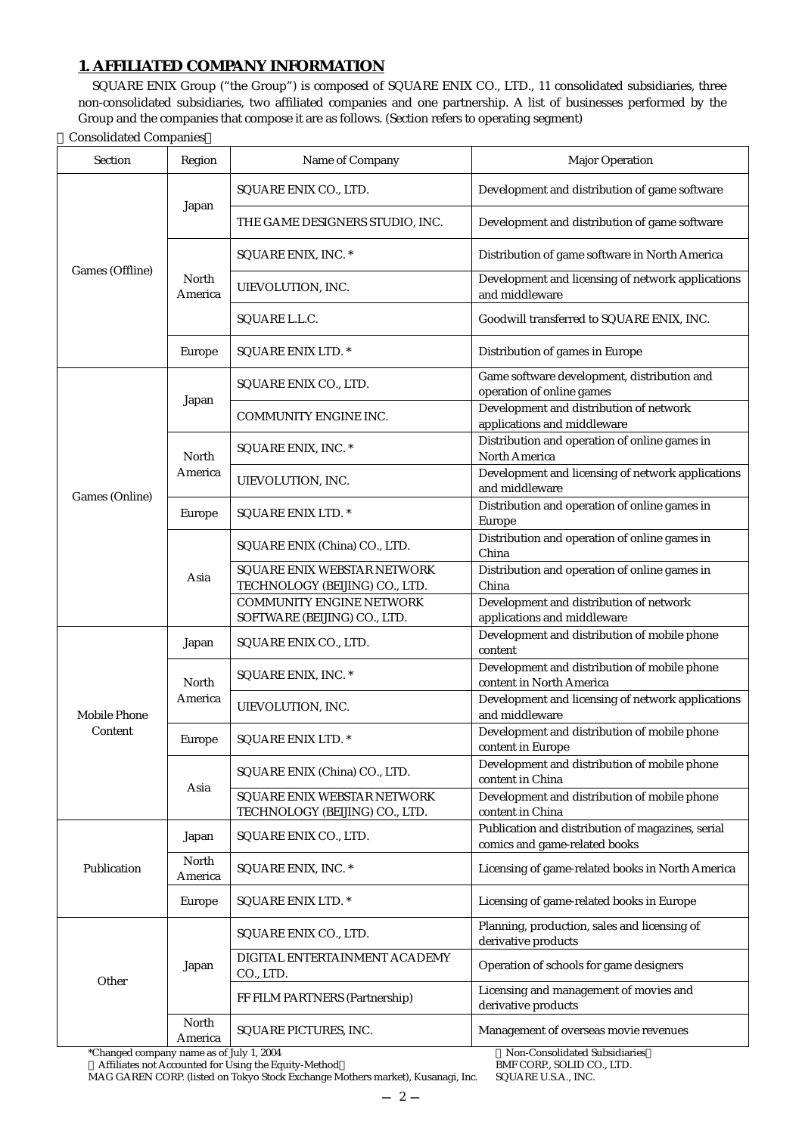# **1. AFFILIATED COMPANY INFORMATION**

SQUARE ENIX Group ("the Group") is composed of SQUARE ENIX CO., LTD., 11 consolidated subsidiaries, three non-consolidated subsidiaries, two affiliated companies and one partnership. A list of businesses performed by the Group and the companies that compose it are as follows. (Section refers to operating segment)

#### Consolidated Companies

| Section             | Region                       | Name of Company                                               | <b>Major Operation</b>                                                             |
|---------------------|------------------------------|---------------------------------------------------------------|------------------------------------------------------------------------------------|
|                     | SQUARE ENIX CO., LTD.        |                                                               | Development and distribution of game software                                      |
|                     | Japan                        | THE GAME DESIGNERS STUDIO, INC.                               | Development and distribution of game software                                      |
|                     |                              | SQUARE ENIX, INC. *                                           | Distribution of game software in North America                                     |
| Games (Offline)     | North<br>America             | UIEVOLUTION, INC.                                             | Development and licensing of network applications<br>and middleware                |
|                     |                              | SQUARE L.L.C.                                                 | Goodwill transferred to SQUARE ENIX, INC.                                          |
|                     | Europe                       | <b>SQUARE ENIX LTD. *</b>                                     | Distribution of games in Europe                                                    |
|                     |                              | SQUARE ENIX CO., LTD.                                         | Game software development, distribution and<br>operation of online games           |
|                     | Japan                        | COMMUNITY ENGINE INC.                                         | Development and distribution of network<br>applications and middleware             |
|                     | North                        | SQUARE ENIX, INC. *                                           | Distribution and operation of online games in<br>North America                     |
|                     | America                      | UIEVOLUTION, INC.                                             | Development and licensing of network applications<br>and middleware                |
| Games (Online)      | Europe                       | <b>SQUARE ENIX LTD. *</b>                                     | Distribution and operation of online games in<br>Europe                            |
|                     | Asia                         | SQUARE ENIX (China) CO., LTD.                                 | Distribution and operation of online games in<br>China                             |
|                     |                              | SQUARE ENIX WEBSTAR NETWORK<br>TECHNOLOGY (BEIJING) CO., LTD. | Distribution and operation of online games in<br>China                             |
|                     |                              | COMMUNITY ENGINE NETWORK<br>SOFTWARE (BEIJING) CO., LTD.      | Development and distribution of network<br>applications and middleware             |
|                     | Japan                        | SQUARE ENIX CO., LTD.                                         | Development and distribution of mobile phone<br>content                            |
|                     | SQUARE ENIX, INC. *<br>North |                                                               | Development and distribution of mobile phone<br>content in North America           |
| <b>Mobile Phone</b> | America                      | UIEVOLUTION, INC.                                             | Development and licensing of network applications<br>and middleware                |
| Content             | Europe                       | <b>SQUARE ENIX LTD. *</b>                                     | Development and distribution of mobile phone<br>content in Europe                  |
|                     |                              | SQUARE ENIX (China) CO., LTD.                                 | Development and distribution of mobile phone<br>content in China                   |
|                     | Asia                         | SQUARE ENIX WEBSTAR NETWORK<br>TECHNOLOGY (BEIJING) CO., LTD. | Development and distribution of mobile phone<br>content in China                   |
|                     | Japan                        | SQUARE ENIX CO., LTD.                                         | Publication and distribution of magazines, serial<br>comics and game-related books |
| Publication         | North<br>America             | SQUARE ENIX, INC. *                                           | Licensing of game-related books in North America                                   |
|                     | Europe                       | <b>SQUARE ENIX LTD. *</b>                                     | Licensing of game-related books in Europe                                          |
|                     |                              | SQUARE ENIX CO., LTD.                                         | Planning, production, sales and licensing of<br>derivative products                |
| Other               | Japan                        | DIGITAL ENTERTAINMENT ACADEMY<br>CO., LTD.                    | Operation of schools for game designers                                            |
|                     |                              | FF FILM PARTNERS (Partnership)                                | Licensing and management of movies and<br>derivative products                      |
|                     | North<br>America             | SQUARE PICTURES, INC.                                         | Management of overseas movie revenues                                              |

Affiliates not Accounted for Using the Equity-Method BMF CORP., SOLID CO. And CORP., SOLID CO., LTD. CO., LTD.<br>LAG GAREN CORP. (listed on Tokyo Stock Exchange Mothers market), Kusanagi, Inc. SQUARE U.S.A., INC. MAG GAREN CORP. (listed on Tokyo Stock Exchange Mothers market), Kusanagi, Inc.

\*Changed company name as of July 1, 2004 Non-Consolidated Subsidiaries<br>Affiliates not Accounted for Using the Equity-Method BMF CORP., SOLID CO., LTD.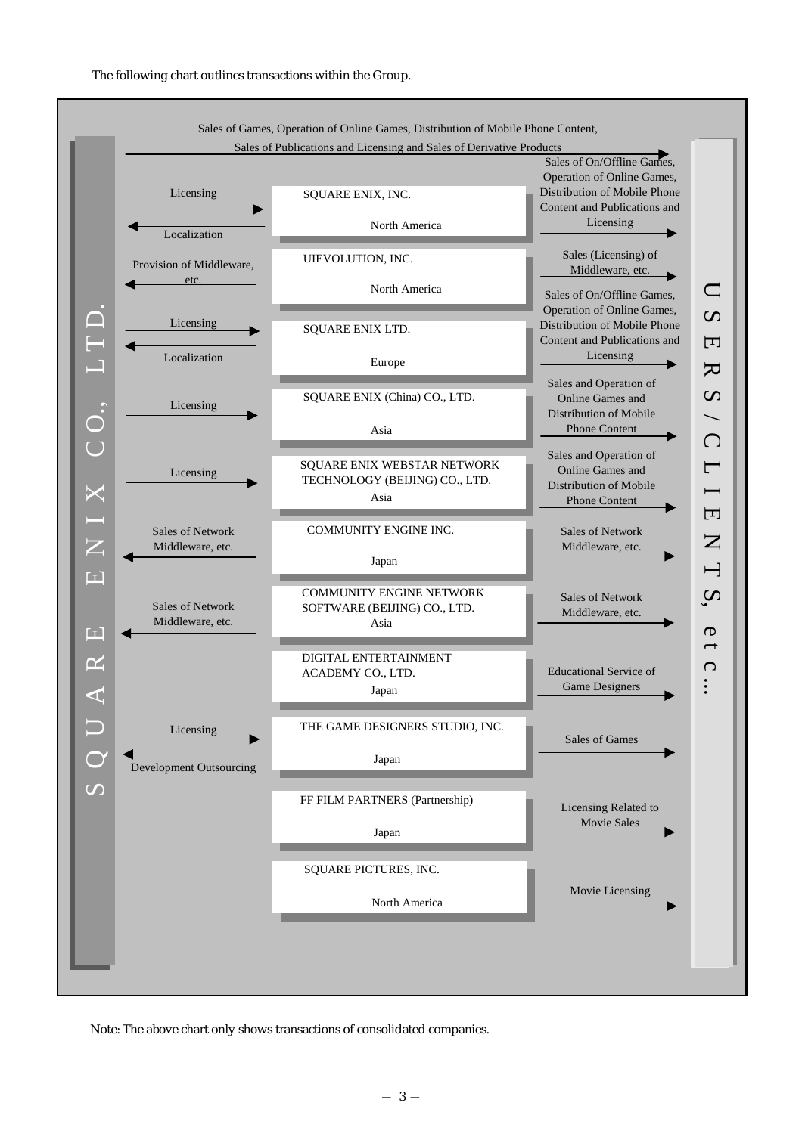The following chart outlines transactions within the Group.



Note: The above chart only shows transactions of consolidated companies.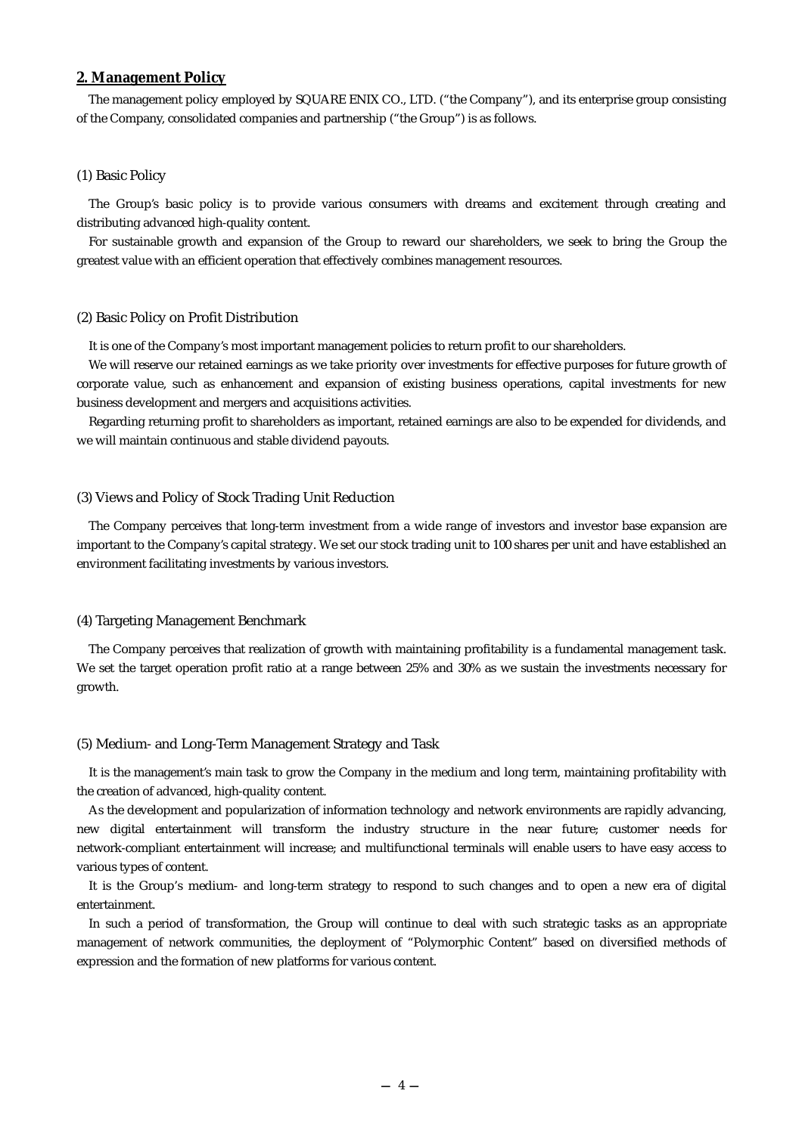#### **2. Management Policy**

The management policy employed by SQUARE ENIX CO., LTD. ("the Company"), and its enterprise group consisting of the Company, consolidated companies and partnership ("the Group") is as follows.

#### (1) Basic Policy

The Group's basic policy is to provide various consumers with dreams and excitement through creating and distributing advanced high-quality content.

For sustainable growth and expansion of the Group to reward our shareholders, we seek to bring the Group the greatest value with an efficient operation that effectively combines management resources.

#### (2) Basic Policy on Profit Distribution

It is one of the Company's most important management policies to return profit to our shareholders.

We will reserve our retained earnings as we take priority over investments for effective purposes for future growth of corporate value, such as enhancement and expansion of existing business operations, capital investments for new business development and mergers and acquisitions activities.

Regarding returning profit to shareholders as important, retained earnings are also to be expended for dividends, and we will maintain continuous and stable dividend payouts.

#### (3) Views and Policy of Stock Trading Unit Reduction

The Company perceives that long-term investment from a wide range of investors and investor base expansion are important to the Company's capital strategy. We set our stock trading unit to 100 shares per unit and have established an environment facilitating investments by various investors.

#### (4) Targeting Management Benchmark

The Company perceives that realization of growth with maintaining profitability is a fundamental management task. We set the target operation profit ratio at a range between 25% and 30% as we sustain the investments necessary for growth.

#### (5) Medium- and Long-Term Management Strategy and Task

It is the management's main task to grow the Company in the medium and long term, maintaining profitability with the creation of advanced, high-quality content.

As the development and popularization of information technology and network environments are rapidly advancing, new digital entertainment will transform the industry structure in the near future; customer needs for network-compliant entertainment will increase; and multifunctional terminals will enable users to have easy access to various types of content.

It is the Group's medium- and long-term strategy to respond to such changes and to open a new era of digital entertainment.

In such a period of transformation, the Group will continue to deal with such strategic tasks as an appropriate management of network communities, the deployment of "Polymorphic Content" based on diversified methods of expression and the formation of new platforms for various content.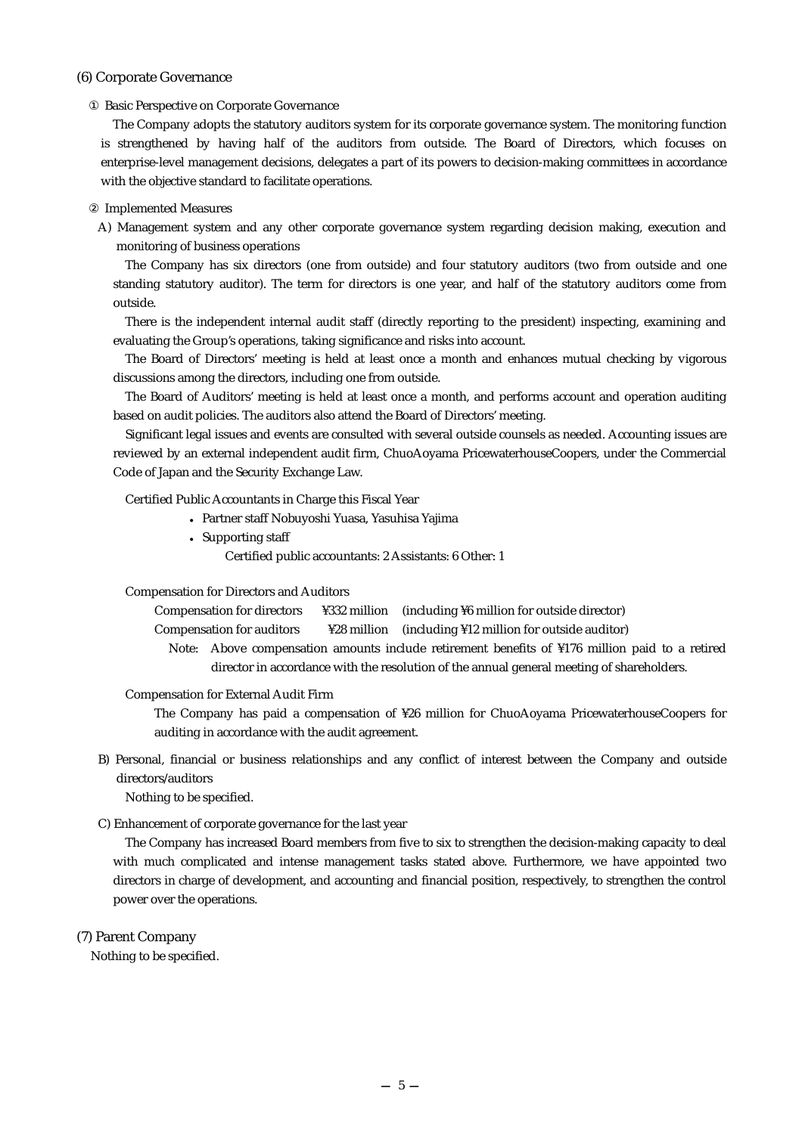#### (6) Corporate Governance

#### Basic Perspective on Corporate Governance

The Company adopts the statutory auditors system for its corporate governance system. The monitoring function is strengthened by having half of the auditors from outside. The Board of Directors, which focuses on enterprise-level management decisions, delegates a part of its powers to decision-making committees in accordance with the objective standard to facilitate operations.

#### Implemented Measures

A) Management system and any other corporate governance system regarding decision making, execution and monitoring of business operations

The Company has six directors (one from outside) and four statutory auditors (two from outside and one standing statutory auditor). The term for directors is one year, and half of the statutory auditors come from outside.

There is the independent internal audit staff (directly reporting to the president) inspecting, examining and evaluating the Group's operations, taking significance and risks into account.

The Board of Directors' meeting is held at least once a month and enhances mutual checking by vigorous discussions among the directors, including one from outside.

The Board of Auditors' meeting is held at least once a month, and performs account and operation auditing based on audit policies. The auditors also attend the Board of Directors' meeting.

Significant legal issues and events are consulted with several outside counsels as needed. Accounting issues are reviewed by an external independent audit firm, ChuoAoyama PricewaterhouseCoopers, under the Commercial Code of Japan and the Security Exchange Law.

Certified Public Accountants in Charge this Fiscal Year

- Partner staff Nobuyoshi Yuasa, Yasuhisa Yajima
- Supporting staff

Certified public accountants: 2 Assistants: 6 Other: 1

#### Compensation for Directors and Auditors

Compensation for directors ¥332 million (including ¥6 million for outside director)

Compensation for auditors ¥28 million (including ¥12 million for outside auditor)

Note: Above compensation amounts include retirement benefits of ¥176 million paid to a retired director in accordance with the resolution of the annual general meeting of shareholders.

#### Compensation for External Audit Firm

The Company has paid a compensation of ¥26 million for ChuoAoyama PricewaterhouseCoopers for auditing in accordance with the audit agreement.

B) Personal, financial or business relationships and any conflict of interest between the Company and outside directors/auditors

Nothing to be specified.

#### C) Enhancement of corporate governance for the last year

The Company has increased Board members from five to six to strengthen the decision-making capacity to deal with much complicated and intense management tasks stated above. Furthermore, we have appointed two directors in charge of development, and accounting and financial position, respectively, to strengthen the control power over the operations.

### (7) Parent Company

Nothing to be specified.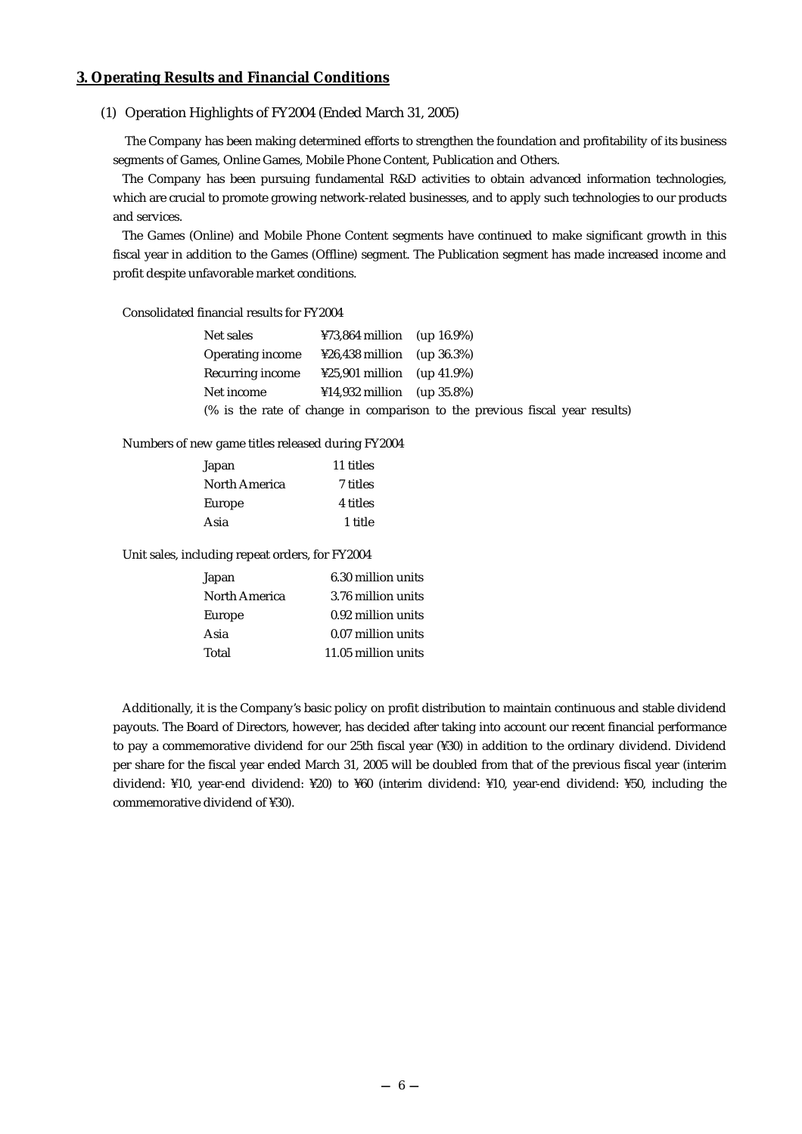### **3. Operating Results and Financial Conditions**

#### (1) Operation Highlights of FY2004 (Ended March 31, 2005)

The Company has been making determined efforts to strengthen the foundation and profitability of its business segments of Games, Online Games, Mobile Phone Content, Publication and Others.

The Company has been pursuing fundamental R&D activities to obtain advanced information technologies, which are crucial to promote growing network-related businesses, and to apply such technologies to our products and services.

The Games (Online) and Mobile Phone Content segments have continued to make significant growth in this fiscal year in addition to the Games (Offline) segment. The Publication segment has made increased income and profit despite unfavorable market conditions.

Consolidated financial results for FY2004

| Net sales               | $\frac{1273,864 \text{ million}}{16.9\%}$    |                                                                             |
|-------------------------|----------------------------------------------|-----------------------------------------------------------------------------|
| <b>Operating income</b> | $\text{\#26,438}$ million (up 36.3%)         |                                                                             |
| Recurring income        | $\text{\#25,901}$ million (up 41.9%)         |                                                                             |
| Net income              | $\text{\#}14.932 \text{ million}$ (up 35.8%) |                                                                             |
|                         |                                              | (% is the rate of change in comparison to the previous fiscal year results) |

Numbers of new game titles released during FY2004

| 11 titles |
|-----------|
| 7 titles  |
| 4 titles  |
| 1 title   |
|           |

Unit sales, including repeat orders, for FY2004

| Japan         | 6.30 million units  |
|---------------|---------------------|
| North America | 3.76 million units  |
| Europe        | 0.92 million units  |
| Asia          | 0.07 million units  |
| Total         | 11.05 million units |

Additionally, it is the Company's basic policy on profit distribution to maintain continuous and stable dividend payouts. The Board of Directors, however, has decided after taking into account our recent financial performance to pay a commemorative dividend for our 25th fiscal year (¥30) in addition to the ordinary dividend. Dividend per share for the fiscal year ended March 31, 2005 will be doubled from that of the previous fiscal year (interim dividend: ¥10, year-end dividend: ¥20) to ¥60 (interim dividend: ¥10, year-end dividend: ¥50, including the commemorative dividend of ¥30).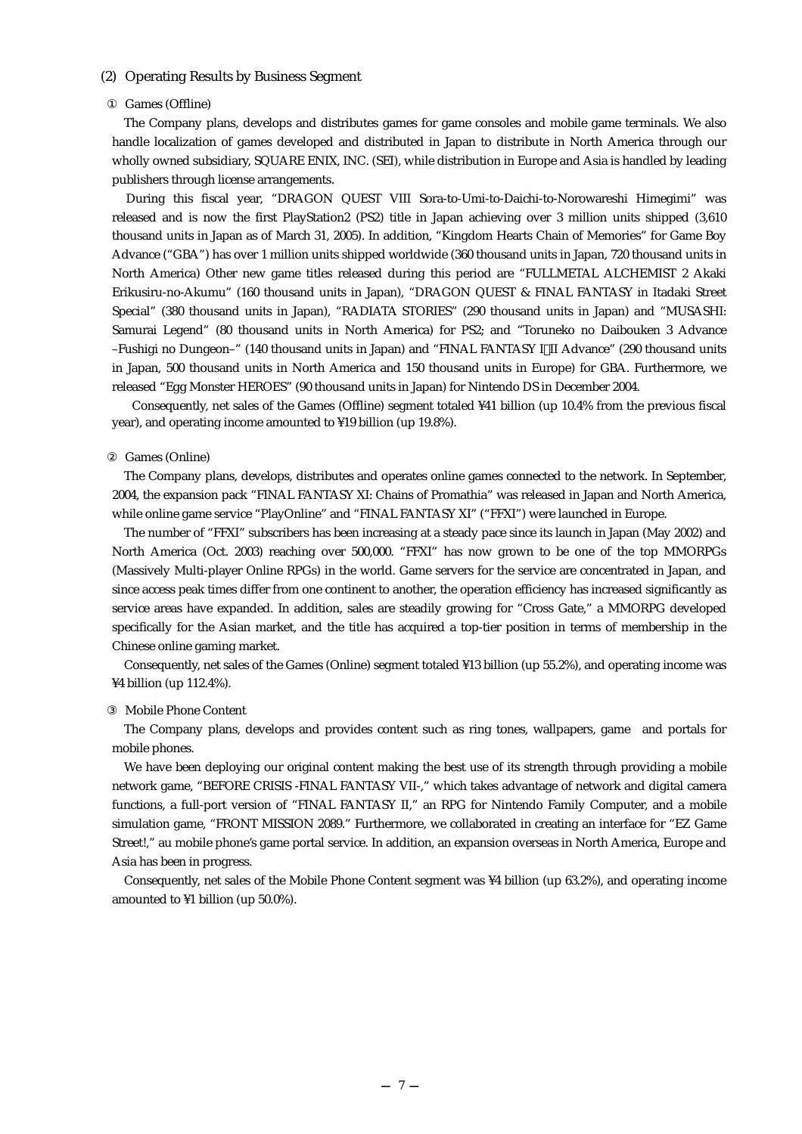#### (2) Operating Results by Business Segment

#### Games (Offline)

The Company plans, develops and distributes games for game consoles and mobile game terminals. We also handle localization of games developed and distributed in Japan to distribute in North America through our wholly owned subsidiary, SQUARE ENIX, INC. (SEI), while distribution in Europe and Asia is handled by leading publishers through license arrangements.

During this fiscal year, "DRAGON QUEST VIII Sora-to-Umi-to-Daichi-to-Norowareshi Himegimi" was released and is now the first PlayStation2 (PS2) title in Japan achieving over 3 million units shipped (3,610 thousand units in Japan as of March 31, 2005). In addition, "Kingdom Hearts Chain of Memories" for Game Boy Advance ("GBA") has over 1 million units shipped worldwide (360 thousand units in Japan, 720 thousand units in North America) Other new game titles released during this period are "FULLMETAL ALCHEMIST 2 Akaki Erikusiru-no-Akumu" (160 thousand units in Japan), "DRAGON QUEST & FINAL FANTASY in Itadaki Street Special" (380 thousand units in Japan), "RADIATA STORIES" (290 thousand units in Japan) and "MUSASHI: Samurai Legend" (80 thousand units in North America) for PS2; and "Toruneko no Daibouken 3 Advance –Fushigi no Dungeon–" (140 thousand units in Japan) and "FINAL FANTASY I II Advance" (290 thousand units in Japan, 500 thousand units in North America and 150 thousand units in Europe) for GBA. Furthermore, we released "Egg Monster HEROES" (90 thousand units in Japan) for Nintendo DS in December 2004.

 Consequently, net sales of the Games (Offline) segment totaled ¥41 billion (up 10.4% from the previous fiscal year), and operating income amounted to ¥19 billion (up 19.8%).

#### Games (Online)

The Company plans, develops, distributes and operates online games connected to the network. In September, 2004, the expansion pack "FINAL FANTASY XI: Chains of Promathia" was released in Japan and North America, while online game service "PlayOnline" and "FINAL FANTASY XI" ("FFXI") were launched in Europe.

The number of "FFXI" subscribers has been increasing at a steady pace since its launch in Japan (May 2002) and North America (Oct. 2003) reaching over 500,000. "FFXI" has now grown to be one of the top MMORPGs (Massively Multi-player Online RPGs) in the world. Game servers for the service are concentrated in Japan, and since access peak times differ from one continent to another, the operation efficiency has increased significantly as service areas have expanded. In addition, sales are steadily growing for "Cross Gate," a MMORPG developed specifically for the Asian market, and the title has acquired a top-tier position in terms of membership in the Chinese online gaming market.

Consequently, net sales of the Games (Online) segment totaled ¥13 billion (up 55.2%), and operating income was ¥4 billion (up 112.4%).

#### Mobile Phone Content

The Company plans, develops and provides content such as ring tones, wallpapers, game and portals for mobile phones.

We have been deploying our original content making the best use of its strength through providing a mobile network game, "BEFORE CRISIS -FINAL FANTASY VII-," which takes advantage of network and digital camera functions, a full-port version of "FINAL FANTASY II," an RPG for Nintendo Family Computer, and a mobile simulation game, "FRONT MISSION 2089." Furthermore, we collaborated in creating an interface for "EZ Game Street!," au mobile phone's game portal service. In addition, an expansion overseas in North America, Europe and Asia has been in progress.

Consequently, net sales of the Mobile Phone Content segment was ¥4 billion (up 63.2%), and operating income amounted to ¥1 billion (up 50.0%).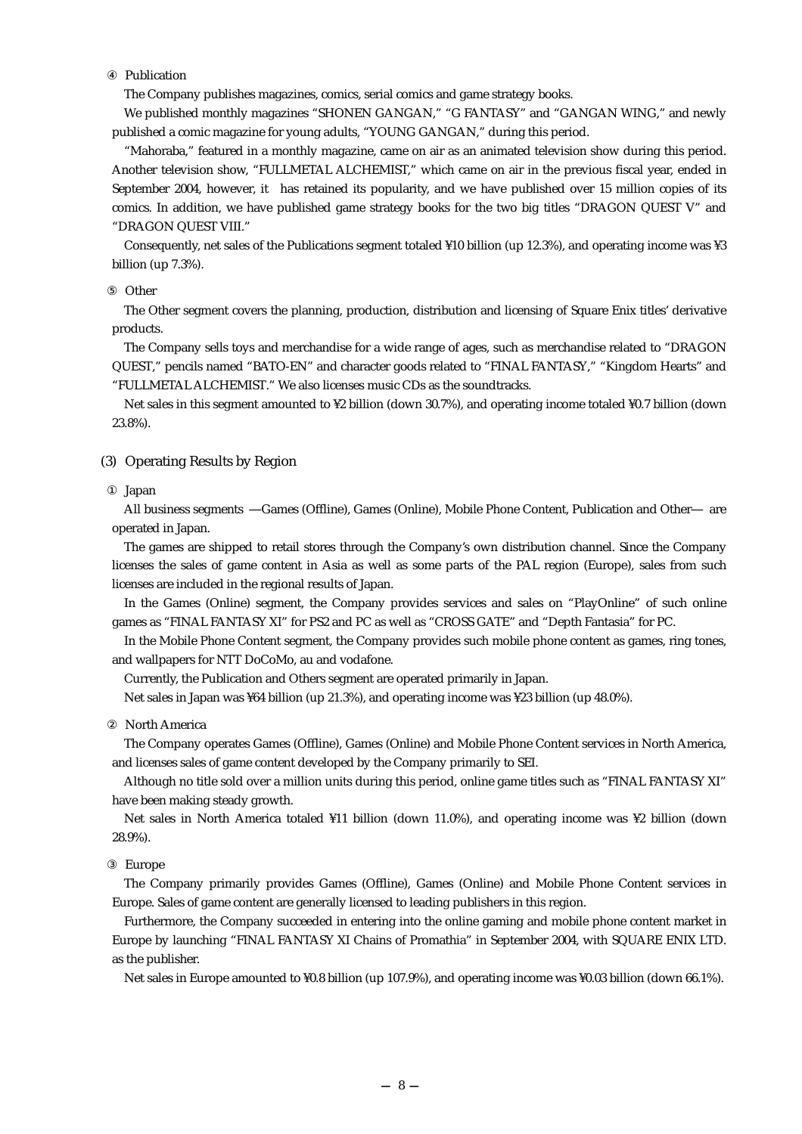Publication

The Company publishes magazines, comics, serial comics and game strategy books.

We published monthly magazines "SHONEN GANGAN," "G FANTASY" and "GANGAN WING," and newly published a comic magazine for young adults, "YOUNG GANGAN," during this period.

"Mahoraba," featured in a monthly magazine, came on air as an animated television show during this period. Another television show, "FULLMETAL ALCHEMIST," which came on air in the previous fiscal year, ended in September 2004, however, it has retained its popularity, and we have published over 15 million copies of its comics. In addition, we have published game strategy books for the two big titles "DRAGON QUEST V" and "DRAGON QUEST VIII."

Consequently, net sales of the Publications segment totaled ¥10 billion (up 12.3%), and operating income was ¥3 billion (up 7.3%).

#### **Other**

The Other segment covers the planning, production, distribution and licensing of Square Enix titles' derivative products.

The Company sells toys and merchandise for a wide range of ages, such as merchandise related to "DRAGON QUEST," pencils named "BATO-EN" and character goods related to "FINAL FANTASY," "Kingdom Hearts" and "FULLMETAL ALCHEMIST." We also licenses music CDs as the soundtracks.

Net sales in this segment amounted to ¥2 billion (down 30.7%), and operating income totaled ¥0.7 billion (down 23.8%).

#### (3) Operating Results by Region

#### Japan

All business segments Games (Offline), Games (Online), Mobile Phone Content, Publication and Other are operated in Japan.

The games are shipped to retail stores through the Company's own distribution channel. Since the Company licenses the sales of game content in Asia as well as some parts of the PAL region (Europe), sales from such licenses are included in the regional results of Japan.

In the Games (Online) segment, the Company provides services and sales on "PlayOnline" of such online games as "FINAL FANTASY XI" for PS2 and PC as well as "CROSS GATE" and "Depth Fantasia" for PC.

In the Mobile Phone Content segment, the Company provides such mobile phone content as games, ring tones, and wallpapers for NTT DoCoMo, au and vodafone.

Currently, the Publication and Others segment are operated primarily in Japan.

Net sales in Japan was ¥64 billion (up 21.3%), and operating income was ¥23 billion (up 48.0%).

#### North America

The Company operates Games (Offline), Games (Online) and Mobile Phone Content services in North America, and licenses sales of game content developed by the Company primarily to SEI.

Although no title sold over a million units during this period, online game titles such as "FINAL FANTASY XI" have been making steady growth.

Net sales in North America totaled ¥11 billion (down 11.0%), and operating income was ¥2 billion (down 28.9%).

#### Europe

The Company primarily provides Games (Offline), Games (Online) and Mobile Phone Content services in Europe. Sales of game content are generally licensed to leading publishers in this region.

Furthermore, the Company succeeded in entering into the online gaming and mobile phone content market in Europe by launching "FINAL FANTASY XI Chains of Promathia" in September 2004, with SQUARE ENIX LTD. as the publisher.

Net sales in Europe amounted to ¥0.8 billion (up 107.9%), and operating income was ¥0.03 billion (down 66.1%).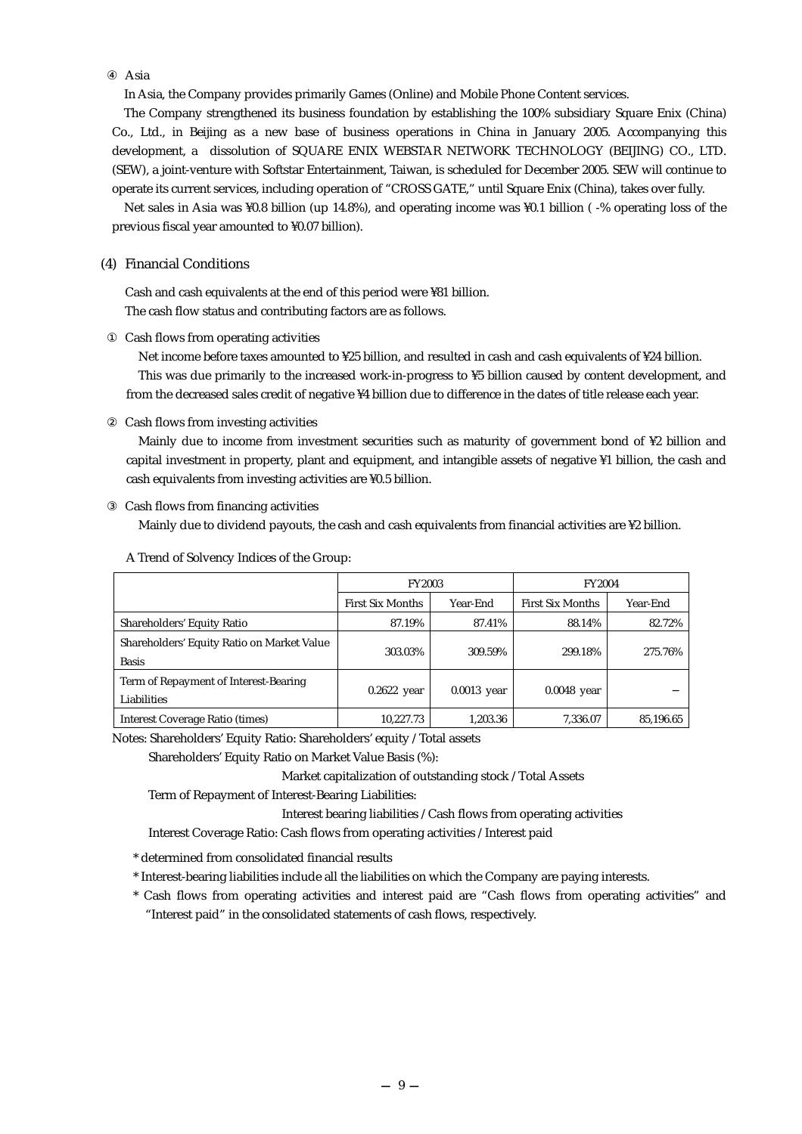#### Asia

In Asia, the Company provides primarily Games (Online) and Mobile Phone Content services.

The Company strengthened its business foundation by establishing the 100% subsidiary Square Enix (China) Co., Ltd., in Beijing as a new base of business operations in China in January 2005. Accompanying this development, a dissolution of SQUARE ENIX WEBSTAR NETWORK TECHNOLOGY (BEIJING) CO., LTD. (SEW), a joint-venture with Softstar Entertainment, Taiwan, is scheduled for December 2005. SEW will continue to operate its current services, including operation of "CROSS GATE," until Square Enix (China), takes over fully.

Net sales in Asia was ¥0.8 billion (up 14.8%), and operating income was ¥0.1 billion ( -% operating loss of the previous fiscal year amounted to ¥0.07 billion).

#### (4) Financial Conditions

Cash and cash equivalents at the end of this period were ¥81 billion. The cash flow status and contributing factors are as follows.

#### Cash flows from operating activities

Net income before taxes amounted to ¥25 billion, and resulted in cash and cash equivalents of ¥24 billion. This was due primarily to the increased work-in-progress to ¥5 billion caused by content development, and from the decreased sales credit of negative ¥4 billion due to difference in the dates of title release each year.

#### Cash flows from investing activities

Mainly due to income from investment securities such as maturity of government bond of ¥2 billion and capital investment in property, plant and equipment, and intangible assets of negative ¥1 billion, the cash and cash equivalents from investing activities are ¥0.5 billion.

#### Cash flows from financing activities

Mainly due to dividend payouts, the cash and cash equivalents from financial activities are ¥2 billion.

#### A Trend of Solvency Indices of the Group:

|                                                            | <b>FY2003</b>           |               | <b>FY2004</b>           |           |
|------------------------------------------------------------|-------------------------|---------------|-------------------------|-----------|
|                                                            | <b>First Six Months</b> | Year-End      | <b>First Six Months</b> | Year-End  |
| Shareholders' Equity Ratio                                 | 87.19%                  | 87.41%        | 88.14%                  | 82.72%    |
| Shareholders' Equity Ratio on Market Value<br><b>Basis</b> | 303.03%                 | 309.59%       | 299.18%                 | 275.76%   |
| Term of Repayment of Interest-Bearing<br>Liabilities       | $0.2622$ year           | $0.0013$ year | $0.0048$ year           |           |
| Interest Coverage Ratio (times)                            | 10.227.73               | 1.203.36      | 7.336.07                | 85.196.65 |

Notes: Shareholders' Equity Ratio: Shareholders' equity / Total assets

Shareholders' Equity Ratio on Market Value Basis (%):

Market capitalization of outstanding stock / Total Assets

Term of Repayment of Interest-Bearing Liabilities:

Interest bearing liabilities / Cash flows from operating activities

Interest Coverage Ratio: Cash flows from operating activities / Interest paid

\* determined from consolidated financial results

\* Interest-bearing liabilities include all the liabilities on which the Company are paying interests.

\* Cash flows from operating activities and interest paid are "Cash flows from operating activities" and "Interest paid" in the consolidated statements of cash flows, respectively.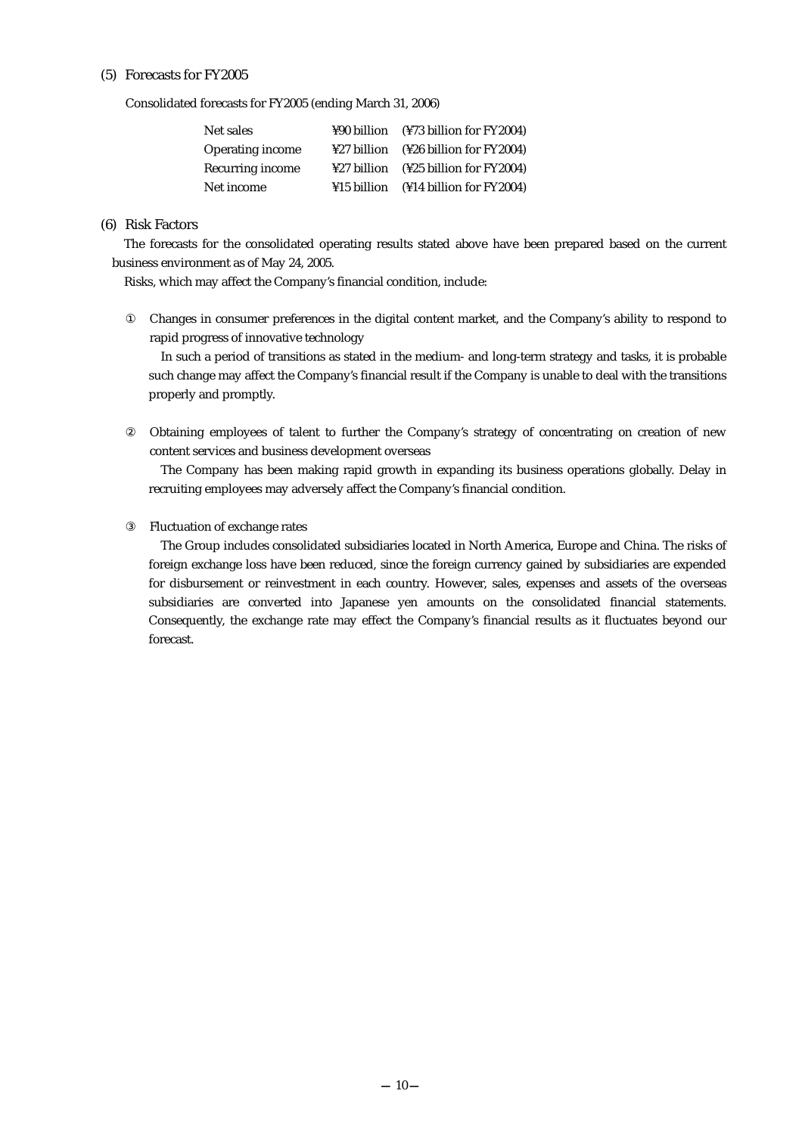#### (5) Forecasts for FY2005

Consolidated forecasts for FY2005 (ending March 31, 2006)

| Net sales               |             | $\text{\yen}90$ billion (\\\$73 billion for FY2004)             |
|-------------------------|-------------|-----------------------------------------------------------------|
| <b>Operating income</b> |             | $\frac{127}{22}$ billion ( $\frac{126}{20}$ billion for FY2004) |
| Recurring income        |             | $\frac{127}{22}$ billion (\\$25 billion for FY2004)             |
| Net income              | ¥15 billion | $(414 \text{ billion}$ for FY2004)                              |

#### (6) Risk Factors

The forecasts for the consolidated operating results stated above have been prepared based on the current business environment as of May 24, 2005.

Risks, which may affect the Company's financial condition, include:

① Changes in consumer preferences in the digital content market, and the Company's ability to respond to rapid progress of innovative technology

In such a period of transitions as stated in the medium- and long-term strategy and tasks, it is probable such change may affect the Company's financial result if the Company is unable to deal with the transitions properly and promptly.

Obtaining employees of talent to further the Company's strategy of concentrating on creation of new content services and business development overseas

The Company has been making rapid growth in expanding its business operations globally. Delay in recruiting employees may adversely affect the Company's financial condition.

#### Fluctuation of exchange rates

The Group includes consolidated subsidiaries located in North America, Europe and China. The risks of foreign exchange loss have been reduced, since the foreign currency gained by subsidiaries are expended for disbursement or reinvestment in each country. However, sales, expenses and assets of the overseas subsidiaries are converted into Japanese yen amounts on the consolidated financial statements. Consequently, the exchange rate may effect the Company's financial results as it fluctuates beyond our forecast.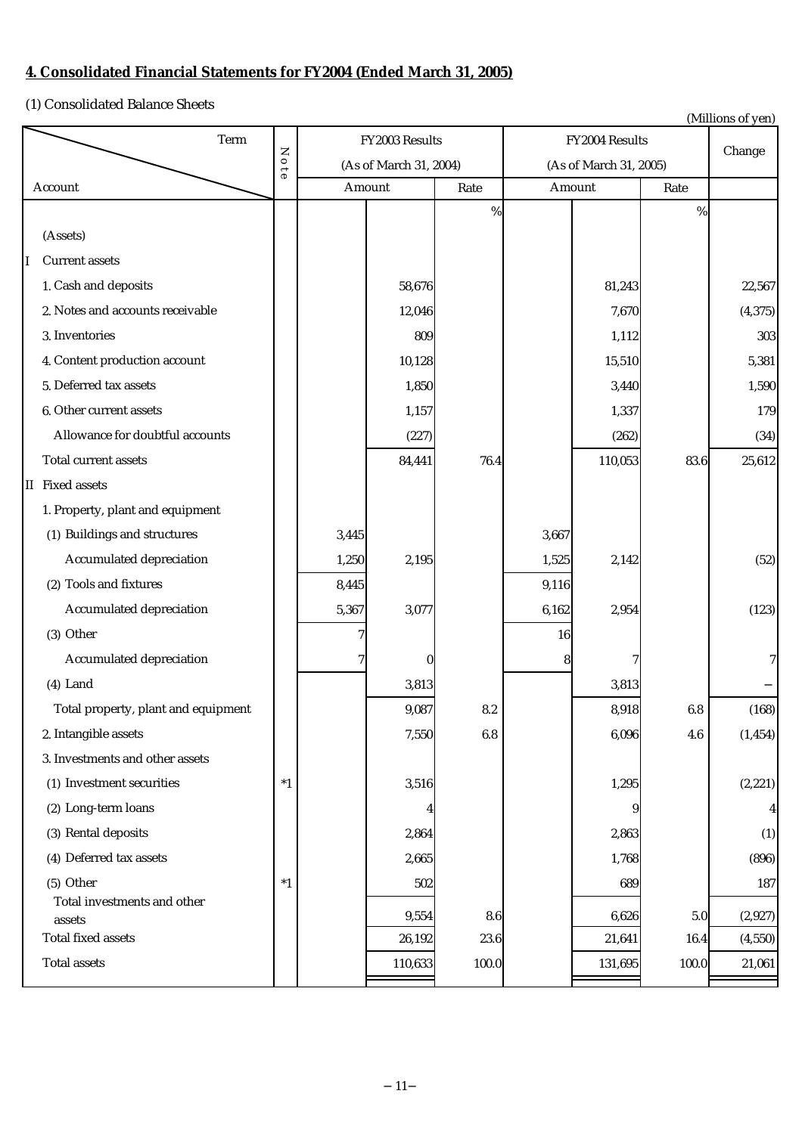# **4. Consolidated Financial Statements for FY2004 (Ended March 31, 2005)**

(1) Consolidated Balance Sheets

|                                     |          |                |                        |            |                        |                |         | (Millions of yen) |
|-------------------------------------|----------|----------------|------------------------|------------|------------------------|----------------|---------|-------------------|
| Term                                |          | FY2003 Results |                        |            |                        | FY2004 Results |         |                   |
|                                     | Note     |                | (As of March 31, 2004) |            | (As of March 31, 2005) |                | Change  |                   |
| Account                             |          |                | Amount                 | Rate       |                        | Amount         | Rate    |                   |
|                                     |          |                |                        | $\%$       |                        |                | $\%$    |                   |
| (Assets)                            |          |                |                        |            |                        |                |         |                   |
| <b>Current assets</b><br>I          |          |                |                        |            |                        |                |         |                   |
| 1. Cash and deposits                |          |                | 58,676                 |            |                        | 81,243         |         | 22,567            |
| 2. Notes and accounts receivable    |          |                | 12,046                 |            |                        | 7,670          |         | (4, 375)          |
| 3. Inventories                      |          |                | 809                    |            |                        | 1,112          |         | 303               |
| 4. Content production account       |          |                | 10,128                 |            |                        | 15,510         |         | 5,381             |
| 5. Deferred tax assets              |          |                | 1,850                  |            |                        | 3,440          |         | 1,590             |
| 6. Other current assets             |          |                | 1,157                  |            |                        | 1,337          |         | 179               |
| Allowance for doubtful accounts     |          |                | (227)                  |            |                        | (262)          |         | (34)              |
| Total current assets                |          |                | 84,441                 | 76.4       |                        | 110,053        | 83.6    | 25,612            |
| <b>II</b> Fixed assets              |          |                |                        |            |                        |                |         |                   |
| 1. Property, plant and equipment    |          |                |                        |            |                        |                |         |                   |
| (1) Buildings and structures        |          | 3,445          |                        |            | 3,667                  |                |         |                   |
| Accumulated depreciation            |          | 1,250          | 2,195                  |            | 1,525                  | 2,142          |         | (52)              |
| (2) Tools and fixtures              |          | 8,445          |                        |            | 9,116                  |                |         |                   |
| Accumulated depreciation            |          | 5,367          | 3,077                  |            | 6,162                  | 2,954          |         | (123)             |
| (3) Other                           |          |                |                        |            | 16                     |                |         |                   |
| Accumulated depreciation            |          | 7              | $\bf{0}$               |            | 8                      |                |         | 7                 |
| $(4)$ Land                          |          |                | 3,813                  |            |                        | 3,813          |         |                   |
| Total property, plant and equipment |          |                | 9,087                  | 8.2        |                        | 8,918          | $6.8\,$ | (168)             |
| 2. Intangible assets                |          |                | 7,550                  | $\bf{6.8}$ |                        | 6,096          | 4.6     | (1, 454)          |
| 3. Investments and other assets     |          |                |                        |            |                        |                |         |                   |
| (1) Investment securities           | $^\ast1$ |                | 3,516                  |            |                        | 1,295          |         | (2, 221)          |
| (2) Long-term loans                 |          |                | 4                      |            |                        | 9              |         | 4                 |
| (3) Rental deposits                 |          |                | 2,864                  |            |                        | 2,863          |         | (1)               |
| (4) Deferred tax assets             |          |                | 2,665                  |            |                        | 1,768          |         | (896)             |
| (5) Other                           | $^\ast1$ |                | 502                    |            |                        | 689            |         | 187               |
| Total investments and other         |          |                | 9,554                  | $\bf 8.6$  |                        | 6,626          | $5.0\,$ | (2,927)           |
| assets<br><b>Total fixed assets</b> |          |                | 26,192                 | 23.6       |                        | 21,641         | 16.4    | (4, 550)          |
| <b>Total assets</b>                 |          |                | 110,633                | 100.0      |                        | 131,695        | 100.0   | 21,061            |
|                                     |          |                |                        |            |                        |                |         |                   |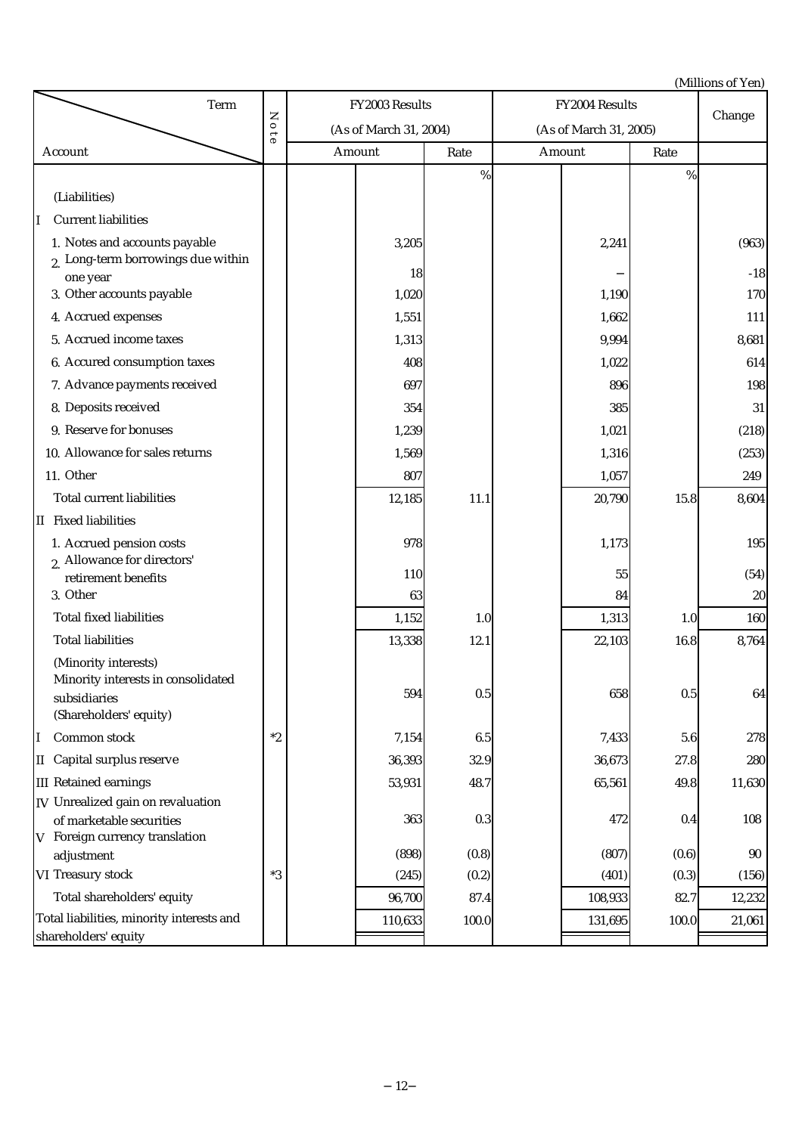(Millions of Yen)

| Term                                                                                                 |                     | FY2003 Results         |         | FY2004 Results |                        |         |       |        |
|------------------------------------------------------------------------------------------------------|---------------------|------------------------|---------|----------------|------------------------|---------|-------|--------|
|                                                                                                      | $\mathsf{z}$<br>010 | (As of March 31, 2004) |         |                | (As of March 31, 2005) |         |       | Change |
| Account                                                                                              |                     | Amount                 |         | Rate           |                        | Amount  | Rate  |        |
|                                                                                                      |                     |                        |         | $\%$           |                        |         | $\%$  |        |
| (Liabilities)                                                                                        |                     |                        |         |                |                        |         |       |        |
| <b>Current liabilities</b><br>II                                                                     |                     |                        |         |                |                        |         |       |        |
| 1. Notes and accounts payable<br>2. Long-term borrowings due within                                  |                     |                        | 3,205   |                |                        | 2,241   |       | (963)  |
| one year                                                                                             |                     |                        | 18      |                |                        |         |       | $-18$  |
| 3. Other accounts payable                                                                            |                     |                        | 1,020   |                |                        | 1,190   |       | 170    |
| 4. Accrued expenses                                                                                  |                     |                        | 1,551   |                |                        | 1,662   |       | 111    |
| 5. Accrued income taxes                                                                              |                     |                        | 1,313   |                |                        | 9,994   |       | 8,681  |
| 6. Accured consumption taxes                                                                         |                     |                        | 408     |                |                        | 1,022   |       | 614    |
| 7. Advance payments received                                                                         |                     |                        | 697     |                |                        | 896     |       | 198    |
| 8. Deposits received                                                                                 |                     |                        | 354     |                |                        | 385     |       | 31     |
| 9. Reserve for bonuses                                                                               |                     |                        | 1,239   |                |                        | 1,021   |       | (218)  |
| 10. Allowance for sales returns                                                                      |                     |                        | 1,569   |                |                        | 1,316   |       | (253)  |
| 11. Other                                                                                            |                     |                        | 807     |                |                        | 1,057   |       | 249    |
| <b>Total current liabilities</b>                                                                     |                     |                        | 12,185  | 11.1           |                        | 20,790  | 15.8  | 8,604  |
| II Fixed liabilities                                                                                 |                     |                        |         |                |                        |         |       |        |
| 1. Accrued pension costs<br>2. Allowance for directors'                                              |                     |                        | 978     |                |                        | 1,173   |       | 195    |
| retirement benefits                                                                                  |                     |                        | 110     |                |                        | 55      |       | (54)   |
| 3. Other                                                                                             |                     |                        | 63      |                |                        | 84      |       | $20\,$ |
| <b>Total fixed liabilities</b>                                                                       |                     |                        | 1,152   | 1.0            |                        | 1,313   | 1.0   | 160    |
| <b>Total liabilities</b>                                                                             |                     |                        | 13,338  | 12.1           |                        | 22,103  | 16.8  | 8,764  |
| (Minority interests)<br>Minority interests in consolidated<br>subsidiaries<br>(Shareholders' equity) |                     |                        | 594     | 0.5            |                        | 658     | 0.5   | 64     |
| Common stock<br>IІ                                                                                   | $*2$                |                        | 7,154   | 6.5            |                        | 7,433   | 5.6   | 278    |
| II Capital surplus reserve                                                                           |                     |                        | 36,393  | 32.9           |                        | 36,673  | 27.8  | 280    |
| <b>III</b> Retained earnings                                                                         |                     |                        | 53,931  | 48.7           |                        | 65,561  | 49.8  | 11,630 |
| IV Unrealized gain on revaluation                                                                    |                     |                        |         |                |                        |         |       |        |
| of marketable securities<br>V Foreign currency translation                                           |                     |                        | 363     | 0.3            |                        | 472     | 0.4   | 108    |
| adjustment                                                                                           |                     |                        | (898)   | (0.8)          |                        | (807)   | (0.6) | 90     |
| VI Treasury stock                                                                                    | $*3$                |                        | (245)   | (0.2)          |                        | (401)   | (0.3) | (156)  |
| Total shareholders' equity                                                                           |                     |                        | 96,700  | 87.4           |                        | 108,933 | 82.7  | 12,232 |
| Total liabilities, minority interests and<br>shareholders' equity                                    |                     |                        | 110,633 | 100.0          |                        | 131,695 | 100.0 | 21,061 |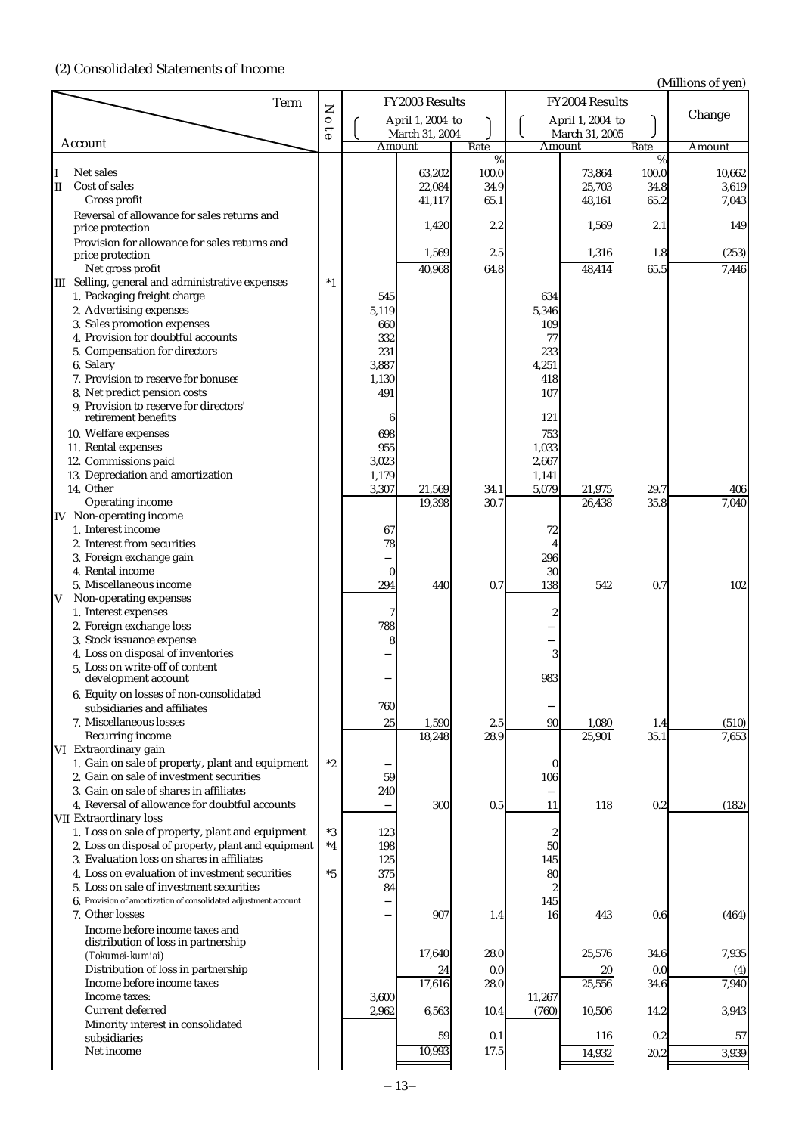## (2) Consolidated Statements of Income

(Millions of yen)

| Term                                                                                         | Z                        |                | FY2003 Results           |               |                 | <b>FY2004 Results</b>    |               |                 |
|----------------------------------------------------------------------------------------------|--------------------------|----------------|--------------------------|---------------|-----------------|--------------------------|---------------|-----------------|
|                                                                                              | $\circ$<br>$\rightarrow$ |                | April 1, 2004 to         |               |                 | April 1, 2004 to         |               | Change          |
| Account                                                                                      | $\sigma$                 |                | March 31, 2004<br>Amount | Rate          |                 | March 31, 2005<br>Amount | Rate          | Amount          |
|                                                                                              |                          |                |                          | %             |                 |                          | %             |                 |
| Net sales<br>Cost of sales<br>$\mathbf{II}$                                                  |                          |                | 63,202<br>22,084         | 100.0<br>34.9 |                 | 73,864<br>25,703         | 100.0<br>34.8 | 10.662<br>3,619 |
| Gross profit                                                                                 |                          |                | 41,117                   | 65.1          |                 | 48,161                   | 65.2          | 7,043           |
| Reversal of allowance for sales returns and                                                  |                          |                |                          | 2.2           |                 |                          |               |                 |
| price protection<br>Provision for allowance for sales returns and                            |                          |                | 1,420                    |               |                 | 1,569                    | 2.1           | 149             |
| price protection                                                                             |                          |                | 1,569                    | 2.5           |                 | 1,316                    | 1.8           | (253)           |
| Net gross profit                                                                             |                          |                | 40,968                   | 64.8          |                 | 48,414                   | 65.5          | 7,446           |
| III Selling, general and administrative expenses                                             | $^*1$                    |                |                          |               |                 |                          |               |                 |
| 1. Packaging freight charge<br>2. Advertising expenses                                       |                          | 545<br>5,119   |                          |               | 634<br>5,346    |                          |               |                 |
| 3. Sales promotion expenses                                                                  |                          | 660            |                          |               | 109             |                          |               |                 |
| 4. Provision for doubtful accounts                                                           |                          | 332            |                          |               | 77              |                          |               |                 |
| 5. Compensation for directors<br>6. Salary                                                   |                          | 231<br>3,887   |                          |               | 233             |                          |               |                 |
| 7. Provision to reserve for bonuses                                                          |                          | 1,130          |                          |               | 4,251<br>418    |                          |               |                 |
| 8. Net predict pension costs                                                                 |                          | 491            |                          |               | 107             |                          |               |                 |
| 9. Provision to reserve for directors'<br>retirement benefits                                |                          |                |                          |               |                 |                          |               |                 |
| 10. Welfare expenses                                                                         |                          | 6<br>698       |                          |               | 121<br>753      |                          |               |                 |
| 11. Rental expenses                                                                          |                          | 955            |                          |               | 1,033           |                          |               |                 |
| 12. Commissions paid                                                                         |                          | 3,023          |                          |               | 2,667           |                          |               |                 |
| 13. Depreciation and amortization                                                            |                          | 1,179          |                          |               | 1,141           |                          |               |                 |
| 14. Other<br>Operating income                                                                |                          | 3,307          | 21,569<br>19,398         | 34.1<br>30.7  | 5,079           | 21,975<br>26,438         | 29.7<br>35.8  | 406<br>7,040    |
| IV Non-operating income                                                                      |                          |                |                          |               |                 |                          |               |                 |
| 1. Interest income                                                                           |                          | 67             |                          |               | 72              |                          |               |                 |
| 2. Interest from securities<br>3. Foreign exchange gain                                      |                          | 78             |                          |               |                 |                          |               |                 |
| 4. Rental income                                                                             |                          | 0              |                          |               | 296<br>30       |                          |               |                 |
| 5. Miscellaneous income                                                                      |                          | 294            | 440                      | 0.7           | 138             | 542                      | 0.7           | 102             |
| Non-operating expenses<br>V                                                                  |                          |                |                          |               |                 |                          |               |                 |
| 1. Interest expenses<br>2. Foreign exchange loss                                             |                          | 7<br>788       |                          |               |                 |                          |               |                 |
| 3. Stock issuance expense                                                                    |                          | 8              |                          |               |                 |                          |               |                 |
| 4. Loss on disposal of inventories                                                           |                          |                |                          |               |                 |                          |               |                 |
| 5. Loss on write-off of content<br>development account                                       |                          |                |                          |               | 983             |                          |               |                 |
| 6. Equity on losses of non-consolidated                                                      |                          |                |                          |               |                 |                          |               |                 |
| subsidiaries and affiliates                                                                  |                          | 760            |                          |               |                 |                          |               |                 |
| 7. Miscellaneous losses                                                                      |                          | $25\,$         | 1,590                    | 2.5           | 90              | 1,080                    | 1.4           | (510)           |
| Recurring income<br>VI Extraordinary gain                                                    |                          |                | 18,248                   | 28.9          |                 | 25,901                   | 35.1          | 7,653           |
| 1. Gain on sale of property, plant and equipment                                             | $*2$                     |                |                          |               | 0               |                          |               |                 |
| 2. Gain on sale of investment securities                                                     |                          | 59             |                          |               | 106             |                          |               |                 |
| 3. Gain on sale of shares in affiliates                                                      |                          | 240            |                          |               |                 |                          |               |                 |
| 4. Reversal of allowance for doubtful accounts<br>VII Extraordinary loss                     |                          |                | 300                      | 0.5           | 11              | 118                      | 0.2           | (182)           |
| 1. Loss on sale of property, plant and equipment                                             | $*3$                     | 123            |                          |               |                 |                          |               |                 |
| 2. Loss on disposal of property, plant and equipment                                         | $^*4$                    | 198            |                          |               | 50              |                          |               |                 |
| 3. Evaluation loss on shares in affiliates<br>4. Loss on evaluation of investment securities | $*5$                     | 125<br>375     |                          |               | 145<br>80       |                          |               |                 |
| 5. Loss on sale of investment securities                                                     |                          | 84             |                          |               |                 |                          |               |                 |
| 6. Provision of amortization of consolidated adjustment account                              |                          |                |                          |               | 145             |                          |               |                 |
| 7. Other losses                                                                              |                          |                | 907                      | 1.4           | 16              | 443                      | 0.6           | (464)           |
| Income before income taxes and<br>distribution of loss in partnership                        |                          |                |                          |               |                 |                          |               |                 |
| (Tokumei-kumiai)                                                                             |                          |                | 17,640                   | 28.0          |                 | 25,576                   | 34.6          | 7,935           |
| Distribution of loss in partnership                                                          |                          |                | 24                       | 0.0           |                 | 20                       | 0.0           | (4)             |
| Income before income taxes<br>Income taxes:                                                  |                          |                | 17,616                   | 28.0          |                 | 25,556                   | 34.6          | 7,940           |
| Current deferred                                                                             |                          | 3,600<br>2,962 | 6,563                    | 10.4          | 11,267<br>(760) | 10,506                   | 14.2          | 3,943           |
| Minority interest in consolidated                                                            |                          |                |                          |               |                 |                          |               |                 |
| subsidiaries                                                                                 |                          |                | 59                       | 0.1           |                 | 116                      | 0.2           | 57              |
| Net income                                                                                   |                          |                | 10,993                   | 17.5          |                 | 14,932                   | 20.2          | 3,939           |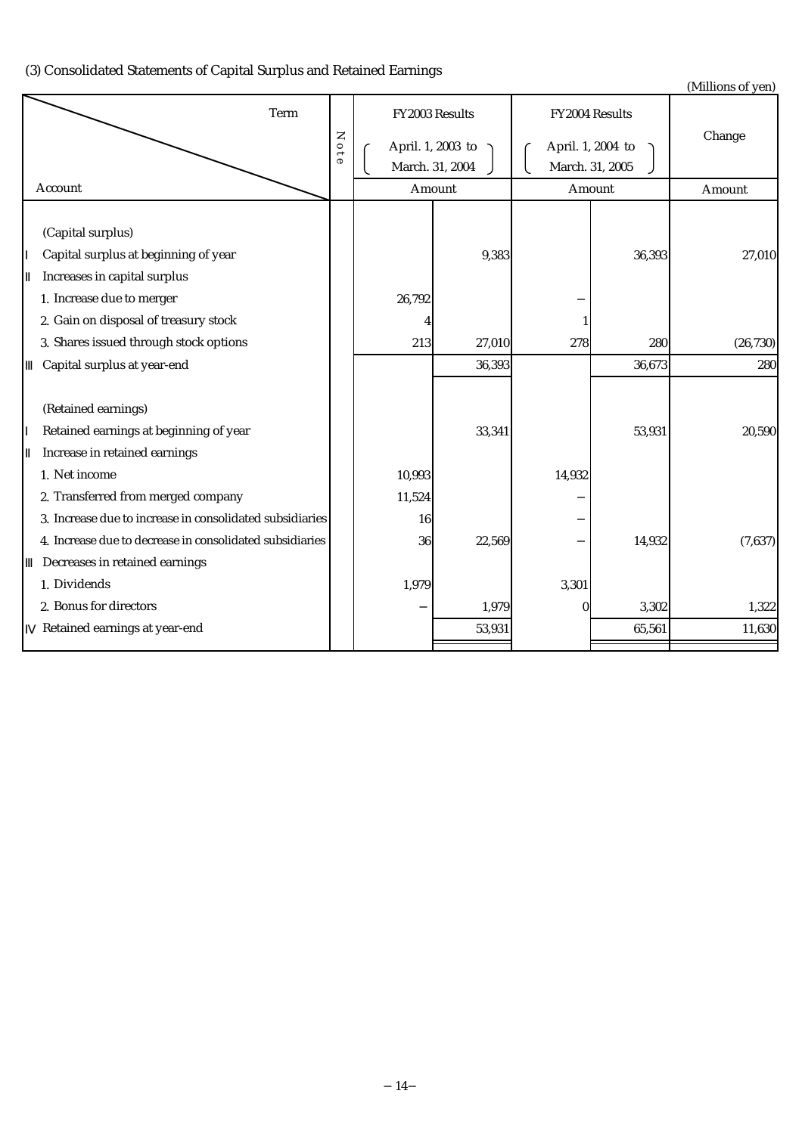# (3) Consolidated Statements of Capital Surplus and Retained Earnings

| consonauted statements of capital surpras and fretamed narring                                                                                                  |      |                 |                   |                |                                      | (Millions of yen) |
|-----------------------------------------------------------------------------------------------------------------------------------------------------------------|------|-----------------|-------------------|----------------|--------------------------------------|-------------------|
| Term                                                                                                                                                            |      | FY2003 Results  |                   | FY2004 Results |                                      |                   |
|                                                                                                                                                                 | Note | March. 31, 2004 | April. 1, 2003 to |                | April. 1, 2004 to<br>March. 31, 2005 | Change            |
| Account                                                                                                                                                         |      |                 | Amount            | Amount         |                                      | Amount            |
| (Capital surplus)<br>Capital surplus at beginning of year<br>Increases in capital surplus<br>1. Increase due to merger<br>2. Gain on disposal of treasury stock |      | 26,792          | 9,383             |                | 36,393                               | 27,010            |
| 3. Shares issued through stock options                                                                                                                          |      | 213             | 27,010            | 278            | 280                                  |                   |
| Capital surplus at year-end                                                                                                                                     |      |                 | 36,393            |                | 36,673                               | (26, 730)<br>280  |
|                                                                                                                                                                 |      |                 |                   |                |                                      |                   |
| (Retained earnings)<br>Retained earnings at beginning of year<br>Increase in retained earnings                                                                  |      |                 | 33,341            |                | 53,931                               | 20,590            |
| 1. Net income                                                                                                                                                   |      | 10,993          |                   | 14,932         |                                      |                   |
| 2. Transferred from merged company                                                                                                                              |      | 11,524          |                   |                |                                      |                   |
| 3. Increase due to increase in consolidated subsidiaries                                                                                                        |      | 16              |                   |                |                                      |                   |
| 4. Increase due to decrease in consolidated subsidiaries                                                                                                        |      | 36              | 22,569            |                | 14,932                               | (7,637)           |
| Decreases in retained earnings                                                                                                                                  |      |                 |                   |                |                                      |                   |
| 1. Dividends                                                                                                                                                    |      | 1,979           |                   | 3,301          |                                      |                   |
| 2. Bonus for directors                                                                                                                                          |      |                 | 1,979             | $\bf{0}$       | 3,302                                | 1,322             |
| Retained earnings at year-end                                                                                                                                   |      |                 | 53,931            |                | 65,561                               | 11,630            |
|                                                                                                                                                                 |      |                 |                   |                |                                      |                   |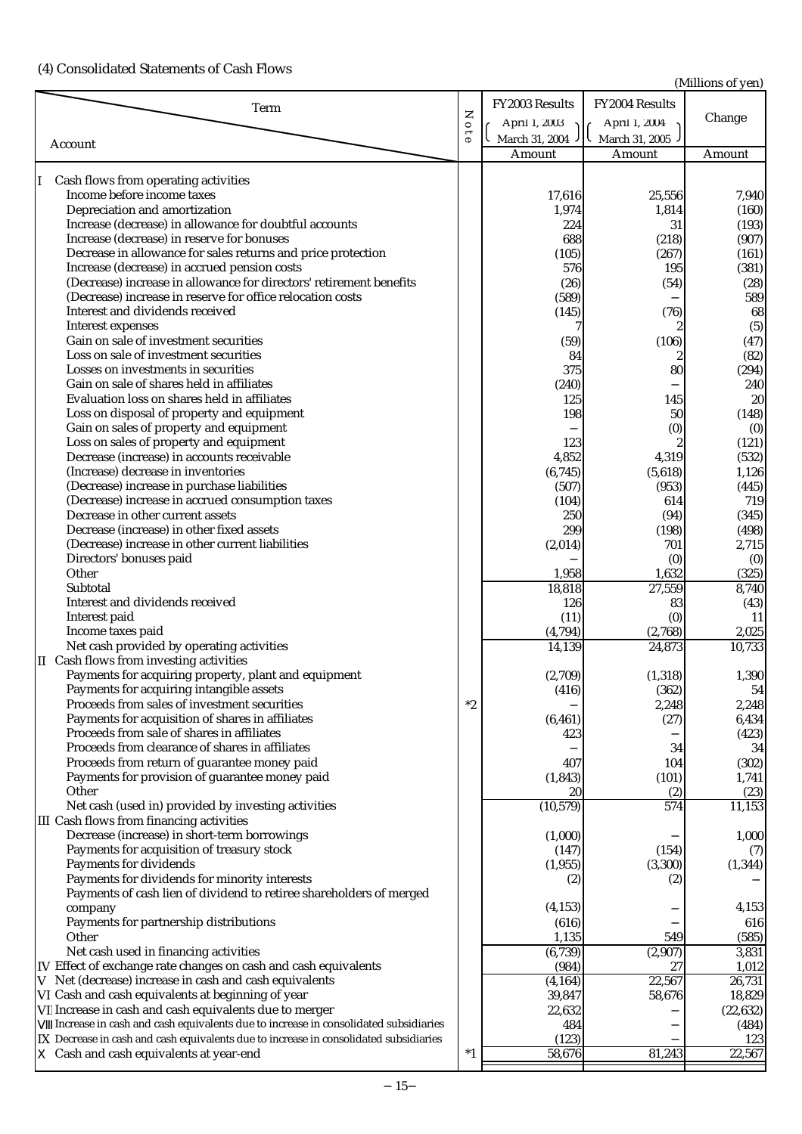|                                                                                       |                     | FY2003 Results | FY2004 Results |           |
|---------------------------------------------------------------------------------------|---------------------|----------------|----------------|-----------|
| Term                                                                                  | $\mathbf{z}$        |                |                | Change    |
|                                                                                       | $\circ$             | April 1, 2003  | April 1, 2004  |           |
| Account                                                                               | $\overline{\theta}$ | March 31, 2004 | March 31, 2005 |           |
|                                                                                       |                     | Amount         | Amount         | Amount    |
|                                                                                       |                     |                |                |           |
| Cash flows from operating activities                                                  |                     |                |                |           |
| Income before income taxes                                                            |                     | 17,616         | 25,556         | 7,940     |
| Depreciation and amortization                                                         |                     | 1,974          | 1,814          | (160)     |
| Increase (decrease) in allowance for doubtful accounts                                |                     | 224            | 31             | (193)     |
| Increase (decrease) in reserve for bonuses                                            |                     | 688            | (218)          | (907)     |
| Decrease in allowance for sales returns and price protection                          |                     | (105)          | (267)          | (161)     |
| Increase (decrease) in accrued pension costs                                          |                     | 576            | 195            | (381)     |
| (Decrease) increase in allowance for directors' retirement benefits                   |                     | (26)           | (54)           | (28)      |
| (Decrease) increase in reserve for office relocation costs                            |                     | (589)          |                | 589       |
| Interest and dividends received                                                       |                     | (145)          | (76)           | 68        |
| Interest expenses                                                                     |                     |                |                | (5)       |
| Gain on sale of investment securities                                                 |                     | (59)           | (106)          | (47)      |
| Loss on sale of investment securities                                                 |                     | 84             |                | (82)      |
| Losses on investments in securities                                                   |                     | 375            | 80             | (294)     |
| Gain on sale of shares held in affiliates                                             |                     | (240)          |                | 240       |
| Evaluation loss on shares held in affiliates                                          |                     | 125            | 145            | 20        |
| Loss on disposal of property and equipment                                            |                     | 198            | 50             | (148)     |
| Gain on sales of property and equipment                                               |                     |                | (0)            | (0)       |
| Loss on sales of property and equipment                                               |                     | 123            |                | (121)     |
| Decrease (increase) in accounts receivable                                            |                     | 4,852          | 4,319          | (532)     |
| (Increase) decrease in inventories                                                    |                     | (6,745)        | (5,618)        | 1,126     |
| (Decrease) increase in purchase liabilities                                           |                     | (507)          | (953)          | (445)     |
| (Decrease) increase in accrued consumption taxes                                      |                     | (104)          | 614            | 719       |
| Decrease in other current assets                                                      |                     | 250            | (94)           | (345)     |
| Decrease (increase) in other fixed assets                                             |                     | 299            |                |           |
|                                                                                       |                     |                | (198)          | (498)     |
| (Decrease) increase in other current liabilities                                      |                     | (2,014)        | 701            | 2,715     |
| Directors' bonuses paid                                                               |                     |                | (0)            | (0)       |
| Other                                                                                 |                     | 1,958          | 1,632          | (325)     |
| Subtotal                                                                              |                     | 18,818         | 27,559         | 8,740     |
| Interest and dividends received                                                       |                     | 126            | 83             | (43)      |
| Interest paid                                                                         |                     | (11)           | (0)            | 11        |
| Income taxes paid                                                                     |                     | (4, 794)       | (2,768)        | 2,025     |
| Net cash provided by operating activities                                             |                     | 14,139         | 24,873         | 10,733    |
| II Cash flows from investing activities                                               |                     |                |                |           |
| Payments for acquiring property, plant and equipment                                  |                     | (2,709)        | (1, 318)       | 1,390     |
| Payments for acquiring intangible assets                                              |                     | (416)          | (362)          | 54        |
| Proceeds from sales of investment securities                                          | $^\ast 2$           |                | 2,248          | 2,248     |
| Payments for acquisition of shares in affiliates                                      |                     | (6, 461)       | (27)           | 6,434     |
| Proceeds from sale of shares in affiliates                                            |                     | 423            |                | (423)     |
| Proceeds from clearance of shares in affiliates                                       |                     |                | 34             | 34        |
| Proceeds from return of guarantee money paid                                          |                     | 407            | 104            | (302)     |
| Payments for provision of guarantee money paid                                        |                     | (1, 843)       | (101)          | 1,741     |
| Other                                                                                 |                     | 20             | (2)            | (23)      |
| Net cash (used in) provided by investing activities                                   |                     | (10, 579)      | 574            | 11,153    |
| <b>III</b> Cash flows from financing activities                                       |                     |                |                |           |
| Decrease (increase) in short-term borrowings                                          |                     | (1,000)        |                | 1,000     |
| Payments for acquisition of treasury stock                                            |                     | (147)          | (154)          | (7)       |
| Payments for dividends                                                                |                     | (1, 955)       | (3, 300)       | (1, 344)  |
| Payments for dividends for minority interests                                         |                     | (2)            | (2)            |           |
| Payments of cash lien of dividend to retiree shareholders of merged                   |                     |                |                |           |
| company                                                                               |                     | (4, 153)       |                | 4,153     |
| Payments for partnership distributions                                                |                     | (616)          |                | 616       |
| Other                                                                                 |                     | 1,135          | 549            | (585)     |
| Net cash used in financing activities                                                 |                     | (6,739)        | (2,907)        | 3,831     |
| IV Effect of exchange rate changes on cash and cash equivalents                       |                     | (984)          | 27             | 1,012     |
| V Net (decrease) increase in cash and cash equivalents                                |                     | (4, 164)       | 22,567         | 26,731    |
| VI Cash and cash equivalents at beginning of year                                     |                     | 39,847         | 58,676         | 18,829    |
| VI Increase in cash and cash equivalents due to merger                                |                     | 22,632         |                | (22, 632) |
| Increase in cash and cash equivalents due to increase in consolidated subsidiaries    |                     | 484            |                | (484)     |
| IX Decrease in cash and cash equivalents due to increase in consolidated subsidiaries |                     | (123)          |                | 123       |
| Cash and cash equivalents at year-end                                                 | $*1$                | 58,676         | 81,243         | 22,567    |
|                                                                                       |                     |                |                |           |

## (4) Consolidated Statements of Cash Flows

(Millions of yen)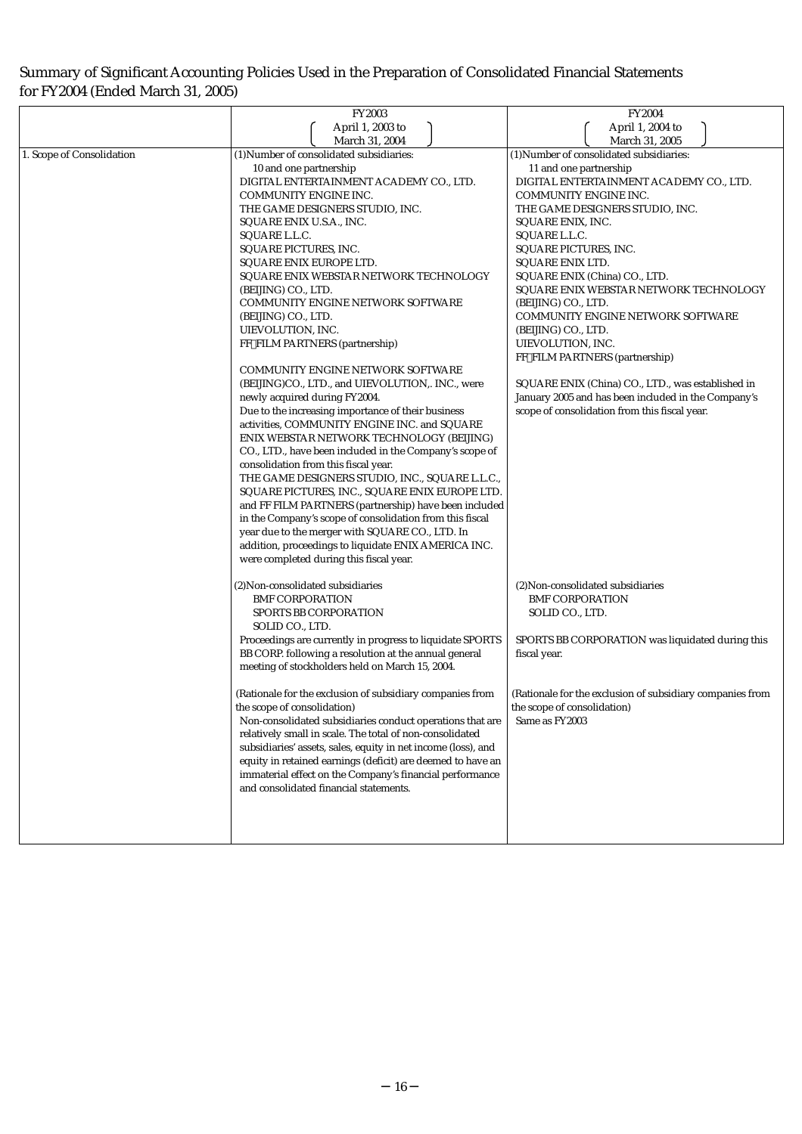# Summary of Significant Accounting Policies Used in the Preparation of Consolidated Financial Statements for FY2004 (Ended March 31, 2005)

|                           | <b>FY2003</b>                                                                                           | <b>FY2004</b>                                                           |
|---------------------------|---------------------------------------------------------------------------------------------------------|-------------------------------------------------------------------------|
|                           | April 1, 2003 to                                                                                        | April 1, 2004 to                                                        |
|                           | March 31, 2004                                                                                          | March 31, 2005                                                          |
| 1. Scope of Consolidation | (1) Number of consolidated subsidiaries:                                                                | (1) Number of consolidated subsidiaries:                                |
|                           | 10 and one partnership                                                                                  | 11 and one partnership                                                  |
|                           | DIGITAL ENTERTAINMENT ACADEMY CO., LTD.                                                                 | DIGITAL ENTERTAINMENT ACADEMY CO., LTD.                                 |
|                           | COMMUNITY ENGINE INC.                                                                                   | COMMUNITY ENGINE INC.                                                   |
|                           | THE GAME DESIGNERS STUDIO, INC.                                                                         | THE GAME DESIGNERS STUDIO, INC.                                         |
|                           | SQUARE ENIX U.S.A., INC.                                                                                | SQUARE ENIX, INC.                                                       |
|                           | SQUARE L.L.C.                                                                                           | SQUARE L.L.C.                                                           |
|                           | SQUARE PICTURES, INC.                                                                                   | SQUARE PICTURES, INC.                                                   |
|                           | SQUARE ENIX EUROPE LTD.                                                                                 | <b>SQUARE ENIX LTD.</b>                                                 |
|                           | SQUARE ENIX WEBSTAR NETWORK TECHNOLOGY<br>(BEIJING) CO., LTD.                                           | SQUARE ENIX (China) CO., LTD.<br>SQUARE ENIX WEBSTAR NETWORK TECHNOLOGY |
|                           | COMMUNITY ENGINE NETWORK SOFTWARE                                                                       | (BEIJING) CO., LTD.                                                     |
|                           | (BEIJING) CO., LTD.                                                                                     | <b>COMMUNITY ENGINE NETWORK SOFTWARE</b>                                |
|                           | UIEVOLUTION, INC.                                                                                       | (BEIJING) CO., LTD.                                                     |
|                           | FF FILM PARTNERS (partnership)                                                                          | UIEVOLUTION, INC.                                                       |
|                           |                                                                                                         | FF FILM PARTNERS (partnership)                                          |
|                           | COMMUNITY ENGINE NETWORK SOFTWARE                                                                       |                                                                         |
|                           | (BEIJING)CO., LTD., and UIEVOLUTION,. INC., were                                                        | SQUARE ENIX (China) CO., LTD., was established in                       |
|                           | newly acquired during FY2004.                                                                           | January 2005 and has been included in the Company's                     |
|                           | Due to the increasing importance of their business                                                      | scope of consolidation from this fiscal year.                           |
|                           | activities, COMMUNITY ENGINE INC. and SQUARE                                                            |                                                                         |
|                           | ENIX WEBSTAR NETWORK TECHNOLOGY (BEIJING)                                                               |                                                                         |
|                           | CO., LTD., have been included in the Company's scope of                                                 |                                                                         |
|                           | consolidation from this fiscal year.                                                                    |                                                                         |
|                           | THE GAME DESIGNERS STUDIO, INC., SQUARE L.L.C.,                                                         |                                                                         |
|                           | SQUARE PICTURES, INC., SQUARE ENIX EUROPE LTD.<br>and FF FILM PARTNERS (partnership) have been included |                                                                         |
|                           | in the Company's scope of consolidation from this fiscal                                                |                                                                         |
|                           | year due to the merger with SQUARE CO., LTD. In                                                         |                                                                         |
|                           | addition, proceedings to liquidate ENIX AMERICA INC.                                                    |                                                                         |
|                           | were completed during this fiscal year.                                                                 |                                                                         |
|                           | (2) Non-consolidated subsidiaries                                                                       | (2) Non-consolidated subsidiaries                                       |
|                           | <b>BMF CORPORATION</b>                                                                                  | <b>BMF CORPORATION</b>                                                  |
|                           | SPORTS BB CORPORATION                                                                                   | SOLID CO., LTD.                                                         |
|                           | SOLID CO., LTD.                                                                                         |                                                                         |
|                           | Proceedings are currently in progress to liquidate SPORTS                                               | SPORTS BB CORPORATION was liquidated during this                        |
|                           | BB CORP. following a resolution at the annual general                                                   | fiscal year.                                                            |
|                           | meeting of stockholders held on March 15, 2004.                                                         |                                                                         |
|                           | (Rationale for the exclusion of subsidiary companies from                                               | (Rationale for the exclusion of subsidiary companies from               |
|                           | the scope of consolidation)                                                                             | the scope of consolidation)                                             |
|                           | Non-consolidated subsidiaries conduct operations that are                                               | Same as FY2003                                                          |
|                           | relatively small in scale. The total of non-consolidated                                                |                                                                         |
|                           | subsidiaries' assets, sales, equity in net income (loss), and                                           |                                                                         |
|                           | equity in retained earnings (deficit) are deemed to have an                                             |                                                                         |
|                           | immaterial effect on the Company's financial performance                                                |                                                                         |
|                           | and consolidated financial statements.                                                                  |                                                                         |
|                           |                                                                                                         |                                                                         |
|                           |                                                                                                         |                                                                         |
|                           |                                                                                                         |                                                                         |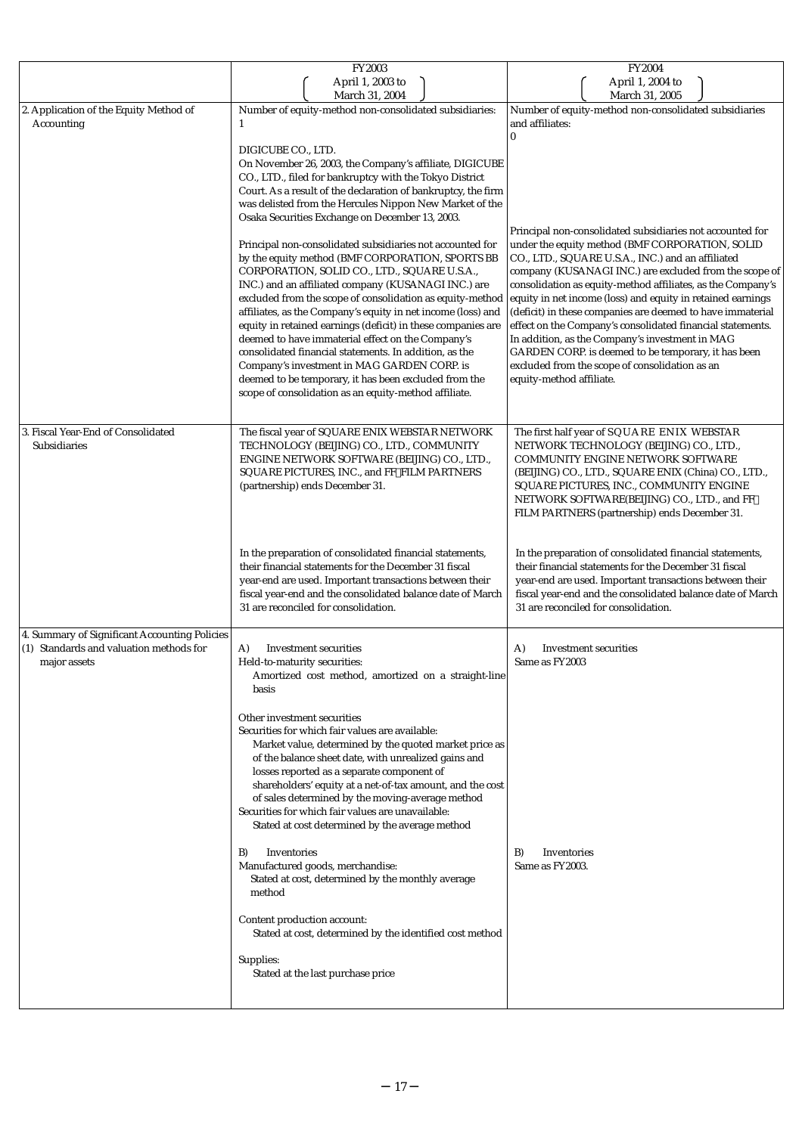|                                                                                                          | FY2003<br>April 1, 2003 to<br>March 31, 2004                                                                                                                                                                                                                                                                                                                                                                                                                                                                                                                                                                                                                                                                                                                                                                                                                                                                                                                                                                                                                                                | FY2004<br>April 1, 2004 to<br>March 31, 2005                                                                                                                                                                                                                                                                                                                                                                                                                                                                                                                                                                                                                                                                                                                              |
|----------------------------------------------------------------------------------------------------------|---------------------------------------------------------------------------------------------------------------------------------------------------------------------------------------------------------------------------------------------------------------------------------------------------------------------------------------------------------------------------------------------------------------------------------------------------------------------------------------------------------------------------------------------------------------------------------------------------------------------------------------------------------------------------------------------------------------------------------------------------------------------------------------------------------------------------------------------------------------------------------------------------------------------------------------------------------------------------------------------------------------------------------------------------------------------------------------------|---------------------------------------------------------------------------------------------------------------------------------------------------------------------------------------------------------------------------------------------------------------------------------------------------------------------------------------------------------------------------------------------------------------------------------------------------------------------------------------------------------------------------------------------------------------------------------------------------------------------------------------------------------------------------------------------------------------------------------------------------------------------------|
| 2. Application of the Equity Method of<br>Accounting                                                     | Number of equity-method non-consolidated subsidiaries:<br>1<br>DIGICUBE CO., LTD.<br>On November 26, 2003, the Company's affiliate, DIGICUBE<br>CO., LTD., filed for bankruptcy with the Tokyo District<br>Court. As a result of the declaration of bankruptcy, the firm<br>was delisted from the Hercules Nippon New Market of the<br>Osaka Securities Exchange on December 13, 2003.<br>Principal non-consolidated subsidiaries not accounted for<br>by the equity method (BMF CORPORATION, SPORTS BB<br>CORPORATION, SOLID CO., LTD., SQUARE U.S.A.,<br>INC.) and an affiliated company (KUSANAGI INC.) are<br>excluded from the scope of consolidation as equity-method<br>affiliates, as the Company's equity in net income (loss) and<br>equity in retained earnings (deficit) in these companies are<br>deemed to have immaterial effect on the Company's<br>consolidated financial statements. In addition, as the<br>Company's investment in MAG GARDEN CORP. is<br>deemed to be temporary, it has been excluded from the<br>scope of consolidation as an equity-method affiliate. | Number of equity-method non-consolidated subsidiaries<br>and affiliates:<br>$\mathbf{0}$<br>Principal non-consolidated subsidiaries not accounted for<br>under the equity method (BMF CORPORATION, SOLID<br>CO., LTD., SQUARE U.S.A., INC.) and an affiliated<br>company (KUSANAGI INC.) are excluded from the scope of<br>consolidation as equity-method affiliates, as the Company's<br>equity in net income (loss) and equity in retained earnings<br>(deficit) in these companies are deemed to have immaterial<br>effect on the Company's consolidated financial statements.<br>In addition, as the Company's investment in MAG<br>GARDEN CORP. is deemed to be temporary, it has been<br>excluded from the scope of consolidation as an<br>equity-method affiliate. |
| 3. Fiscal Year-End of Consolidated<br>Subsidiaries                                                       | The fiscal year of SQUARE ENIX WEBSTAR NETWORK<br>TECHNOLOGY (BEIJING) CO., LTD., COMMUNITY<br>ENGINE NETWORK SOFTWARE (BEIJING) CO., LTD.,<br>SQUARE PICTURES, INC., and FF FILM PARTNERS<br>(partnership) ends December 31.<br>In the preparation of consolidated financial statements,<br>their financial statements for the December 31 fiscal<br>year-end are used. Important transactions between their<br>fiscal year-end and the consolidated balance date of March<br>31 are reconciled for consolidation.                                                                                                                                                                                                                                                                                                                                                                                                                                                                                                                                                                         | The first half year of SQUARE ENIX WEBSTAR<br>NETWORK TECHNOLOGY (BEIJING) CO., LTD.,<br>COMMUNITY ENGINE NETWORK SOFTWARE<br>(BEIJING) CO., LTD., SQUARE ENIX (China) CO., LTD.,<br>SQUARE PICTURES, INC., COMMUNITY ENGINE<br>NETWORK SOFTWARE(BEIJING) CO., LTD., and FF<br>FILM PARTNERS (partnership) ends December 31.<br>In the preparation of consolidated financial statements,<br>their financial statements for the December 31 fiscal<br>year-end are used. Important transactions between their<br>fiscal year-end and the consolidated balance date of March<br>31 are reconciled for consolidation.                                                                                                                                                        |
| 4. Summary of Significant Accounting Policies<br>(1) Standards and valuation methods for<br>major assets | A)<br>Investment securities<br>Held-to-maturity securities:<br>Amortized cost method, amortized on a straight-line<br>basis<br>Other investment securities<br>Securities for which fair values are available:<br>Market value, determined by the quoted market price as<br>of the balance sheet date, with unrealized gains and<br>losses reported as a separate component of<br>shareholders' equity at a net-of-tax amount, and the cost<br>of sales determined by the moving-average method<br>Securities for which fair values are unavailable:<br>Stated at cost determined by the average method<br>Inventories<br>B)<br>Manufactured goods, merchandise:<br>Stated at cost, determined by the monthly average<br>method<br>Content production account:<br>Stated at cost, determined by the identified cost method<br>Supplies:<br>Stated at the last purchase price                                                                                                                                                                                                                 | A)<br>Investment securities<br>Same as FY2003<br>B)<br>Inventories<br>Same as FY2003.                                                                                                                                                                                                                                                                                                                                                                                                                                                                                                                                                                                                                                                                                     |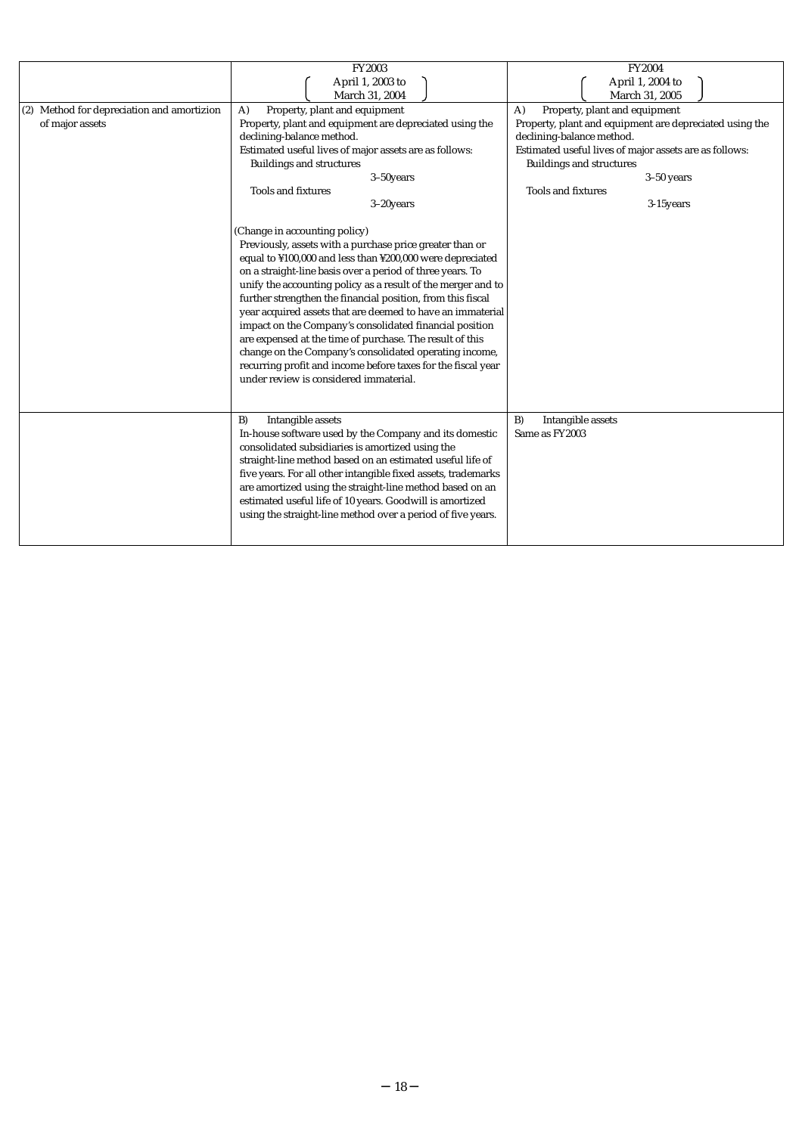|                                            | FY2003                                                        | <b>FY2004</b>                                           |  |  |
|--------------------------------------------|---------------------------------------------------------------|---------------------------------------------------------|--|--|
|                                            | April 1, 2003 to                                              | April 1, 2004 to                                        |  |  |
|                                            |                                                               |                                                         |  |  |
|                                            | March 31, 2004                                                | March 31, 2005                                          |  |  |
| (2) Method for depreciation and amortizion | Property, plant and equipment<br>$\mathbf{A}$                 | Property, plant and equipment<br>A)                     |  |  |
| of major assets                            | Property, plant and equipment are depreciated using the       | Property, plant and equipment are depreciated using the |  |  |
|                                            | declining-balance method.                                     | declining-balance method.                               |  |  |
|                                            | Estimated useful lives of major assets are as follows:        | Estimated useful lives of major assets are as follows:  |  |  |
|                                            | <b>Buildings and structures</b>                               | <b>Buildings and structures</b>                         |  |  |
|                                            | $3-50$ years                                                  | $3-50$ years                                            |  |  |
|                                            | <b>Tools and fixtures</b>                                     | <b>Tools and fixtures</b>                               |  |  |
|                                            | $3-20$ years                                                  | 3-15 years                                              |  |  |
|                                            |                                                               |                                                         |  |  |
|                                            | (Change in accounting policy)                                 |                                                         |  |  |
|                                            |                                                               |                                                         |  |  |
|                                            | Previously, assets with a purchase price greater than or      |                                                         |  |  |
|                                            | equal to ¥100,000 and less than ¥200,000 were depreciated     |                                                         |  |  |
|                                            | on a straight-line basis over a period of three years. To     |                                                         |  |  |
|                                            | unify the accounting policy as a result of the merger and to  |                                                         |  |  |
|                                            | further strengthen the financial position, from this fiscal   |                                                         |  |  |
|                                            | year acquired assets that are deemed to have an immaterial    |                                                         |  |  |
|                                            | impact on the Company's consolidated financial position       |                                                         |  |  |
|                                            | are expensed at the time of purchase. The result of this      |                                                         |  |  |
|                                            | change on the Company's consolidated operating income,        |                                                         |  |  |
|                                            | recurring profit and income before taxes for the fiscal year  |                                                         |  |  |
|                                            | under review is considered immaterial.                        |                                                         |  |  |
|                                            |                                                               |                                                         |  |  |
|                                            |                                                               |                                                         |  |  |
|                                            | Intangible assets<br>B)                                       | Intangible assets<br>B)                                 |  |  |
|                                            |                                                               |                                                         |  |  |
|                                            | In-house software used by the Company and its domestic        | Same as FY2003                                          |  |  |
|                                            | consolidated subsidiaries is amortized using the              |                                                         |  |  |
|                                            | straight-line method based on an estimated useful life of     |                                                         |  |  |
|                                            | five years. For all other intangible fixed assets, trademarks |                                                         |  |  |
|                                            | are amortized using the straight-line method based on an      |                                                         |  |  |
|                                            | estimated useful life of 10 years. Goodwill is amortized      |                                                         |  |  |
|                                            | using the straight-line method over a period of five years.   |                                                         |  |  |
|                                            |                                                               |                                                         |  |  |
|                                            |                                                               |                                                         |  |  |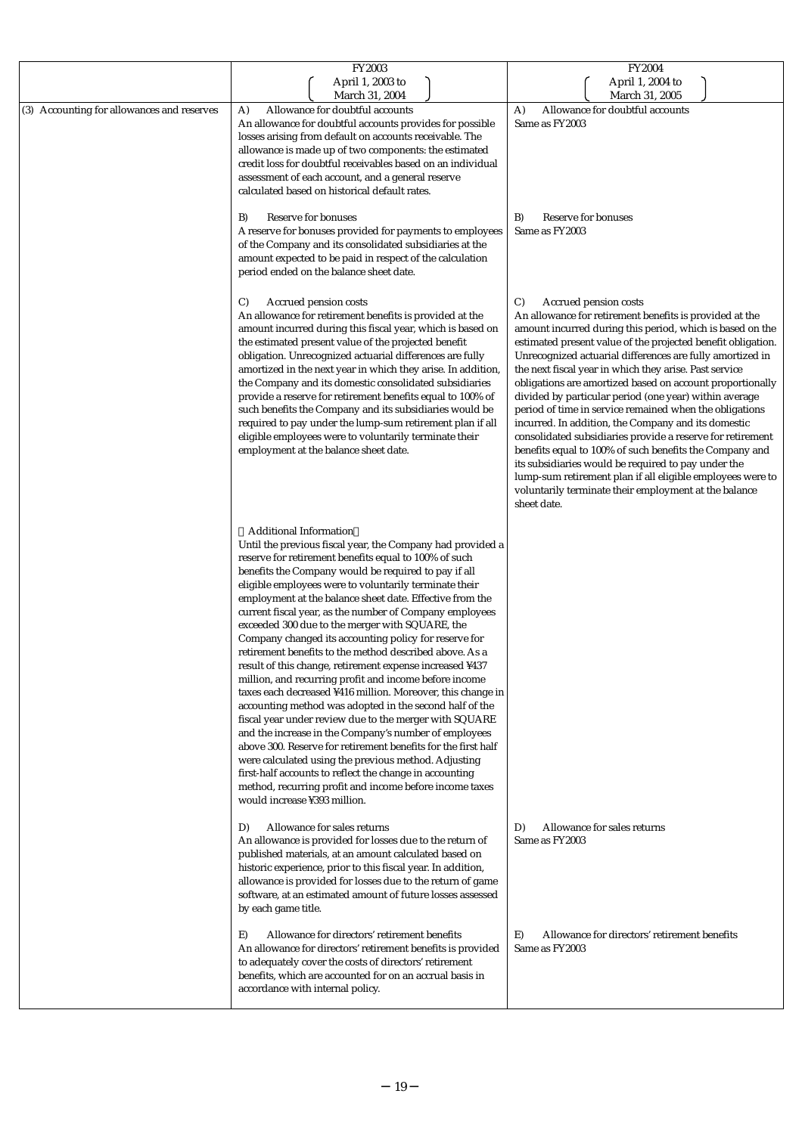|                                            | FY2003                                                                                                                                                                                                                                                                                                                                                                                                                                                                                                                                                                                                                                                                                                                                                                                                                                                                                                                                                                                                                                                                                                                                                                                                                 | FY2004                                                                                                                                                                                                                                                                                                                                                                                                                                                                                                                                                                                                                                                                                                                                                                                                                                                                                                    |
|--------------------------------------------|------------------------------------------------------------------------------------------------------------------------------------------------------------------------------------------------------------------------------------------------------------------------------------------------------------------------------------------------------------------------------------------------------------------------------------------------------------------------------------------------------------------------------------------------------------------------------------------------------------------------------------------------------------------------------------------------------------------------------------------------------------------------------------------------------------------------------------------------------------------------------------------------------------------------------------------------------------------------------------------------------------------------------------------------------------------------------------------------------------------------------------------------------------------------------------------------------------------------|-----------------------------------------------------------------------------------------------------------------------------------------------------------------------------------------------------------------------------------------------------------------------------------------------------------------------------------------------------------------------------------------------------------------------------------------------------------------------------------------------------------------------------------------------------------------------------------------------------------------------------------------------------------------------------------------------------------------------------------------------------------------------------------------------------------------------------------------------------------------------------------------------------------|
|                                            | April 1, 2003 to<br>March 31, 2004                                                                                                                                                                                                                                                                                                                                                                                                                                                                                                                                                                                                                                                                                                                                                                                                                                                                                                                                                                                                                                                                                                                                                                                     | April 1, 2004 to<br>March 31, 2005                                                                                                                                                                                                                                                                                                                                                                                                                                                                                                                                                                                                                                                                                                                                                                                                                                                                        |
| (3) Accounting for allowances and reserves | Allowance for doubtful accounts<br>A)<br>An allowance for doubtful accounts provides for possible<br>losses arising from default on accounts receivable. The<br>allowance is made up of two components: the estimated<br>credit loss for doubtful receivables based on an individual<br>assessment of each account, and a general reserve<br>calculated based on historical default rates.                                                                                                                                                                                                                                                                                                                                                                                                                                                                                                                                                                                                                                                                                                                                                                                                                             | Allowance for doubtful accounts<br>A)<br>Same as FY2003                                                                                                                                                                                                                                                                                                                                                                                                                                                                                                                                                                                                                                                                                                                                                                                                                                                   |
|                                            | Reserve for bonuses<br>B)<br>A reserve for bonuses provided for payments to employees<br>of the Company and its consolidated subsidiaries at the<br>amount expected to be paid in respect of the calculation<br>period ended on the balance sheet date.                                                                                                                                                                                                                                                                                                                                                                                                                                                                                                                                                                                                                                                                                                                                                                                                                                                                                                                                                                | Reserve for bonuses<br>B)<br>Same as FY2003                                                                                                                                                                                                                                                                                                                                                                                                                                                                                                                                                                                                                                                                                                                                                                                                                                                               |
|                                            | $\mathcal{C}$<br>Accrued pension costs<br>An allowance for retirement benefits is provided at the<br>amount incurred during this fiscal year, which is based on<br>the estimated present value of the projected benefit<br>obligation. Unrecognized actuarial differences are fully<br>amortized in the next year in which they arise. In addition,<br>the Company and its domestic consolidated subsidiaries<br>provide a reserve for retirement benefits equal to 100% of<br>such benefits the Company and its subsidiaries would be<br>required to pay under the lump-sum retirement plan if all<br>eligible employees were to voluntarily terminate their<br>employment at the balance sheet date.                                                                                                                                                                                                                                                                                                                                                                                                                                                                                                                 | Accrued pension costs<br>C)<br>An allowance for retirement benefits is provided at the<br>amount incurred during this period, which is based on the<br>estimated present value of the projected benefit obligation.<br>Unrecognized actuarial differences are fully amortized in<br>the next fiscal year in which they arise. Past service<br>obligations are amortized based on account proportionally<br>divided by particular period (one year) within average<br>period of time in service remained when the obligations<br>incurred. In addition, the Company and its domestic<br>consolidated subsidiaries provide a reserve for retirement<br>benefits equal to 100% of such benefits the Company and<br>its subsidiaries would be required to pay under the<br>lump-sum retirement plan if all eligible employees were to<br>voluntarily terminate their employment at the balance<br>sheet date. |
|                                            | <b>Additional Information</b><br>Until the previous fiscal year, the Company had provided a<br>reserve for retirement benefits equal to 100% of such<br>benefits the Company would be required to pay if all<br>eligible employees were to voluntarily terminate their<br>employment at the balance sheet date. Effective from the<br>current fiscal year, as the number of Company employees<br>exceeded 300 due to the merger with SQUARE, the<br>Company changed its accounting policy for reserve for<br>retirement benefits to the method described above. As a<br>result of this change, retirement expense increased ¥437<br>million, and recurring profit and income before income<br>taxes each decreased ¥416 million. Moreover, this change in<br>accounting method was adopted in the second half of the<br>fiscal year under review due to the merger with SQUARE<br>and the increase in the Company's number of employees<br>above 300. Reserve for retirement benefits for the first half<br>were calculated using the previous method. Adjusting<br>first-half accounts to reflect the change in accounting<br>method, recurring profit and income before income taxes<br>would increase ¥393 million. |                                                                                                                                                                                                                                                                                                                                                                                                                                                                                                                                                                                                                                                                                                                                                                                                                                                                                                           |
|                                            | Allowance for sales returns<br>D)<br>An allowance is provided for losses due to the return of<br>published materials, at an amount calculated based on<br>historic experience, prior to this fiscal year. In addition,<br>allowance is provided for losses due to the return of game<br>software, at an estimated amount of future losses assessed<br>by each game title.                                                                                                                                                                                                                                                                                                                                                                                                                                                                                                                                                                                                                                                                                                                                                                                                                                              | Allowance for sales returns<br>D)<br>Same as FY2003                                                                                                                                                                                                                                                                                                                                                                                                                                                                                                                                                                                                                                                                                                                                                                                                                                                       |
|                                            | Allowance for directors' retirement benefits<br>E)<br>An allowance for directors' retirement benefits is provided<br>to adequately cover the costs of directors' retirement<br>benefits, which are accounted for on an accrual basis in<br>accordance with internal policy.                                                                                                                                                                                                                                                                                                                                                                                                                                                                                                                                                                                                                                                                                                                                                                                                                                                                                                                                            | E)<br>Allowance for directors' retirement benefits<br>Same as FY2003                                                                                                                                                                                                                                                                                                                                                                                                                                                                                                                                                                                                                                                                                                                                                                                                                                      |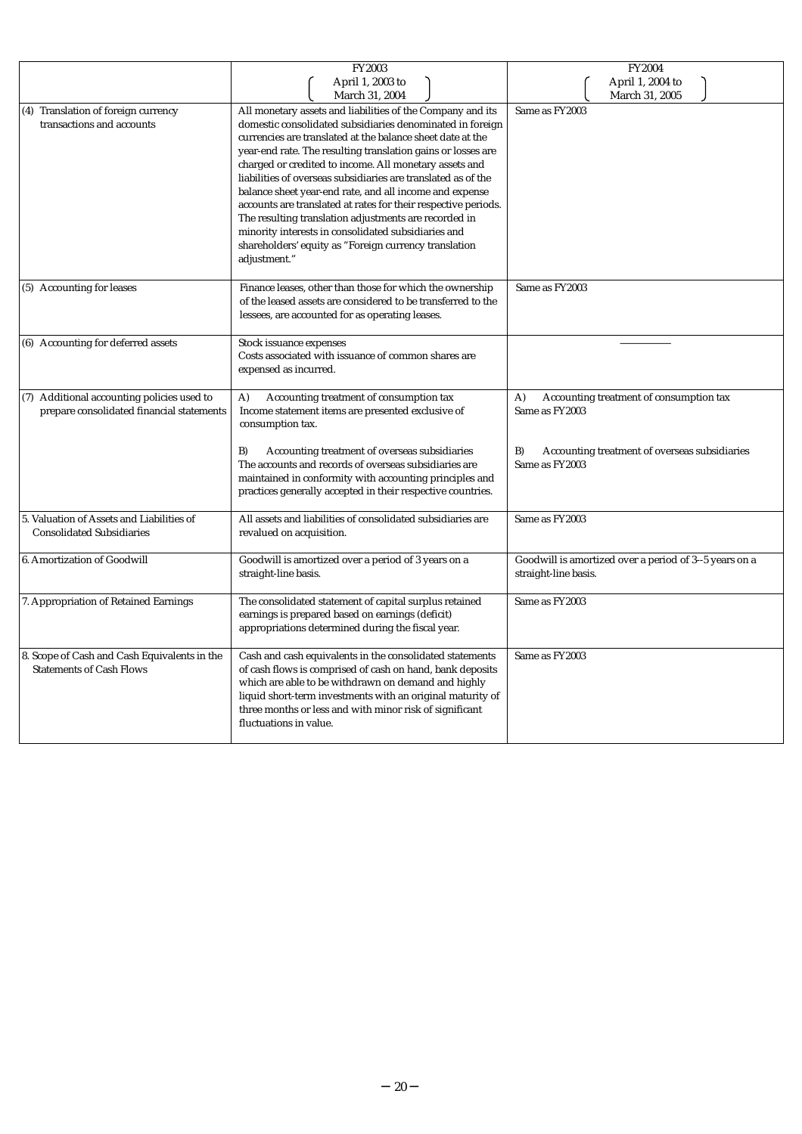|                                              | FY2003                                                         | FY2004                                                 |
|----------------------------------------------|----------------------------------------------------------------|--------------------------------------------------------|
|                                              | April 1, 2003 to                                               | April 1, 2004 to                                       |
|                                              | March 31, 2004                                                 | March 31, 2005                                         |
| (4) Translation of foreign currency          | All monetary assets and liabilities of the Company and its     | Same as FY2003                                         |
| transactions and accounts                    | domestic consolidated subsidiaries denominated in foreign      |                                                        |
|                                              | currencies are translated at the balance sheet date at the     |                                                        |
|                                              | year-end rate. The resulting translation gains or losses are   |                                                        |
|                                              | charged or credited to income. All monetary assets and         |                                                        |
|                                              | liabilities of overseas subsidiaries are translated as of the  |                                                        |
|                                              | balance sheet year-end rate, and all income and expense        |                                                        |
|                                              | accounts are translated at rates for their respective periods. |                                                        |
|                                              | The resulting translation adjustments are recorded in          |                                                        |
|                                              | minority interests in consolidated subsidiaries and            |                                                        |
|                                              | shareholders' equity as "Foreign currency translation          |                                                        |
|                                              | adjustment."                                                   |                                                        |
|                                              |                                                                |                                                        |
| (5) Accounting for leases                    | Finance leases, other than those for which the ownership       | Same as FY2003                                         |
|                                              | of the leased assets are considered to be transferred to the   |                                                        |
|                                              | lessees, are accounted for as operating leases.                |                                                        |
| (6) Accounting for deferred assets           | Stock issuance expenses                                        |                                                        |
|                                              | Costs associated with issuance of common shares are            |                                                        |
|                                              | expensed as incurred.                                          |                                                        |
|                                              |                                                                |                                                        |
| (7) Additional accounting policies used to   | Accounting treatment of consumption tax<br>A)                  | Accounting treatment of consumption tax<br>A)          |
| prepare consolidated financial statements    | Income statement items are presented exclusive of              | Same as FY2003                                         |
|                                              | consumption tax.                                               |                                                        |
|                                              |                                                                |                                                        |
|                                              | B)<br>Accounting treatment of overseas subsidiaries            | Accounting treatment of overseas subsidiaries<br>B)    |
|                                              | The accounts and records of overseas subsidiaries are          | Same as FY2003                                         |
|                                              | maintained in conformity with accounting principles and        |                                                        |
|                                              | practices generally accepted in their respective countries.    |                                                        |
| 5. Valuation of Assets and Liabilities of    | All assets and liabilities of consolidated subsidiaries are    | Same as FY2003                                         |
| <b>Consolidated Subsidiaries</b>             | revalued on acquisition.                                       |                                                        |
|                                              |                                                                |                                                        |
| 6. Amortization of Goodwill                  | Goodwill is amortized over a period of 3 years on a            | Goodwill is amortized over a period of 3--5 years on a |
|                                              | straight-line basis.                                           | straight-line basis.                                   |
|                                              |                                                                |                                                        |
| 7. Appropriation of Retained Earnings        | The consolidated statement of capital surplus retained         | Same as FY2003                                         |
|                                              | earnings is prepared based on earnings (deficit)               |                                                        |
|                                              | appropriations determined during the fiscal year.              |                                                        |
| 8. Scope of Cash and Cash Equivalents in the | Cash and cash equivalents in the consolidated statements       | Same as FY2003                                         |
| <b>Statements of Cash Flows</b>              | of cash flows is comprised of cash on hand, bank deposits      |                                                        |
|                                              | which are able to be withdrawn on demand and highly            |                                                        |
|                                              | liquid short-term investments with an original maturity of     |                                                        |
|                                              | three months or less and with minor risk of significant        |                                                        |
|                                              | fluctuations in value.                                         |                                                        |
|                                              |                                                                |                                                        |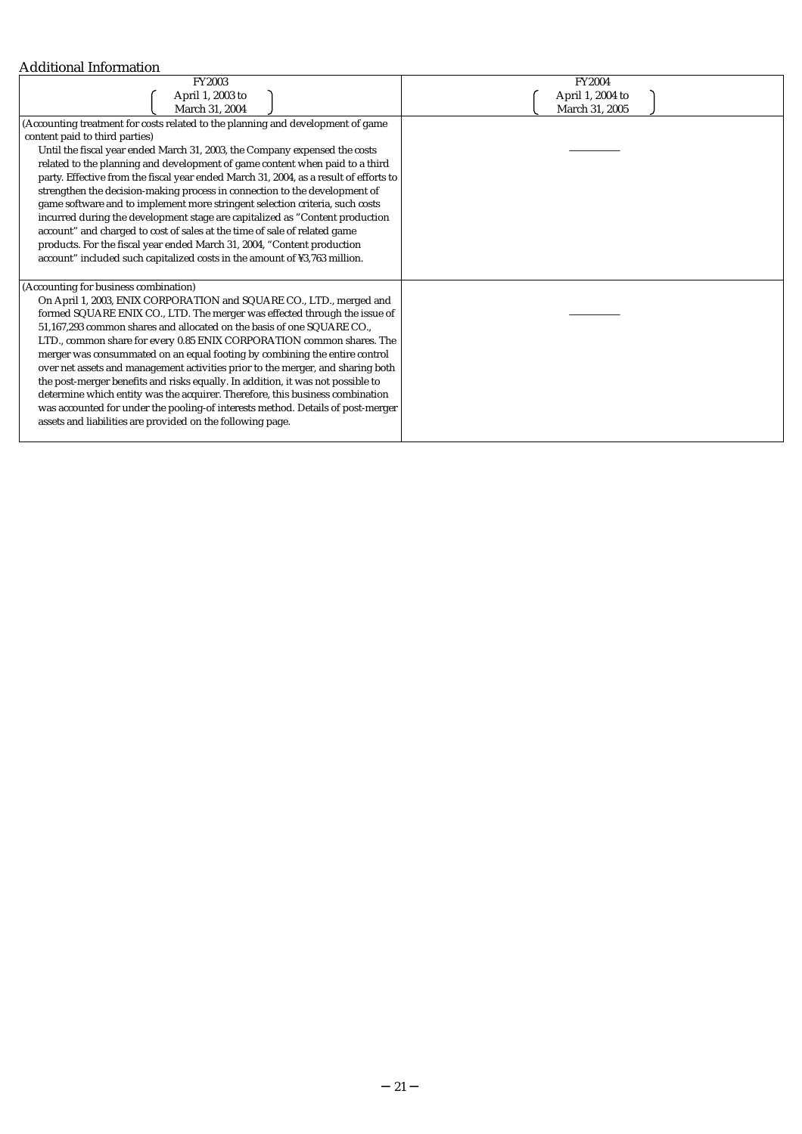## Additional Information

| <b>FY2004</b>                                                                         |
|---------------------------------------------------------------------------------------|
| April 1, 2004 to                                                                      |
| March 31, 2005                                                                        |
|                                                                                       |
|                                                                                       |
|                                                                                       |
|                                                                                       |
| party. Effective from the fiscal year ended March 31, 2004, as a result of efforts to |
|                                                                                       |
|                                                                                       |
|                                                                                       |
|                                                                                       |
|                                                                                       |
|                                                                                       |
|                                                                                       |
|                                                                                       |
|                                                                                       |
|                                                                                       |
|                                                                                       |
|                                                                                       |
|                                                                                       |
|                                                                                       |
|                                                                                       |
|                                                                                       |
| was accounted for under the pooling-of interests method. Details of post-merger       |
|                                                                                       |
|                                                                                       |
|                                                                                       |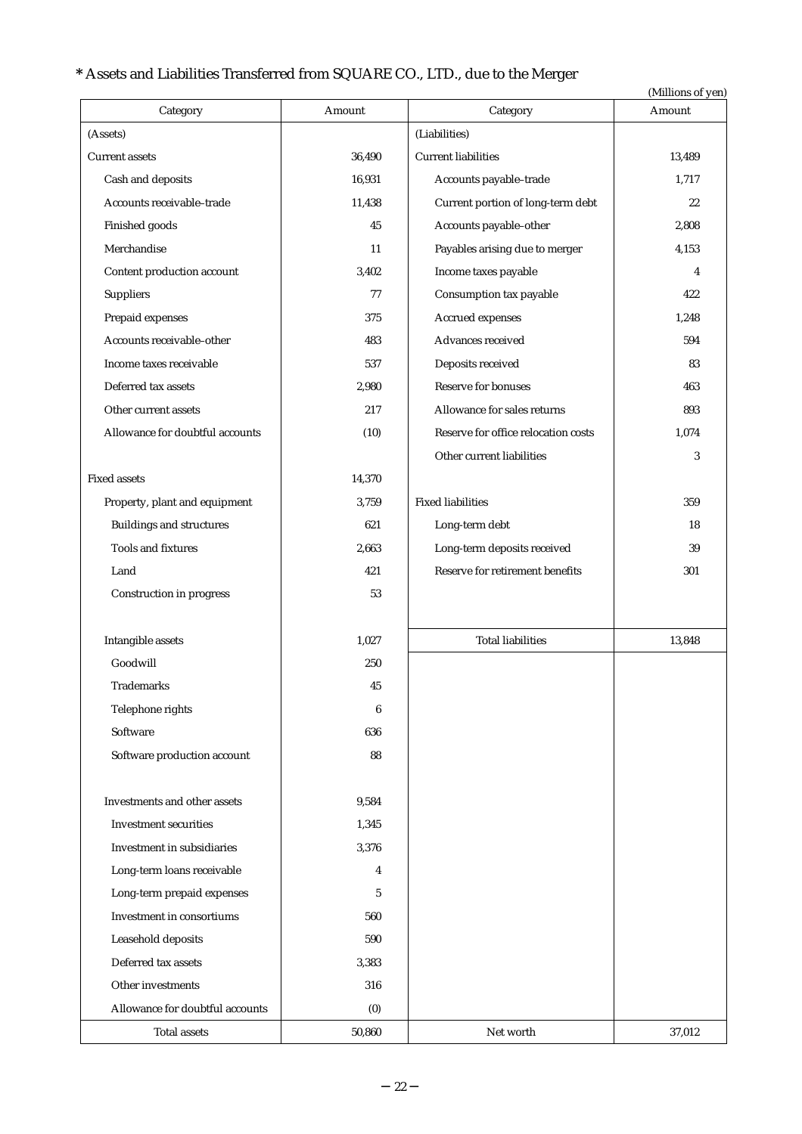# **\*** Assets and Liabilities Transferred from SQUARE CO., LTD., due to the Merger

|                                 |                  |                                     | (Millions of yen) |
|---------------------------------|------------------|-------------------------------------|-------------------|
| Category                        | Amount           | Category                            | Amount            |
| (Assets)                        |                  | (Liabilities)                       |                   |
| <b>Current assets</b>           | 36,490           | <b>Current liabilities</b>          | 13,489            |
| Cash and deposits               | 16,931           | Accounts payable-trade              | 1,717             |
| Accounts receivable-trade       | 11,438           | Current portion of long-term debt   | 22                |
| Finished goods                  | 45               | Accounts payable-other              | 2,808             |
| Merchandise                     | 11               | Payables arising due to merger      | 4,153             |
| Content production account      | 3,402            | Income taxes payable                | $\overline{4}$    |
| Suppliers                       | 77               | Consumption tax payable             | 422               |
| Prepaid expenses                | 375              | Accrued expenses                    | 1,248             |
| Accounts receivable-other       | 483              | Advances received                   | 594               |
| Income taxes receivable         | 537              | Deposits received                   | 83                |
| Deferred tax assets             | 2,980            | Reserve for bonuses                 | 463               |
| Other current assets            | 217              | Allowance for sales returns         | 893               |
| Allowance for doubtful accounts | (10)             | Reserve for office relocation costs | 1,074             |
|                                 |                  | Other current liabilities           | 3                 |
| <b>Fixed assets</b>             | 14,370           |                                     |                   |
| Property, plant and equipment   | 3,759            | <b>Fixed liabilities</b>            | 359               |
| <b>Buildings and structures</b> | 621              | Long-term debt                      | 18                |
| <b>Tools and fixtures</b>       | 2,663            | Long-term deposits received         | 39                |
| Land                            | 421              | Reserve for retirement benefits     | 301               |
| Construction in progress        | 53               |                                     |                   |
|                                 |                  |                                     |                   |
| Intangible assets               | 1,027            | <b>Total liabilities</b>            | 13,848            |
| Goodwill                        | 250              |                                     |                   |
| Trademarks                      | 45               |                                     |                   |
| Telephone rights                | $\boldsymbol{6}$ |                                     |                   |
| Software                        | 636              |                                     |                   |
| Software production account     | 88               |                                     |                   |
|                                 |                  |                                     |                   |
| Investments and other assets    | 9,584            |                                     |                   |
| <b>Investment securities</b>    | 1,345            |                                     |                   |
| Investment in subsidiaries      | 3,376            |                                     |                   |
| Long-term loans receivable      | $\overline{4}$   |                                     |                   |
| Long-term prepaid expenses      | 5                |                                     |                   |
| Investment in consortiums       | 560              |                                     |                   |
| Leasehold deposits              | 590              |                                     |                   |
| Deferred tax assets             | 3,383            |                                     |                   |
| Other investments               | 316              |                                     |                   |
| Allowance for doubtful accounts | (0)              |                                     |                   |
| <b>Total assets</b>             | 50,860           | Net worth                           | 37,012            |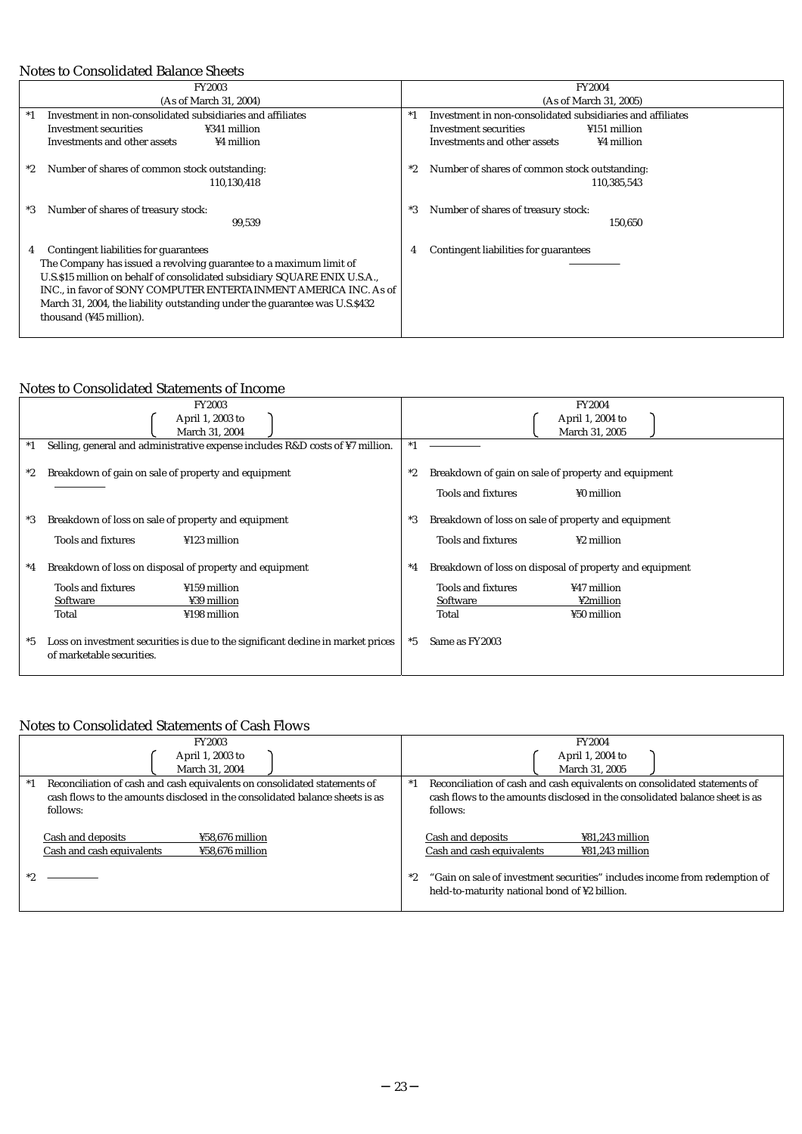## Notes to Consolidated Balance Sheets

| www.co-componition.com/andrews/                                                                                                                                                                                                                                                                                                                                             |                                                                    |  |  |  |  |
|-----------------------------------------------------------------------------------------------------------------------------------------------------------------------------------------------------------------------------------------------------------------------------------------------------------------------------------------------------------------------------|--------------------------------------------------------------------|--|--|--|--|
| <b>FY2003</b>                                                                                                                                                                                                                                                                                                                                                               | <b>FY2004</b>                                                      |  |  |  |  |
| (As of March 31, 2004)                                                                                                                                                                                                                                                                                                                                                      | (As of March 31, 2005)                                             |  |  |  |  |
| Investment in non-consolidated subsidiaries and affiliates                                                                                                                                                                                                                                                                                                                  | Investment in non-consolidated subsidiaries and affiliates<br>$*1$ |  |  |  |  |
| ¥341 million<br>Investment securities                                                                                                                                                                                                                                                                                                                                       | ¥151 million<br>Investment securities                              |  |  |  |  |
| ¥4 million<br>Investments and other assets                                                                                                                                                                                                                                                                                                                                  | ¥4 million<br>Investments and other assets                         |  |  |  |  |
| Number of shares of common stock outstanding:<br>110,130,418                                                                                                                                                                                                                                                                                                                | Number of shares of common stock outstanding:<br>110,385,543       |  |  |  |  |
| Number of shares of treasury stock:<br>$^*3$<br>99,539                                                                                                                                                                                                                                                                                                                      | Number of shares of treasury stock:<br>*3<br>150,650               |  |  |  |  |
| Contingent liabilities for guarantees<br>4<br>The Company has issued a revolving guarantee to a maximum limit of<br>U.S.\$15 million on behalf of consolidated subsidiary SQUARE ENIX U.S.A.,<br>INC., in favor of SONY COMPUTER ENTERTAINMENT AMERICA INC. As of<br>March 31, 2004, the liability outstanding under the guarantee was U.S.\$432<br>thousand (¥45 million). | Contingent liabilities for guarantees                              |  |  |  |  |

### Notes to Consolidated Statements of Income

| <b>FY2003</b>                                                                             | <b>FY2004</b>                                                    |  |  |  |  |
|-------------------------------------------------------------------------------------------|------------------------------------------------------------------|--|--|--|--|
| April 1, 2003 to                                                                          | April 1, 2004 to                                                 |  |  |  |  |
| March 31, 2004                                                                            | March 31, 2005                                                   |  |  |  |  |
| Selling, general and administrative expense includes R&D costs of ¥7 million.<br>$^*1$    | $*1$                                                             |  |  |  |  |
|                                                                                           |                                                                  |  |  |  |  |
| Breakdown of gain on sale of property and equipment<br>$^*2$                              | Breakdown of gain on sale of property and equipment<br>*2        |  |  |  |  |
|                                                                                           | <b>Tools and fixtures</b><br>¥0 million                          |  |  |  |  |
|                                                                                           |                                                                  |  |  |  |  |
| Breakdown of loss on sale of property and equipment<br>$*3$                               | Breakdown of loss on sale of property and equipment<br>$*3$      |  |  |  |  |
| <b>Tools and fixtures</b><br>¥123 million                                                 | <b>Tools and fixtures</b><br>¥2 million                          |  |  |  |  |
| Breakdown of loss on disposal of property and equipment<br>*4                             | Breakdown of loss on disposal of property and equipment<br>$^*4$ |  |  |  |  |
|                                                                                           |                                                                  |  |  |  |  |
| <b>Tools and fixtures</b><br>¥159 million                                                 | <b>Tools and fixtures</b><br>¥47 million                         |  |  |  |  |
| Software<br>¥39 million                                                                   | ¥2million<br>Software                                            |  |  |  |  |
| ¥198 million<br>Total                                                                     | Total<br>¥50 million                                             |  |  |  |  |
|                                                                                           |                                                                  |  |  |  |  |
| Loss on investment securities is due to the significant decline in market prices<br>$^*5$ | Same as FY2003<br>$*5$                                           |  |  |  |  |
| of marketable securities.                                                                 |                                                                  |  |  |  |  |

# Notes to Consolidated Statements of Cash Flows

| <b>FY2003</b>                                                                | <b>FY2004</b>                                                                       |  |  |  |  |
|------------------------------------------------------------------------------|-------------------------------------------------------------------------------------|--|--|--|--|
| April 1, 2003 to                                                             | April 1, 2004 to                                                                    |  |  |  |  |
| March 31, 2004                                                               | March 31, 2005                                                                      |  |  |  |  |
| Reconciliation of cash and cash equivalents on consolidated statements of    | Reconciliation of cash and cash equivalents on consolidated statements of           |  |  |  |  |
| cash flows to the amounts disclosed in the consolidated balance sheets is as | cash flows to the amounts disclosed in the consolidated balance sheet is as         |  |  |  |  |
| follows:                                                                     | follows:                                                                            |  |  |  |  |
|                                                                              |                                                                                     |  |  |  |  |
| Cash and deposits<br>¥58.676 million                                         | Cash and deposits<br>¥81.243 million                                                |  |  |  |  |
| Cash and cash equivalents<br>¥58,676 million                                 | Cash and cash equivalents<br>¥81,243 million                                        |  |  |  |  |
|                                                                              |                                                                                     |  |  |  |  |
| $*2$                                                                         | "Gain on sale of investment securities" includes income from redemption of<br>$^*2$ |  |  |  |  |
|                                                                              | held-to-maturity national bond of ¥2 billion.                                       |  |  |  |  |
|                                                                              |                                                                                     |  |  |  |  |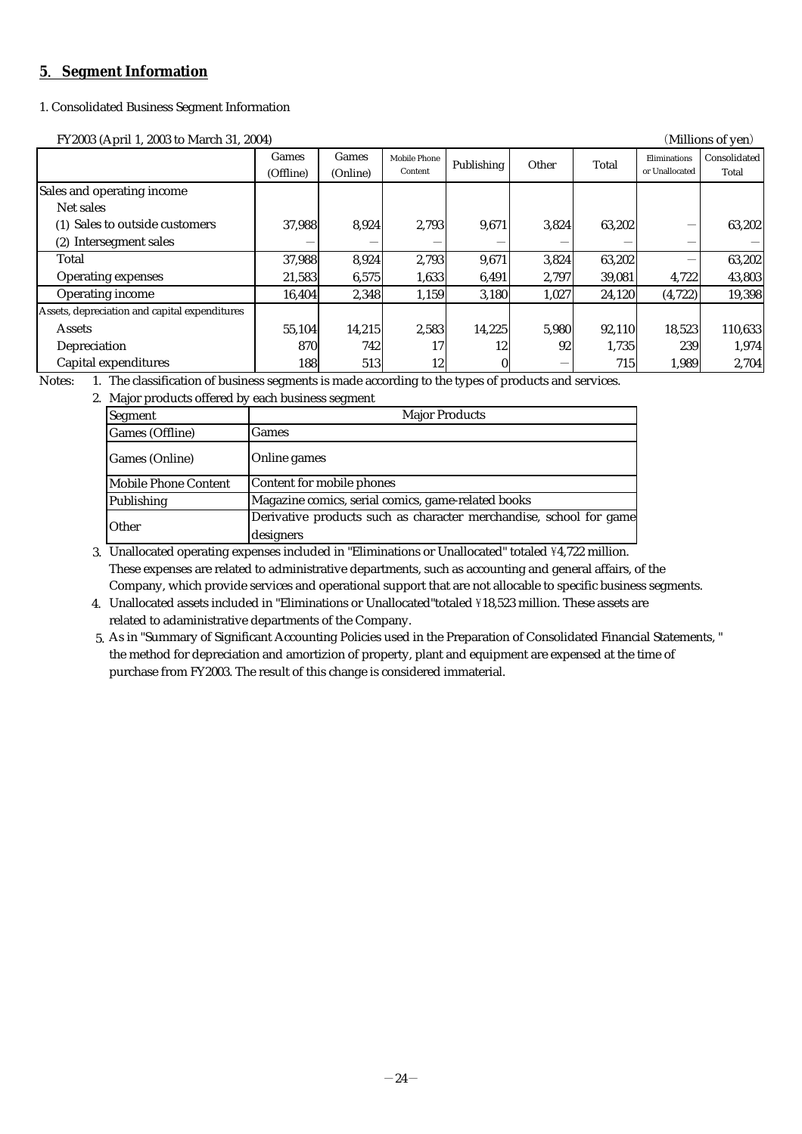## **5**.**Segment Information**

#### 1. Consolidated Business Segment Information

FY2003 (April 1, 2003 to March 31, 2004) (Millions of yen)

|                                               | Games<br>(Offline) | Games<br>(Online) | Mobile Phone<br>Content | Publishing | Other | Total  | Eliminations<br>or Unallocated | Consolidated<br>Total |
|-----------------------------------------------|--------------------|-------------------|-------------------------|------------|-------|--------|--------------------------------|-----------------------|
|                                               |                    |                   |                         |            |       |        |                                |                       |
| Sales and operating income                    |                    |                   |                         |            |       |        |                                |                       |
| Net sales                                     |                    |                   |                         |            |       |        |                                |                       |
| (1) Sales to outside customers                | 37,988             | 8,924             | 2,793                   | 9,671      | 3,824 | 63,202 |                                | 63,202                |
| (2) Intersegment sales                        |                    |                   |                         |            |       |        |                                |                       |
| Total                                         | 37,988             | 8,924             | 2,793                   | 9,671      | 3,824 | 63,202 |                                | 63,202                |
| <b>Operating expenses</b>                     | 21,583             | 6,575             | 1,633                   | 6,491      | 2,797 | 39,081 | 4,722                          | 43,803                |
| <b>Operating income</b>                       | 16,404             | 2.348             | 1,159                   | 3,180      | 1,027 | 24,120 | (4, 722)                       | 19,398                |
| Assets, depreciation and capital expenditures |                    |                   |                         |            |       |        |                                |                       |
| <b>Assets</b>                                 | 55,104             | 14,215            | 2,583                   | 14,225     | 5,980 | 92,110 | 18,523                         | 110,633               |
| Depreciation                                  | 870                | 742               | 17                      | 12         | 92    | 1,735  | 239                            | 1,974                 |
| Capital expenditures                          | 188                | 513               | 12                      |            | —     | 715    | 1,989                          | 2.704                 |

Notes: 1. The classification of business segments is made according to the types of products and services.

2. Major products offered by each business segment

| Segment                     | <b>Major Products</b>                                              |
|-----------------------------|--------------------------------------------------------------------|
| Games (Offline)             | Games                                                              |
| Games (Online)              | Online games                                                       |
| <b>Mobile Phone Content</b> | Content for mobile phones                                          |
| Publishing                  | Magazine comics, serial comics, game-related books                 |
|                             | Derivative products such as character merchandise, school for game |
| Other                       | designers                                                          |

3. Unallocated operating expenses included in "Eliminations or Unallocated" totaled \4,722 million. These expenses are related to administrative departments, such as accounting and general affairs, of the Company, which provide services and operational support that are not allocable to specific business segments.

4. Unallocated assets included in "Eliminations or Unallocated"totaled \18,523 million. These assets are related to adaministrative departments of the Company.

5. As in "Summary of Significant Accounting Policies used in the Preparation of Consolidated Financial Statements, " purchase from FY2003. The result of this change is considered immaterial. the method for depreciation and amortizion of property, plant and equipment are expensed at the time of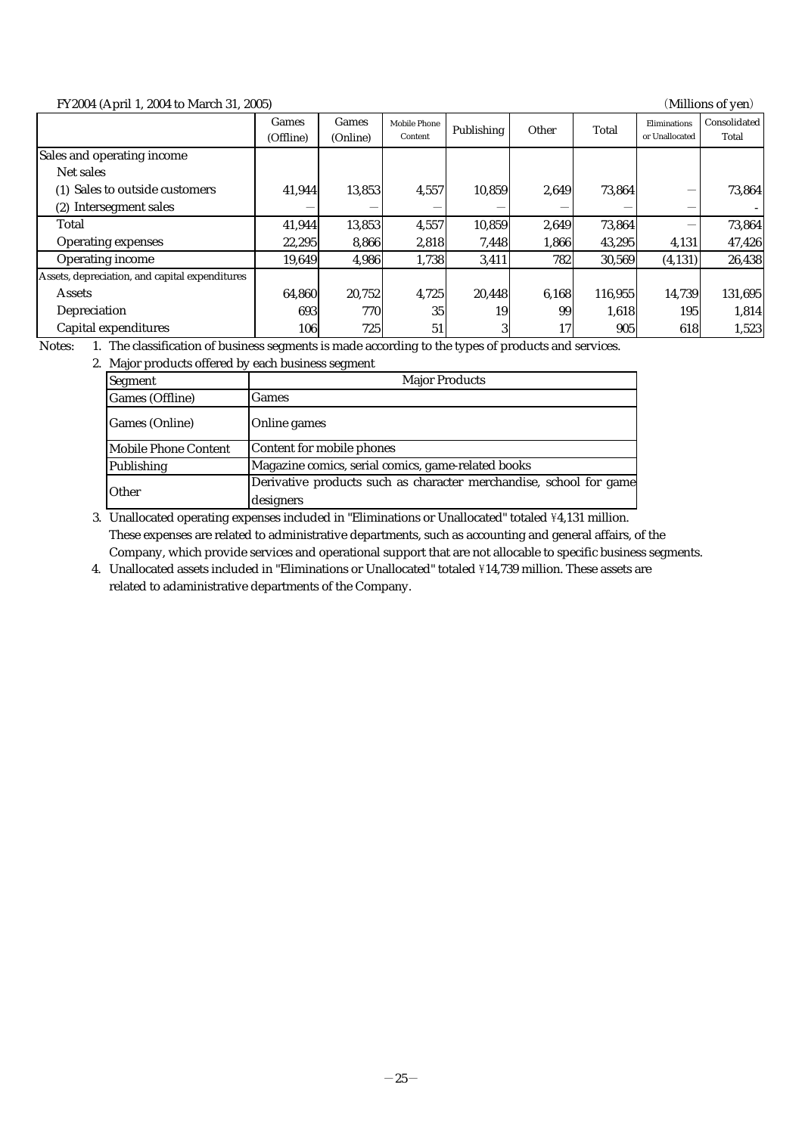### $FY2004$  (April 1, 2004 to March 31, 2005) (Millions of yen)

| 1' 12004 (April 1, 2004 to March 31, 2003)     |                    |                   |                         |            |       |         |                                |                       |
|------------------------------------------------|--------------------|-------------------|-------------------------|------------|-------|---------|--------------------------------|-----------------------|
|                                                | Games<br>(Offline) | Games<br>(Online) | Mobile Phone<br>Content | Publishing | Other | Total   | Eliminations<br>or Unallocated | Consolidated<br>Total |
| Sales and operating income                     |                    |                   |                         |            |       |         |                                |                       |
| Net sales                                      |                    |                   |                         |            |       |         |                                |                       |
| (1) Sales to outside customers                 | 41,944             | 13,853            | 4,557                   | 10,859     | 2,649 | 73,864  |                                | 73,864                |
| (2) Intersegment sales                         |                    |                   |                         |            |       |         |                                |                       |
| Total                                          | 41,944             | 13,853            | 4,557                   | 10,859     | 2,649 | 73,864  |                                | 73,864                |
| <b>Operating expenses</b>                      | 22,295             | 8,866             | 2,818                   | 7,448      | 1,866 | 43,295  | 4,131                          | 47,426                |
| <b>Operating income</b>                        | 19.649             | 4,986             | 1,738                   | 3,411      | 782   | 30,569  | (4, 131)                       | 26,438                |
| Assets, depreciation, and capital expenditures |                    |                   |                         |            |       |         |                                |                       |
| <b>Assets</b>                                  | 64,860             | 20,752            | 4,725                   | 20,448     | 6.168 | 116,955 | 14,739                         | 131,695               |
| Depreciation                                   | 693                | 770               | 35                      | 19         | 99    | 1,618   | 195                            | 1,814                 |
| Capital expenditures                           | 106                | 725               | 51                      |            | 17    | 905     | 618                            | 1,523                 |

Notes: 1. The classification of business segments is made according to the types of products and services.

#### 2. Major products offered by each business segment

| Segment              | <b>Major Products</b>                                              |
|----------------------|--------------------------------------------------------------------|
| Games (Offline)      | Games                                                              |
| Games (Online)       | Online games                                                       |
| Mobile Phone Content | Content for mobile phones                                          |
| Publishing           | Magazine comics, serial comics, game-related books                 |
| Other                | Derivative products such as character merchandise, school for game |
|                      | designers                                                          |

3. Unallocated operating expenses included in "Eliminations or Unallocated" totaled \4,131 million. These expenses are related to administrative departments, such as accounting and general affairs, of the Company, which provide services and operational support that are not allocable to specific business segments.

4. Unallocated assets included in "Eliminations or Unallocated" totaled \14,739 million. These assets are related to adaministrative departments of the Company.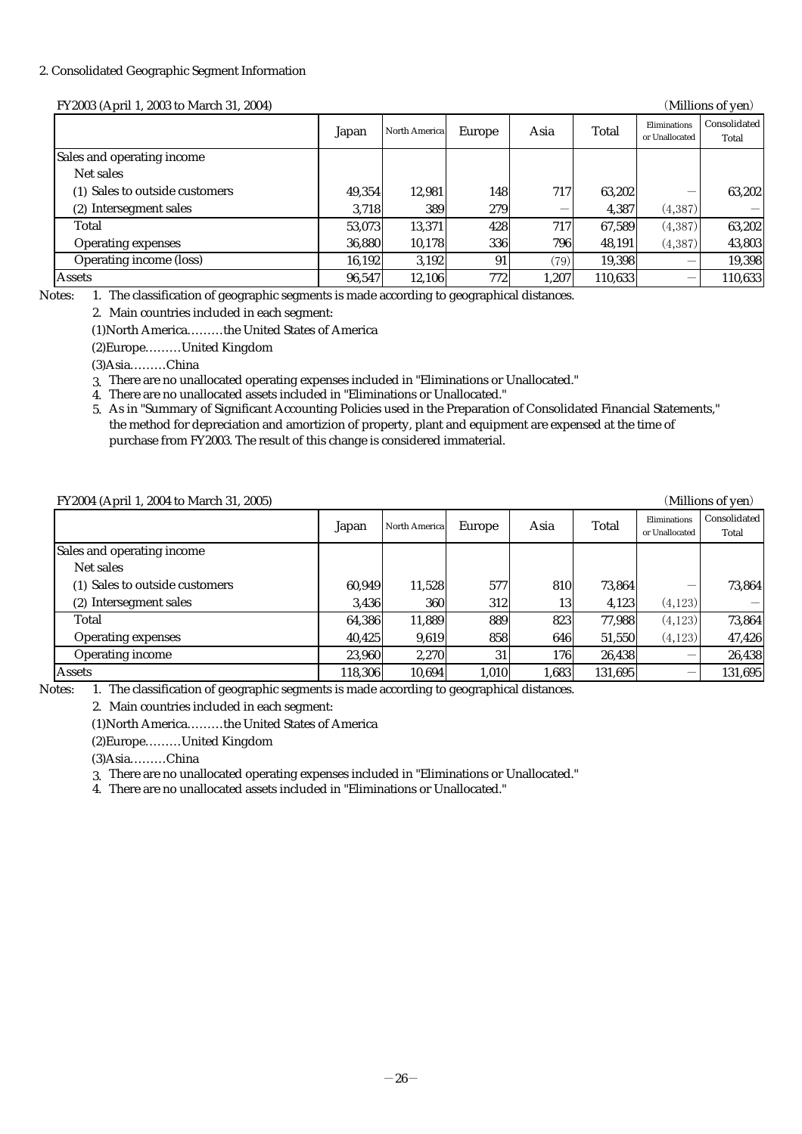### 2. Consolidated Geographic Segment Information

#### $FY2003$  (April 1, 2003 to March 31, 2004) (Millions of yen)

| $1.12003$ (April 1, 2003 to March 31, 2004)<br>$\mu$ |        |               |        |            |         |                                |                       |
|------------------------------------------------------|--------|---------------|--------|------------|---------|--------------------------------|-----------------------|
|                                                      | Japan  | North America | Europe | Asia       | Total   | Eliminations<br>or Unallocated | Consolidated<br>Total |
| Sales and operating income                           |        |               |        |            |         |                                |                       |
| Net sales                                            |        |               |        |            |         |                                |                       |
| (1) Sales to outside customers                       | 49,354 | 12,981        | 148    | <b>717</b> | 63,202  |                                | 63,202                |
| (2) Intersegment sales                               | 3,718  | 389           | 279    |            | 4.387   | (4,387)                        |                       |
| Total                                                | 53,073 | 13,371        | 428    | <b>717</b> | 67,589  | (4,387)                        | 63,202                |
| <b>Operating expenses</b>                            | 36.880 | 10,178        | 336    | 796I       | 48,191  | (4,387)                        | 43,803                |
| Operating income (loss)                              | 16,192 | 3,192         | 91     | (79)       | 19,398  |                                | 19,398                |
| <b>Assets</b>                                        | 96,547 | 12,106        | 772    | 1.207      | 110,633 |                                | 110.633               |

Notes: 1. The classification of geographic segments is made according to geographical distances.

2. Main countries included in each segment:

(1)North America………the United States of America

(2)Europe………United Kingdom

(3)Asia………China

3. There are no unallocated operating expenses included in "Eliminations or Unallocated."

4. There are no unallocated assets included in "Eliminations or Unallocated."

5. As in "Summary of Significant Accounting Policies used in the Preparation of Consolidated Financial Statements," the method for depreciation and amortizion of property, plant and equipment are expensed at the time of purchase from FY2003. The result of this change is considered immaterial.

FY2004 (April 1, 2004 to March 31, 2005) (Millions of yen)

|                                | Japan    | North America | Europe | Asia            | Total   | Eliminations<br>or Unallocated | Consolidated<br>Total |
|--------------------------------|----------|---------------|--------|-----------------|---------|--------------------------------|-----------------------|
| Sales and operating income     |          |               |        |                 |         |                                |                       |
| Net sales                      |          |               |        |                 |         |                                |                       |
| (1) Sales to outside customers | 60,949   | 11,528        | 577    | 81 <sub>0</sub> | 73.864  |                                | 73,864                |
| (2) Intersegment sales         | 3,436    | <b>360</b>    | 312    | 13              | 4,123   | (4,123)                        |                       |
| Total                          | 64,386   | 11,889        | 889    | 823             | 77,988  | (4,123)                        | 73,864                |
| <b>Operating expenses</b>      | 40,425   | 9,619         | 858    | 646             | 51,550  | (4,123)                        | 47,426                |
| <b>Operating income</b>        | 23.960   | 2.270         | 31     | 1761            | 26.438  |                                | 26,438                |
| <b>Assets</b>                  | 118.3061 | 10.694        | 1,010  | 1,683           | 131,695 |                                | 131,695               |

Notes: 1. The classification of geographic segments is made according to geographical distances.

2. Main countries included in each segment:

(1)North America………the United States of America

(2)Europe………United Kingdom

(3)Asia………China

3. There are no unallocated operating expenses included in "Eliminations or Unallocated."

4. There are no unallocated assets included in "Eliminations or Unallocated."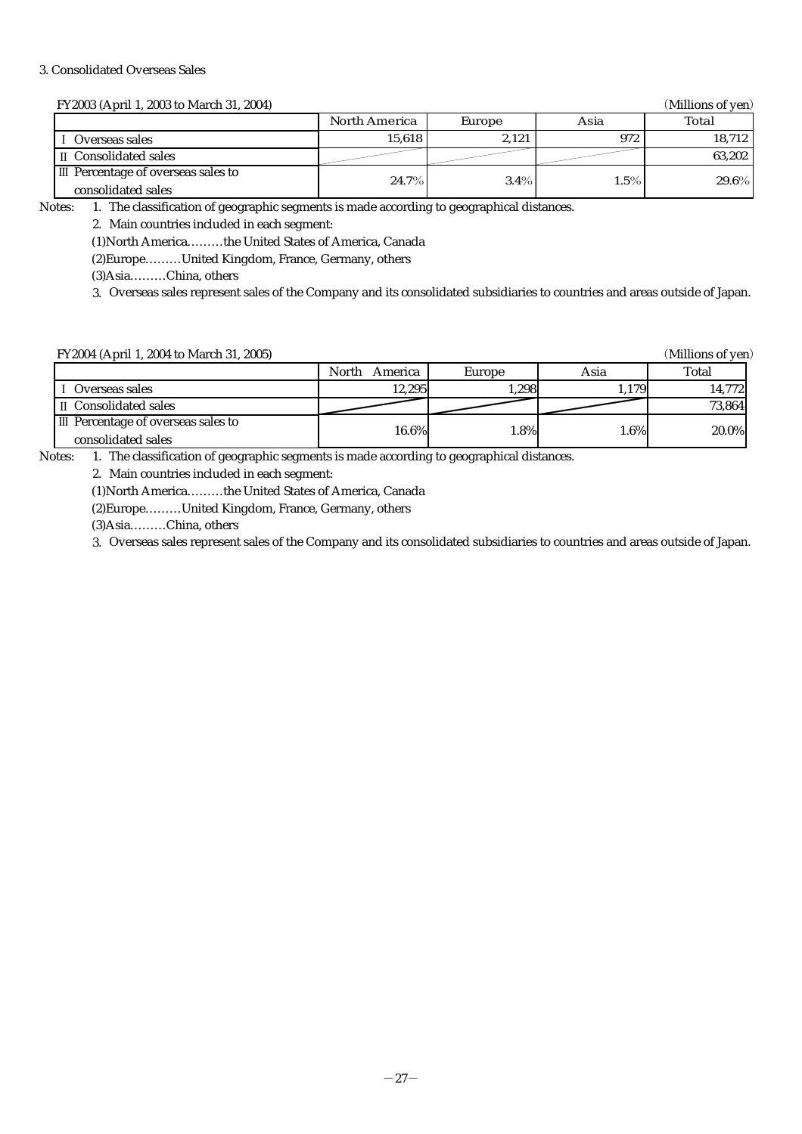#### 3. Consolidated Overseas Sales

FY2003 (April 1, 2003 to March 31, 2004) (Millions of yen)

| $\Gamma$ 1 2003 (April 1, 2003 to March 31, 2004)         |               |         |         | диннону от уен |
|-----------------------------------------------------------|---------------|---------|---------|----------------|
|                                                           | North America | Europe  | Asia    | Total          |
| Overseas sales                                            | 15.618        | 2,121   | 972     | 18.712         |
| I Consolidated sales                                      |               |         |         | 63.202         |
| III Percentage of overseas sales to<br>consolidated sales | $24.7\%$      | $3.4\%$ | $1.5\%$ | $29.6\%$       |

Notes: 1. The classification of geographic segments is made according to geographical distances.

2. Main countries included in each segment:

(1)North America………the United States of America, Canada

(2)Europe………United Kingdom, France, Germany, others

(3)Asia………China, others

3. Overseas sales represent sales of the Company and its consolidated subsidiaries to countries and areas outside of Japan.

FY2004 (April 1, 2004 to March 31, 2005) (Millions of yen)

|                                     | North<br>America | Europe | Asia    | Total  |
|-------------------------------------|------------------|--------|---------|--------|
| Overseas sales                      | 12.295           | 1.298  | 1,179   | 14.772 |
| II Consolidated sales               |                  |        |         | 73,864 |
| III Percentage of overseas sales to | $16.6\%$         | 1.8%   | $1.6\%$ | 20.0%  |
| consolidated sales                  |                  |        |         |        |

Notes: 1. The classification of geographic segments is made according to geographical distances.

2. Main countries included in each segment:

(1)North America………the United States of America, Canada

(2)Europe………United Kingdom, France, Germany, others

(3)Asia………China, others

3. Overseas sales represent sales of the Company and its consolidated subsidiaries to countries and areas outside of Japan.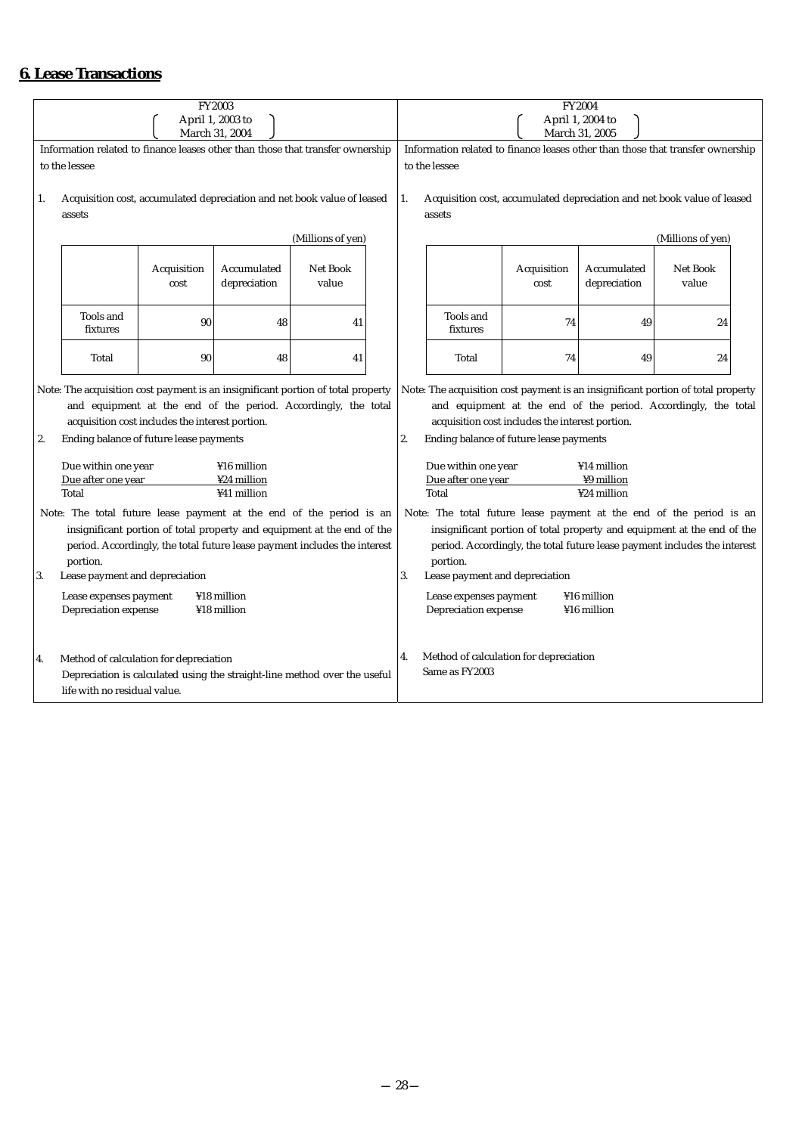# **6. Lease Transactions**

| FY2003<br>April 1, 2003 to<br>March 31, 2004                                                                                                                                                                                                                                    |                                                                                                                                                     |                                                 |                                                                                                                                                                                                                                                                                 | FY2004<br>April 1, 2004 to<br>March 31, 2005 |        |                                                                                                                                                                                                                                                        |                                                          |                                                                         |                             |                                                                                |
|---------------------------------------------------------------------------------------------------------------------------------------------------------------------------------------------------------------------------------------------------------------------------------|-----------------------------------------------------------------------------------------------------------------------------------------------------|-------------------------------------------------|---------------------------------------------------------------------------------------------------------------------------------------------------------------------------------------------------------------------------------------------------------------------------------|----------------------------------------------|--------|--------------------------------------------------------------------------------------------------------------------------------------------------------------------------------------------------------------------------------------------------------|----------------------------------------------------------|-------------------------------------------------------------------------|-----------------------------|--------------------------------------------------------------------------------|
|                                                                                                                                                                                                                                                                                 | Information related to finance leases other than those that transfer ownership<br>to the lessee                                                     |                                                 |                                                                                                                                                                                                                                                                                 |                                              |        |                                                                                                                                                                                                                                                        | to the lessee                                            |                                                                         |                             | Information related to finance leases other than those that transfer ownership |
| Acquisition cost, accumulated depreciation and net book value of leased<br>1.<br>assets                                                                                                                                                                                         |                                                                                                                                                     |                                                 |                                                                                                                                                                                                                                                                                 | 1.                                           | assets |                                                                                                                                                                                                                                                        |                                                          | Acquisition cost, accumulated depreciation and net book value of leased |                             |                                                                                |
|                                                                                                                                                                                                                                                                                 |                                                                                                                                                     |                                                 |                                                                                                                                                                                                                                                                                 | (Millions of yen)                            |        |                                                                                                                                                                                                                                                        |                                                          |                                                                         |                             | (Millions of yen)                                                              |
|                                                                                                                                                                                                                                                                                 |                                                                                                                                                     | Acquisition<br>cost                             | Accumulated<br>depreciation                                                                                                                                                                                                                                                     | Net Book<br>value                            |        |                                                                                                                                                                                                                                                        |                                                          | Acquisition<br>cost                                                     | Accumulated<br>depreciation | Net Book<br>value                                                              |
|                                                                                                                                                                                                                                                                                 | Tools and<br>fixtures                                                                                                                               | 90                                              | 48                                                                                                                                                                                                                                                                              | 41                                           |        |                                                                                                                                                                                                                                                        | <b>Tools and</b><br>fixtures                             | 74                                                                      | 49                          | 24                                                                             |
|                                                                                                                                                                                                                                                                                 | Total                                                                                                                                               | 90                                              | 48                                                                                                                                                                                                                                                                              | 41                                           |        |                                                                                                                                                                                                                                                        | Total                                                    | 74                                                                      | 49                          | 24                                                                             |
| 2.                                                                                                                                                                                                                                                                              | Note: The acquisition cost payment is an insignificant portion of total property<br>Ending balance of future lease payments                         | acquisition cost includes the interest portion. | and equipment at the end of the period. Accordingly, the total                                                                                                                                                                                                                  |                                              |        | Note: The acquisition cost payment is an insignificant portion of total property<br>and equipment at the end of the period. Accordingly, the total<br>acquisition cost includes the interest portion.<br>2.<br>Ending balance of future lease payments |                                                          |                                                                         |                             |                                                                                |
|                                                                                                                                                                                                                                                                                 | Due within one year<br>Due after one year<br>Total                                                                                                  |                                                 | ¥16 million<br>¥24 million<br>¥41 million                                                                                                                                                                                                                                       |                                              |        | Due within one year<br>¥14 million<br>Due after one year<br>¥9 million<br>Total<br>¥24 million                                                                                                                                                         |                                                          |                                                                         |                             |                                                                                |
| Note: The total future lease payment at the end of the period is an<br>insignificant portion of total property and equipment at the end of the<br>period. Accordingly, the total future lease payment includes the interest<br>portion.<br>3.<br>Lease payment and depreciation |                                                                                                                                                     |                                                 | Note: The total future lease payment at the end of the period is an<br>insignificant portion of total property and equipment at the end of the<br>period. Accordingly, the total future lease payment includes the interest<br>portion.<br>3.<br>Lease payment and depreciation |                                              |        |                                                                                                                                                                                                                                                        |                                                          |                                                                         |                             |                                                                                |
|                                                                                                                                                                                                                                                                                 | Lease expenses payment<br>Depreciation expense                                                                                                      |                                                 | ¥18 million<br>¥18 million                                                                                                                                                                                                                                                      |                                              |        |                                                                                                                                                                                                                                                        | Lease expenses payment<br>Depreciation expense           |                                                                         | ¥16 million<br>¥16 million  |                                                                                |
| 4.                                                                                                                                                                                                                                                                              | Method of calculation for depreciation<br>Depreciation is calculated using the straight-line method over the useful<br>life with no residual value. |                                                 |                                                                                                                                                                                                                                                                                 |                                              |        | 4.                                                                                                                                                                                                                                                     | Method of calculation for depreciation<br>Same as FY2003 |                                                                         |                             |                                                                                |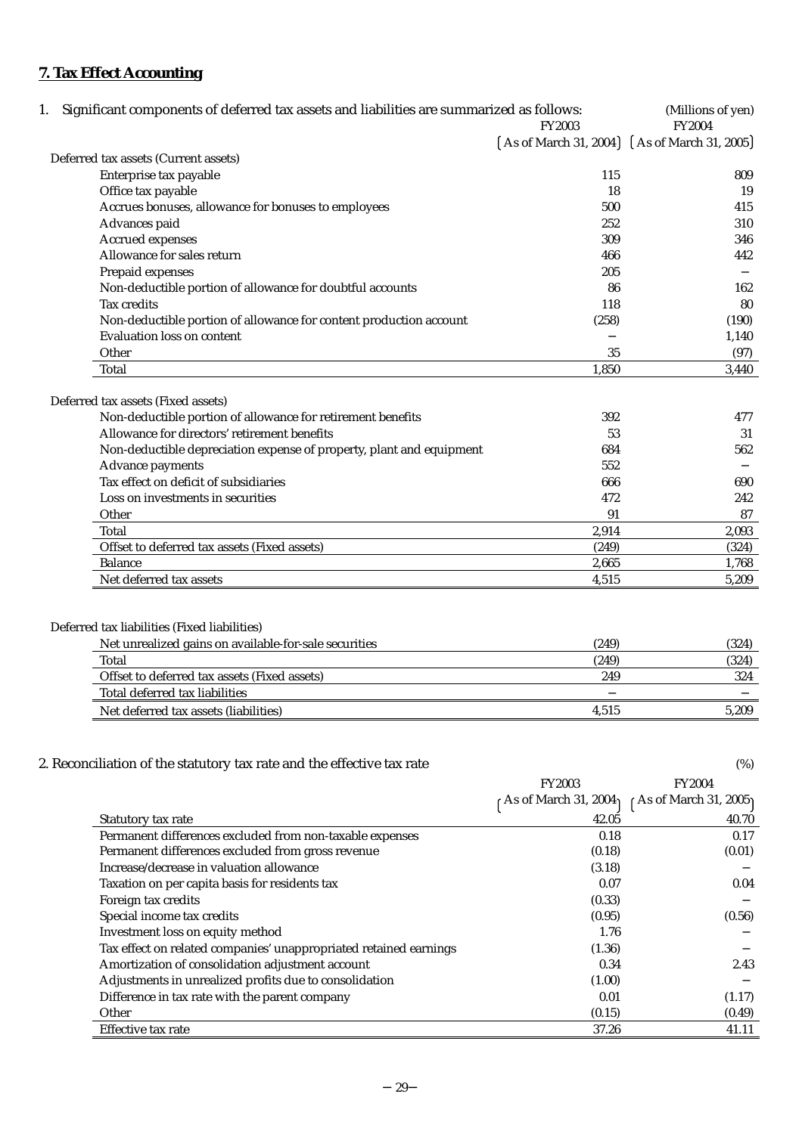# **7. Tax Effect Accounting**

| 1. Significant components of deferred tax assets and liabilities are summarized as follows: | FY2003 | (Millions of yen)<br>FY2004                       |
|---------------------------------------------------------------------------------------------|--------|---------------------------------------------------|
|                                                                                             |        | $[As of March 31, 2004]$ $[As of March 31, 2005]$ |
| Deferred tax assets (Current assets)                                                        |        |                                                   |
| Enterprise tax payable                                                                      | 115    | 809                                               |
| Office tax payable                                                                          | 18     | 19                                                |
| Accrues bonuses, allowance for bonuses to employees                                         | 500    | 415                                               |
| Advances paid                                                                               | 252    | 310                                               |
| Accrued expenses                                                                            | 309    | 346                                               |
| Allowance for sales return                                                                  | 466    | 442                                               |
| Prepaid expenses                                                                            | 205    |                                                   |
| Non-deductible portion of allowance for doubtful accounts                                   | 86     | 162                                               |
| Tax credits                                                                                 | 118    | 80                                                |
| Non-deductible portion of allowance for content production account                          | (258)  | (190)                                             |
| Evaluation loss on content                                                                  |        | 1,140                                             |
| Other                                                                                       | 35     | (97)                                              |
| Total                                                                                       | 1,850  | 3,440                                             |
| Deferred tax assets (Fixed assets)                                                          |        |                                                   |
| Non-deductible portion of allowance for retirement benefits                                 | 392    | 477                                               |
| Allowance for directors' retirement benefits                                                | 53     | 31                                                |
| Non-deductible depreciation expense of property, plant and equipment                        | 684    | 562                                               |
| Advance payments                                                                            | 552    |                                                   |
| Tax effect on deficit of subsidiaries                                                       | 666    | 690                                               |
| Loss on investments in securities                                                           | 472    | 242                                               |
| Other                                                                                       | 91     | 87                                                |
| Total                                                                                       | 2,914  | 2,093                                             |
| Offset to deferred tax assets (Fixed assets)                                                | (249)  | (324)                                             |
| <b>Balance</b>                                                                              | 2,665  | 1,768                                             |
| Net deferred tax assets                                                                     | 4,515  | 5,209                                             |
| Deferred tax liabilities (Fixed liabilities)                                                |        |                                                   |
| Net unrealized gains on available-for-sale securities                                       | (249)  | (324)                                             |
| Total                                                                                       | (249)  | (324)                                             |
| Offset to deferred tax assets (Fixed assets)                                                | 249    | 324                                               |
| Total deferred tax liabilities                                                              |        |                                                   |
| Net deferred tax assets (liabilities)                                                       | 4,515  | 5,209                                             |
|                                                                                             |        |                                                   |

# 2. Reconciliation of the statutory tax rate and the effective tax rate (%)

|                                                                   | <b>FY2003</b>          | <b>FY2004</b>          |
|-------------------------------------------------------------------|------------------------|------------------------|
|                                                                   | r As of March 31, 2004 | ו As of March 31, 2005 |
| Statutory tax rate                                                | 42.05                  | 40.70                  |
| Permanent differences excluded from non-taxable expenses          | 0.18                   | 0.17                   |
| Permanent differences excluded from gross revenue                 | (0.18)                 | (0.01)                 |
| Increase/decrease in valuation allowance                          | (3.18)                 |                        |
| Taxation on per capita basis for residents tax                    | 0.07                   | 0.04                   |
| Foreign tax credits                                               | (0.33)                 |                        |
| Special income tax credits                                        | (0.95)                 | (0.56)                 |
| Investment loss on equity method                                  | 1.76                   |                        |
| Tax effect on related companies' unappropriated retained earnings | (1.36)                 |                        |
| Amortization of consolidation adjustment account                  | 0.34                   | 2.43                   |
| Adjustments in unrealized profits due to consolidation            | (1.00)                 |                        |
| Difference in tax rate with the parent company                    | 0.01                   | (1.17)                 |
| Other                                                             | (0.15)                 | (0.49)                 |
| Effective tax rate                                                | 37.26                  | 41.11                  |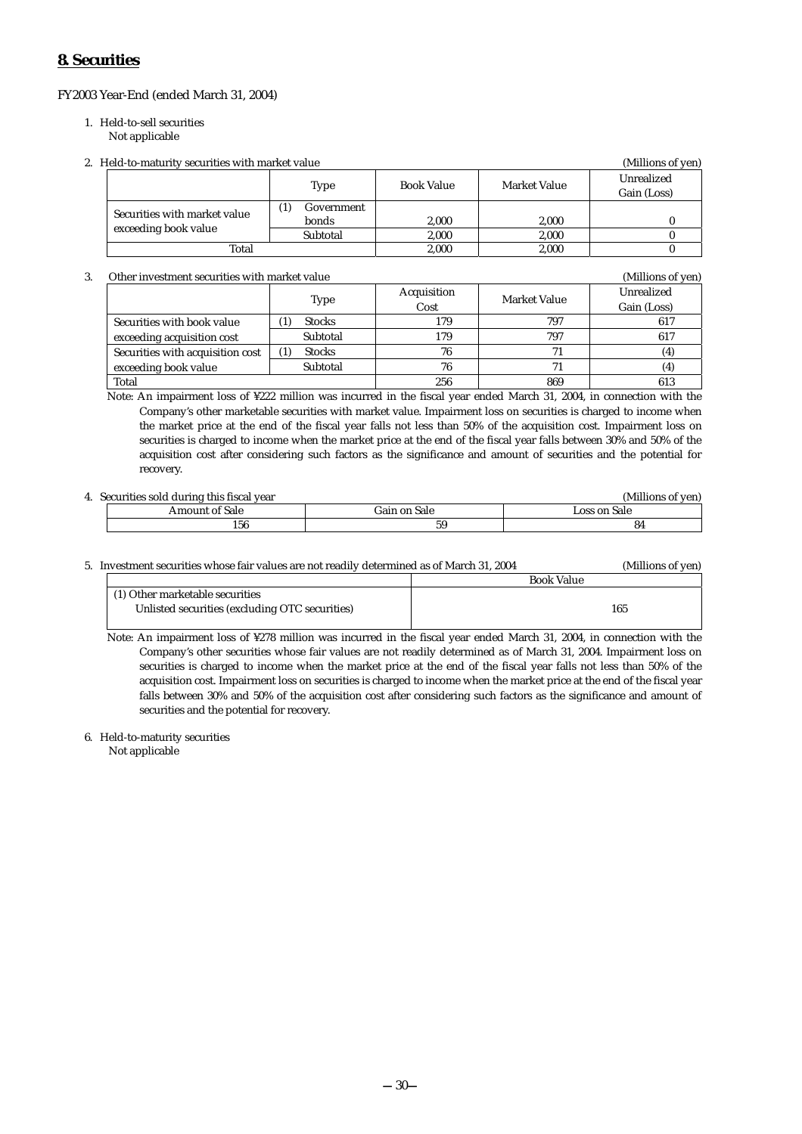# **8. Securities**

FY2003 Year-End (ended March 31, 2004)

- 1. Held-to-sell securities
	- Not applicable

| 2. Held-to-maturity securities with market value<br>(Millions of yen) |                            |                   |              |                           |  |
|-----------------------------------------------------------------------|----------------------------|-------------------|--------------|---------------------------|--|
|                                                                       | <b>Type</b>                | <b>Book Value</b> | Market Value | Unrealized<br>Gain (Loss) |  |
| Securities with market value<br>exceeding book value                  | (1)<br>Government<br>bonds | 2.000             | 2.000        |                           |  |
|                                                                       | Subtotal                   | 2.000             | 2.000        |                           |  |
| Total                                                                 |                            | 2.000             | 2.000        |                           |  |

3. Other investment securities with market value (Millions of yen)

|                                  | <b>Type</b>                       | Acquisition<br>Cost | Market Value | Unrealized<br>Gain (Loss) |
|----------------------------------|-----------------------------------|---------------------|--------------|---------------------------|
| Securities with book value       | <b>Stocks</b><br>$\left  \right $ | 179                 | 797          | 617                       |
| exceeding acquisition cost       | Subtotal                          | 179                 | 797          | 617                       |
| Securities with acquisition cost | <b>Stocks</b><br>$\left(1\right)$ | 76                  |              | (4)                       |
| exceeding book value             | Subtotal                          | 76                  |              | (4)                       |
| Total                            |                                   | 256                 | 869          | 613                       |

Note: An impairment loss of ¥222 million was incurred in the fiscal year ended March 31, 2004, in connection with the Company's other marketable securities with market value. Impairment loss on securities is charged to income when the market price at the end of the fiscal year falls not less than 50% of the acquisition cost. Impairment loss on securities is charged to income when the market price at the end of the fiscal year falls between 30% and 50% of the acquisition cost after considering such factors as the significance and amount of securities and the potential for recovery.

| <br>Securities sold during this fiscal year |              | (Millions<br>of ven |
|---------------------------------------------|--------------|---------------------|
| Amount of Sale                              | Gain on Sale | ∟oss on Sale        |
| 156                                         | 59           | Оʻ                  |

| Ⴢ. | Investment securities whose fair values are not readily determined as of March 31. | 2004          | (Millions of yen) |
|----|------------------------------------------------------------------------------------|---------------|-------------------|
|    |                                                                                    | Book<br>Value |                   |

|                                                | book value |
|------------------------------------------------|------------|
| (1) Other marketable securities                |            |
| Unlisted securities (excluding OTC securities) | 165        |
|                                                |            |

Note: An impairment loss of ¥278 million was incurred in the fiscal year ended March 31, 2004, in connection with the Company's other securities whose fair values are not readily determined as of March 31, 2004. Impairment loss on securities is charged to income when the market price at the end of the fiscal year falls not less than 50% of the acquisition cost. Impairment loss on securities is charged to income when the market price at the end of the fiscal year falls between 30% and 50% of the acquisition cost after considering such factors as the significance and amount of securities and the potential for recovery.

6. Held-to-maturity securities

Not applicable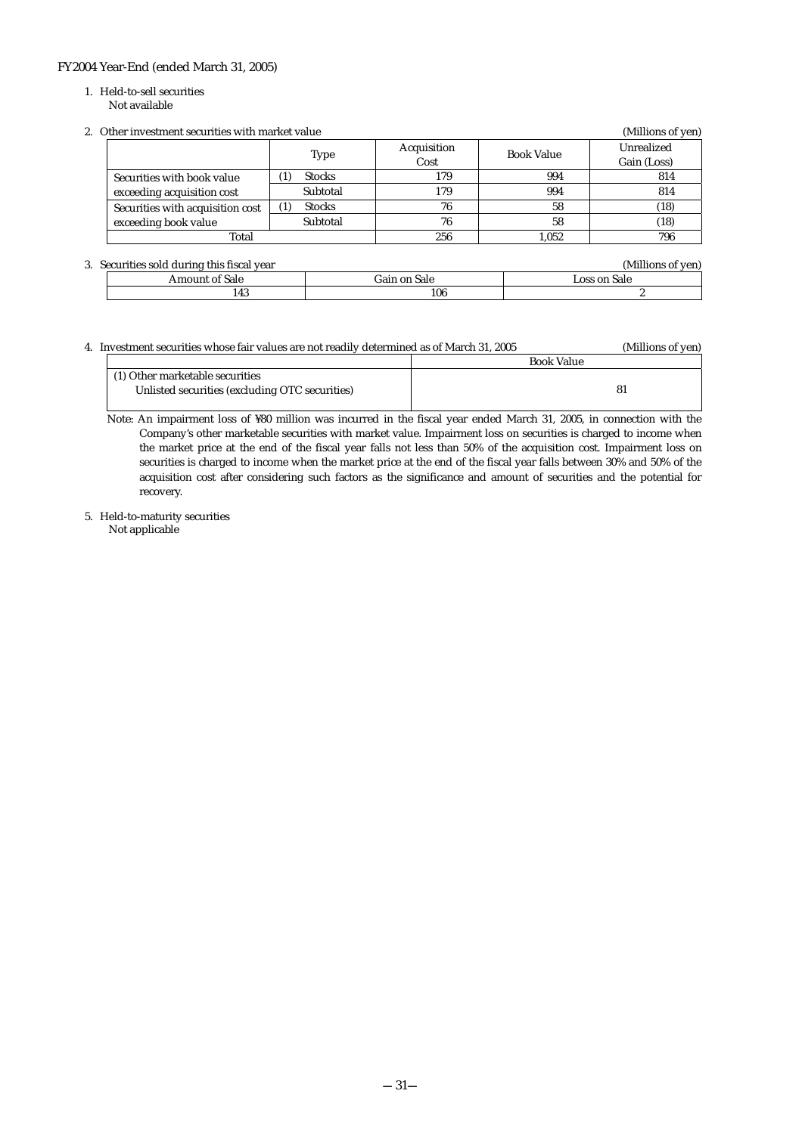#### FY2004 Year-End (ended March 31, 2005)

1. Held-to-sell securities Not available

|  |  | 2. Other investment securities with market value |
|--|--|--------------------------------------------------|
|  |  |                                                  |

| 2. Other investment securities with market value ( | (Millions of yen)                  |             |                   |             |
|----------------------------------------------------|------------------------------------|-------------|-------------------|-------------|
|                                                    | <b>Type</b>                        | Acquisition | <b>Book Value</b> | Unrealized  |
|                                                    |                                    | Cost        |                   | Gain (Loss) |
| Securities with book value                         | <b>Stocks</b>                      | 179         | 994               | 814         |
| exceeding acquisition cost                         | Subtotal                           | 179         | 994               | 814         |
| Securities with acquisition cost                   | <b>Stocks</b><br>$\left( 1\right)$ | 76          | 58                | (18)        |
| exceeding book value                               | Subtotal                           | 76          | 58                | (18)        |
| Total                                              |                                    | 256         | 1.052             | 796         |

#### 3. Securities sold during this fiscal year (Millions of yen)<br>
Amount of Sale (Millions of yen)<br>
Cain on Sale (Millions of yen) Amount of Sale Gain on Sale Gain on Sale 143 143 106 2

| Investment securities whose fair values are not readily determined as of March 31, 2005 |                   |  |
|-----------------------------------------------------------------------------------------|-------------------|--|
|                                                                                         | <b>Book Value</b> |  |
| (1) Other marketable securities                                                         |                   |  |
| Unlisted securities (excluding OTC securities)                                          |                   |  |
|                                                                                         |                   |  |

Note: An impairment loss of ¥80 million was incurred in the fiscal year ended March 31, 2005, in connection with the Company's other marketable securities with market value. Impairment loss on securities is charged to income when the market price at the end of the fiscal year falls not less than 50% of the acquisition cost. Impairment loss on securities is charged to income when the market price at the end of the fiscal year falls between 30% and 50% of the acquisition cost after considering such factors as the significance and amount of securities and the potential for recovery.

5. Held-to-maturity securities Not applicable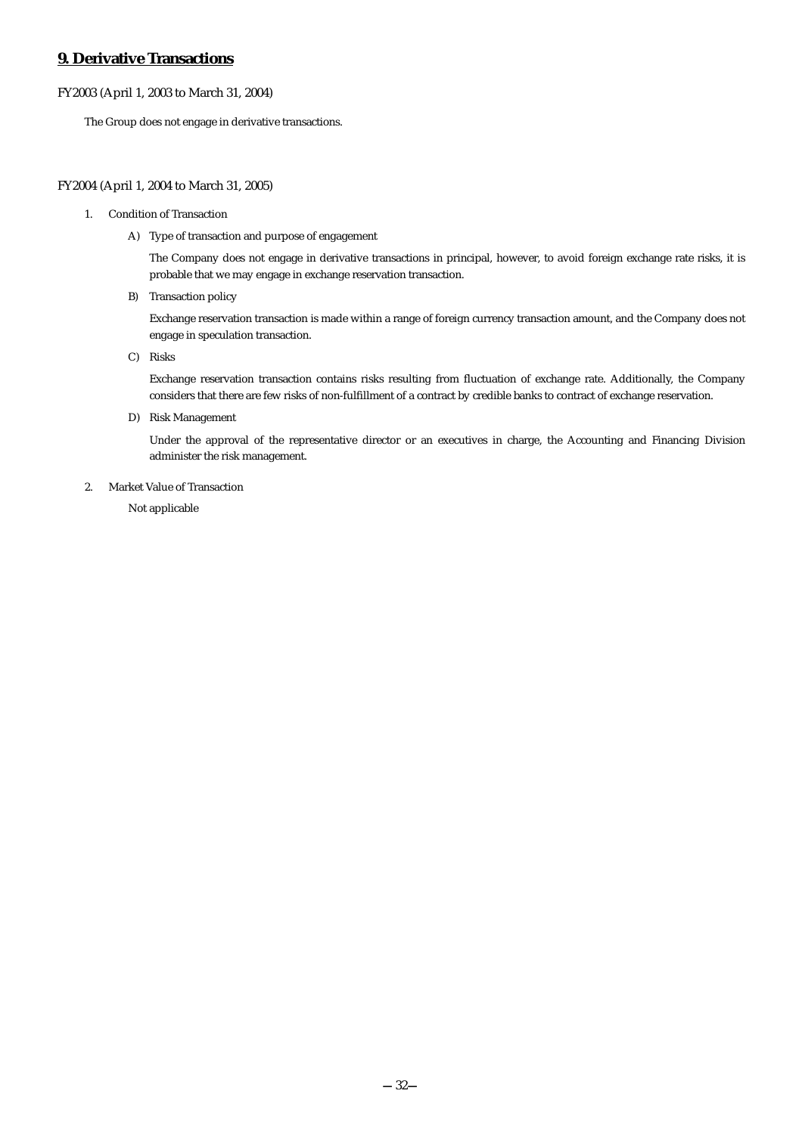### **9. Derivative Transactions**

#### FY2003 (April 1, 2003 to March 31, 2004)

The Group does not engage in derivative transactions.

#### FY2004 (April 1, 2004 to March 31, 2005)

- 1. Condition of Transaction
	- A) Type of transaction and purpose of engagement

The Company does not engage in derivative transactions in principal, however, to avoid foreign exchange rate risks, it is probable that we may engage in exchange reservation transaction.

B) Transaction policy

Exchange reservation transaction is made within a range of foreign currency transaction amount, and the Company does not engage in speculation transaction.

C) Risks

Exchange reservation transaction contains risks resulting from fluctuation of exchange rate. Additionally, the Company considers that there are few risks of non-fulfillment of a contract by credible banks to contract of exchange reservation.

D) Risk Management

Under the approval of the representative director or an executives in charge, the Accounting and Financing Division administer the risk management.

2. Market Value of Transaction

Not applicable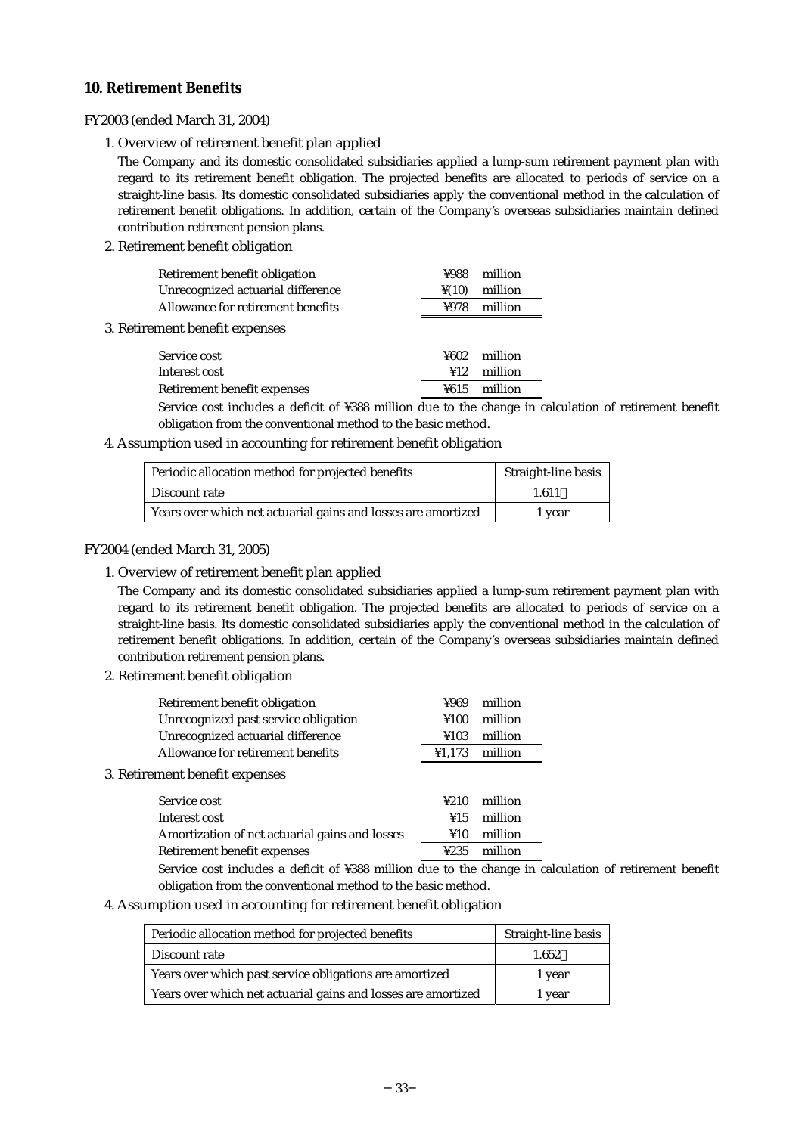## **10. Retirement Benefits**

FY2003 (ended March 31, 2004)

1. Overview of retirement benefit plan applied

The Company and its domestic consolidated subsidiaries applied a lump-sum retirement payment plan with regard to its retirement benefit obligation. The projected benefits are allocated to periods of service on a straight-line basis. Its domestic consolidated subsidiaries apply the conventional method in the calculation of retirement benefit obligations. In addition, certain of the Company's overseas subsidiaries maintain defined contribution retirement pension plans.

2. Retirement benefit obligation

| Retirement benefit obligation     | ¥988              | million |
|-----------------------------------|-------------------|---------|
| Unrecognized actuarial difference | $\frac{1}{2}(10)$ | million |
| Allowance for retirement benefits | ¥978              | million |
| 3. Retirement benefit expenses    |                   |         |
| Service cost                      | ¥602.             | million |

| Retirement benefit expenses | ¥615 million            |  |
|-----------------------------|-------------------------|--|
| Interest cost               | $\frac{12}{2}$ million  |  |
| JEI VILE LUJL               | $\pm 00\omega$ internet |  |

Service cost includes a deficit of ¥388 million due to the change in calculation of retirement benefit obligation from the conventional method to the basic method.

4. Assumption used in accounting for retirement benefit obligation

| Periodic allocation method for projected benefits             | Straight-line basis |
|---------------------------------------------------------------|---------------------|
| Discount rate                                                 | 1.611               |
| Years over which net actuarial gains and losses are amortized | 1 year              |

### FY2004 (ended March 31, 2005)

1. Overview of retirement benefit plan applied

The Company and its domestic consolidated subsidiaries applied a lump-sum retirement payment plan with regard to its retirement benefit obligation. The projected benefits are allocated to periods of service on a straight-line basis. Its domestic consolidated subsidiaries apply the conventional method in the calculation of retirement benefit obligations. In addition, certain of the Company's overseas subsidiaries maintain defined contribution retirement pension plans.

2. Retirement benefit obligation

| Retirement benefit obligation                  | ¥969   | million |
|------------------------------------------------|--------|---------|
| Unrecognized past service obligation           | ¥100   | million |
| Unrecognized actuarial difference              | ¥103   | million |
| Allowance for retirement benefits              | ¥1,173 | million |
| 3. Retirement benefit expenses                 |        |         |
| Service cost                                   | 4210   | million |
| Interest cost                                  | 415    | million |
| Amortization of net actuarial gains and losses | ¥10    | million |
| Retirement benefit expenses                    | 4235   | million |
|                                                |        |         |

Service cost includes a deficit of ¥388 million due to the change in calculation of retirement benefit obligation from the conventional method to the basic method.

### 4. Assumption used in accounting for retirement benefit obligation

| Periodic allocation method for projected benefits             | Straight-line basis |
|---------------------------------------------------------------|---------------------|
| Discount rate                                                 | 1.652               |
| Years over which past service obligations are amortized       | 1 year              |
| Years over which net actuarial gains and losses are amortized | 1 year              |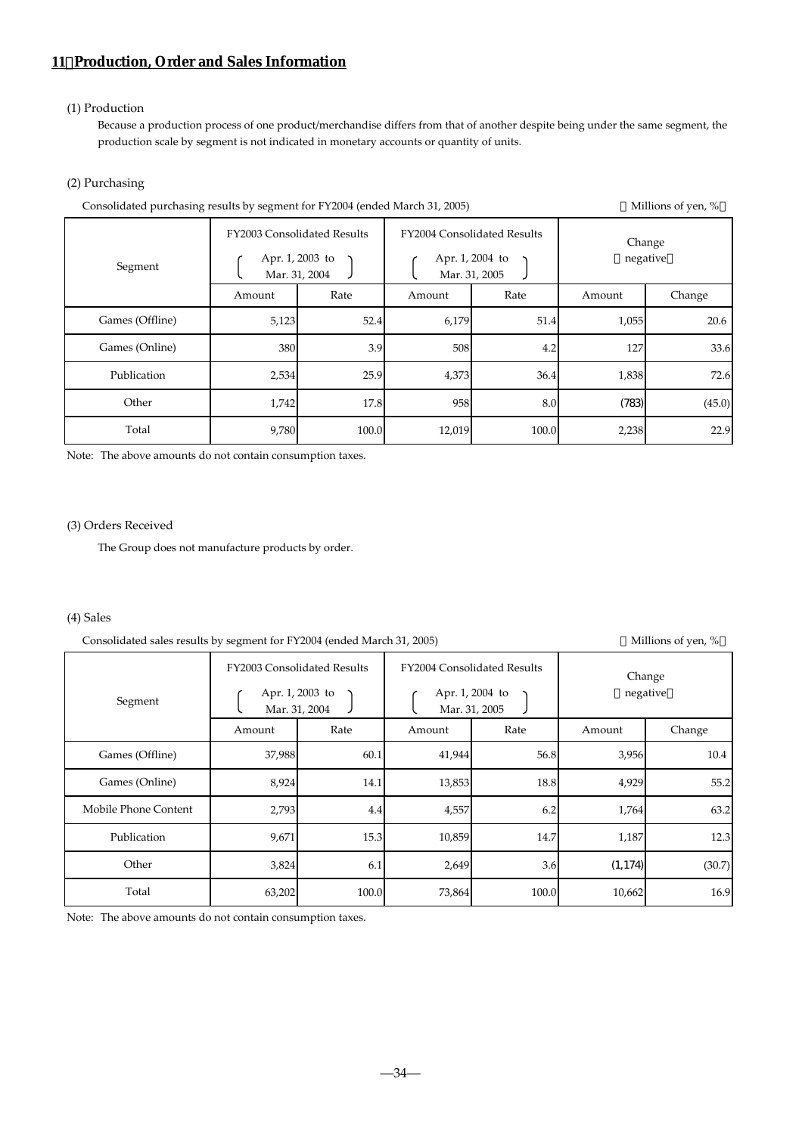## **11**.**Production, Order and Sales Information**

### (1) Production

Because a production process of one product/merchandise differs from that of another despite being under the same segment, the production scale by segment is not indicated in monetary accounts or quantity of units.

### (2) Purchasing

Consolidated purchasing results by segment for FY2004 (ended March 31, 2005) Millions of yen, % Amount | Rate | Amount | Rate | Amount | Change 5,123 52.4 6,179 51.4 1,055 20.6 380 3.9 3.9 508 4.2 127 33.6 2,534 25.9 4,373 36.4 1,838 72.6 1,742 17.8 958 8.0 (783) (45.0) 9,780 100.0 12,019 100.0 2,238 22.9 Segment FY2003 Consolidated Results Apr. 1, 2003 to 1 (Apr. 1, 2004 to Mar. 31, 2004 J U Mar. 31, 2005 Publication Other Games (Online) Total Change negative FY2004 Consolidated Results Games (Offline)

Note: The above amounts do not contain consumption taxes.

#### (3) Orders Received

The Group does not manufacture products by order.

#### (4) Sales

Consolidated sales results by segment for FY2004 (ended March 31, 2005) Millions of yen, %

| Segment              | FY2003 Consolidated Results<br>Apr. 1, 2003 to | Mar. 31, 2004 |        | FY2004 Consolidated Results<br>Apr. 1, 2004 to<br>Mar. 31, 2005 | Change<br>negative |        |  |
|----------------------|------------------------------------------------|---------------|--------|-----------------------------------------------------------------|--------------------|--------|--|
|                      | Amount                                         | Rate          | Amount | Rate                                                            | Amount             | Change |  |
| Games (Offline)      | 37,988                                         | 60.1          | 41,944 | 56.8                                                            | 3,956              | 10.4   |  |
| Games (Online)       | 8,924                                          | 14.1          | 13,853 | 18.8                                                            | 4,929              | 55.2   |  |
| Mobile Phone Content | 2,793                                          | 4.4           | 4,557  | 6.2                                                             | 1,764              | 63.2   |  |
| Publication          | 9,671                                          | 15.3          | 10,859 | 14.7                                                            | 1,187              | 12.3   |  |
| Other                | 3,824                                          | 6.1           | 2,649  | 3.6                                                             | (1, 174)           | (30.7) |  |
| Total                | 63,202                                         | 100.0         | 73,864 | 100.0                                                           | 10,662             | 16.9   |  |

Note: The above amounts do not contain consumption taxes.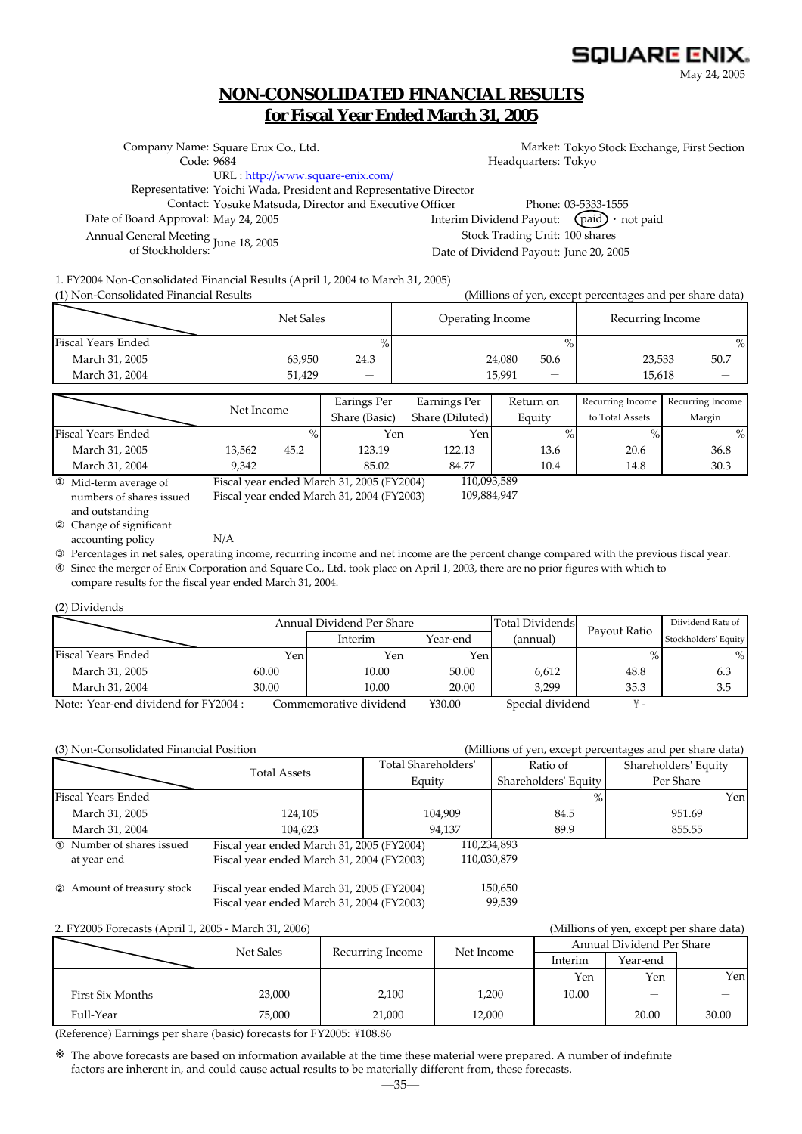# **SQUARE ENIX.**

May 24, 2005

# **NON-CONSOLIDATED FINANCIAL RESULTS for Fiscal Year Ended March 31, 2005**

|                                                          | Company Name: Square Enix Co., Ltd.                                |                                                                | Market: Tokyo Stock Exchange, First Section |  |  |  |
|----------------------------------------------------------|--------------------------------------------------------------------|----------------------------------------------------------------|---------------------------------------------|--|--|--|
| Code: 9684                                               |                                                                    | Headquarters: Tokyo                                            |                                             |  |  |  |
|                                                          | URL: http://www.square-enix.com/                                   |                                                                |                                             |  |  |  |
|                                                          | Representative: Yoichi Wada, President and Representative Director |                                                                |                                             |  |  |  |
|                                                          | Contact: Yosuke Matsuda, Director and Executive Officer            |                                                                | Phone: 03-5333-1555                         |  |  |  |
| Date of Board Approval: May 24, 2005                     |                                                                    | Interim Dividend Payout: $(\text{paid}) \cdot \text{not paid}$ |                                             |  |  |  |
|                                                          |                                                                    | Stock Trading Unit: 100 shares                                 |                                             |  |  |  |
| Annual General Meeting<br>of Stockholders: June 18, 2005 |                                                                    | Date of Dividend Payout: June 20, 2005                         |                                             |  |  |  |
|                                                          |                                                                    |                                                                |                                             |  |  |  |

1. FY2004 Non-Consolidated Financial Results (April 1, 2004 to March 31, 2005)

|  | (1) Non-Consolidated Financial Results |  |
|--|----------------------------------------|--|
|  |                                        |  |

| (1) Non-Consolidated Financial Results |                                           |               |                  | (Millions of yen, except percentages and per share data) |                  |                  |  |
|----------------------------------------|-------------------------------------------|---------------|------------------|----------------------------------------------------------|------------------|------------------|--|
|                                        | Net Sales                                 |               | Operating Income |                                                          | Recurring Income |                  |  |
| Fiscal Years Ended                     |                                           | $\%$          |                  | $\%$                                                     |                  | $\%$             |  |
| March 31, 2005                         | 63,950                                    | 24.3          |                  | 24,080<br>50.6                                           | 23,533           | 50.7             |  |
| March 31, 2004                         | 51.429                                    |               |                  | 15.991                                                   |                  | 15.618           |  |
|                                        |                                           | Earings Per   | Earnings Per     | Return on                                                | Recurring Income | Recurring Income |  |
|                                        | Net Income                                | Share (Basic) | Share (Diluted)  | Equity                                                   | to Total Assets  | Margin           |  |
| <b>Fiscal Years Ended</b>              |                                           | $\%$          | Yen<br>Yen       |                                                          | $\%$             | $\%$             |  |
| March 31, 2005                         | 45.2<br>13,562                            | 123.19        | 122.13           | 13.6                                                     | 20.6             | 36.8             |  |
| March 31, 2004                         | 9.342                                     | 85.02         | 84.77            | 10.4                                                     | 14.8             | 30.3             |  |
| Mid-term average of                    | Fiscal year ended March 31, 2005 (FY2004) |               | 110,093,589      |                                                          |                  |                  |  |

numbers of shares issued Mid-term average of and outstanding

Change of significant accounting policy

N/A

Percentages in net sales, operating income, recurring income and net income are the percent change compared with the previous fiscal year. Since the merger of Enix Corporation and Square Co., Ltd. took place on April 1, 2003, there are no prior figures with which to compare results for the fiscal year ended March 31, 2004.

109,884,947

#### (2) Dividends

|                                     |       | Annual Dividend Per Share |                    | Total Dividends  |              | Diividend Rate of    |
|-------------------------------------|-------|---------------------------|--------------------|------------------|--------------|----------------------|
|                                     |       | Interim                   | Year-end           | (annual)         | Pavout Ratio | Stockholders' Equity |
| Fiscal Years Ended                  | Yeni  | Yen                       | Yenl               |                  | $\%$         | %                    |
| March 31, 2005                      | 60.00 | 10.00                     | 50.00              | 6,612            | 48.8         | 6.3                  |
| March 31, 2004                      | 30.00 | 10.00                     | 20.00              | 3.299            | 35.3         | 3.5                  |
| Note: Voor and dividend for EV2004. |       | commomorativo dividond    | V <sub>20</sub> nn | Spocial dividend |              |                      |

Note: Year-end dividend for FY2004 : ¥30.00 Special dividend \ - Commemorative dividend

Fiscal year ended March 31, 2004 (FY2003)

| (3) Non-Consolidated Financial Position |                                           |                     | (Millions of yen, except percentages and per share data) |                      |  |  |  |
|-----------------------------------------|-------------------------------------------|---------------------|----------------------------------------------------------|----------------------|--|--|--|
|                                         | <b>Total Assets</b>                       | Total Shareholders' | Ratio of                                                 | Shareholders' Equity |  |  |  |
|                                         |                                           | Equity              | Shareholders' Equity                                     | Per Share            |  |  |  |
| Fiscal Years Ended                      |                                           |                     | $\mathbf{o}_k$                                           | Yen                  |  |  |  |
| March 31, 2005                          | 124,105                                   | 104,909             | 84.5                                                     | 951.69               |  |  |  |
| March 31, 2004                          | 104.623                                   | 94.137              | 89.9                                                     | 855.55               |  |  |  |
| Number of shares issued                 | Fiscal year ended March 31, 2005 (FY2004) | 110,234,893         |                                                          |                      |  |  |  |
| at year-end                             | Fiscal year ended March 31, 2004 (FY2003) | 110,030,879         |                                                          |                      |  |  |  |
| Amount of treasury stock                | Fiscal year ended March 31, 2005 (FY2004) |                     | 150,650                                                  |                      |  |  |  |
|                                         | Fiscal year ended March 31, 2004 (FY2003) |                     | 99,539                                                   |                      |  |  |  |

2. FY2005 Forecasts (April 1, 2005 - March 31, 2006) (Millions of yen, except per share data) Yen Yen First Six Months Interim Year-end 23,000 75,000 21,000  $2,100$  1,200 10.00 -  $-$ Net Sales Recurring Income Net Income Full-Year 30.00 Annual Dividend Per Share - 20.00 Yen 1,200 12,000 10.00  $\overline{\phantom{0}}$ 

(Reference) Earnings per share (basic) forecasts for FY2005: \108.86

factors are inherent in, and could cause actual results to be materially different from, these forecasts. The above forecasts are based on information available at the time these material were prepared. A number of indefinite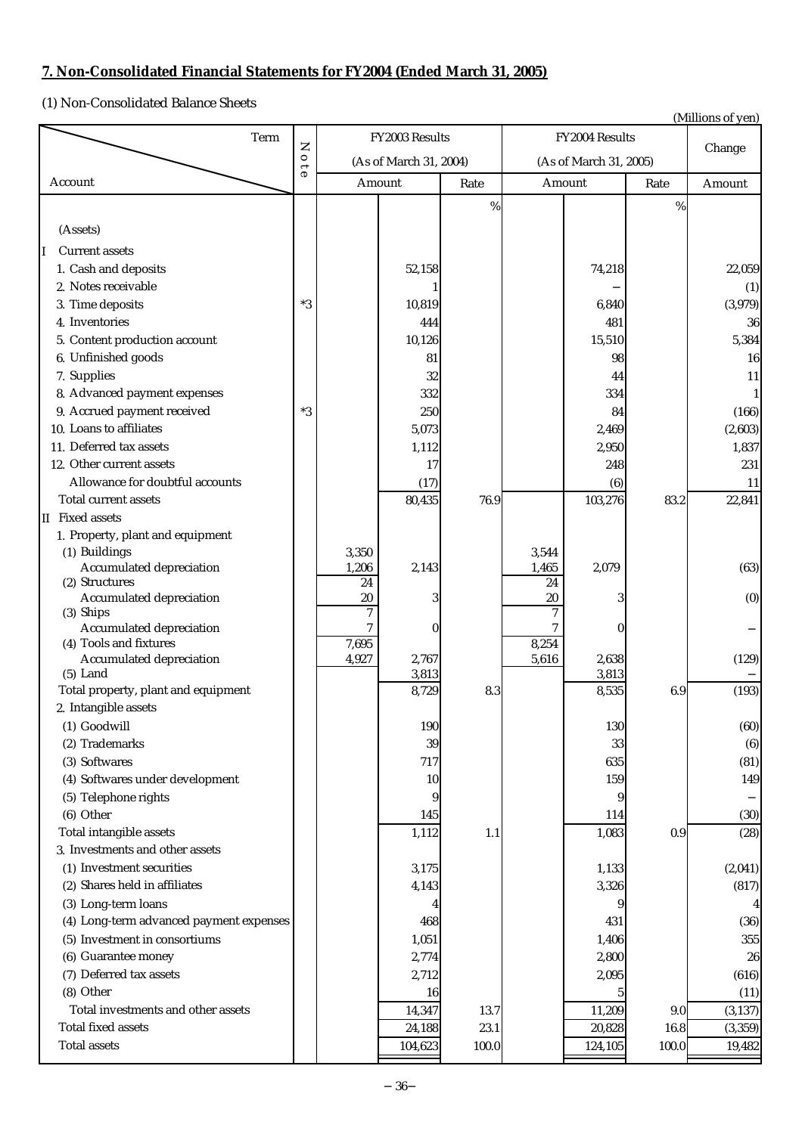# **7. Non-Consolidated Financial Statements for FY2004 (Ended March 31, 2005)**

(1) Non-Consolidated Balance Sheets

|                                                    |                     |                        |         |       |                |                        |       | (Millions of yen) |
|----------------------------------------------------|---------------------|------------------------|---------|-------|----------------|------------------------|-------|-------------------|
| Term                                               | Z                   | FY2003 Results         |         |       | FY2004 Results |                        |       | Change            |
|                                                    | $\circ$<br>$\theta$ | (As of March 31, 2004) |         |       |                | (As of March 31, 2005) |       |                   |
| Account                                            |                     |                        | Amount  | Rate  |                | Amount                 | Rate  | Amount            |
|                                                    |                     |                        |         | %     |                |                        | $\%$  |                   |
| (Assets)                                           |                     |                        |         |       |                |                        |       |                   |
| <b>Current assets</b><br>I                         |                     |                        |         |       |                |                        |       |                   |
| 1. Cash and deposits                               |                     |                        | 52,158  |       |                | 74,218                 |       | 22,059            |
| 2. Notes receivable                                |                     |                        |         |       |                |                        |       | (1)               |
| 3. Time deposits                                   | $*3$                |                        | 10,819  |       |                | 6,840                  |       | (3,979)           |
| 4. Inventories                                     |                     |                        | 444     |       |                | 481                    |       | 36                |
| 5. Content production account                      |                     |                        | 10,126  |       |                | 15,510                 |       | 5,384             |
| 6. Unfinished goods                                |                     |                        | 81      |       |                | 98                     |       | 16                |
| 7. Supplies                                        |                     |                        | 32      |       |                | 44                     |       | 11                |
| 8. Advanced payment expenses                       |                     |                        | 332     |       |                | 334                    |       |                   |
| 9. Accrued payment received                        | $*3$                |                        | 250     |       |                | 84                     |       | (166)             |
| 10. Loans to affiliates                            |                     |                        | 5,073   |       |                | 2,469                  |       | (2,603)           |
| 11. Deferred tax assets                            |                     |                        | 1,112   |       |                | 2,950                  |       | 1,837             |
| 12. Other current assets                           |                     |                        | 17      |       |                | 248                    |       | 231               |
| Allowance for doubtful accounts                    |                     |                        | (17)    |       |                | (6)                    |       | 11                |
| <b>Total current assets</b>                        |                     |                        | 80,435  | 76.9  |                | 103,276                | 83.2  | 22,841            |
| <b>II</b> Fixed assets                             |                     |                        |         |       |                |                        |       |                   |
| 1. Property, plant and equipment                   |                     |                        |         |       |                |                        |       |                   |
| (1) Buildings                                      |                     | 3,350                  |         |       | 3,544          |                        |       |                   |
| Accumulated depreciation                           |                     | 1,206                  | 2,143   |       | 1,465          | 2,079                  |       | (63)              |
| (2) Structures                                     |                     | 24                     |         |       | 24             |                        |       |                   |
| Accumulated depreciation                           |                     | 20                     |         |       | 20             | 3                      |       | (0)               |
| (3) Ships                                          |                     | $\overline{7}$         |         |       | $\overline{7}$ |                        |       |                   |
| Accumulated depreciation<br>(4) Tools and fixtures |                     | 7<br>7,695             | 0       |       | 7<br>8,254     | $\bf{0}$               |       |                   |
| Accumulated depreciation                           |                     | 4,927                  | 2,767   |       | 5,616          | 2,638                  |       | (129)             |
| $(5)$ Land                                         |                     |                        | 3,813   |       |                | 3,813                  |       |                   |
| Total property, plant and equipment                |                     |                        | 8,729   | 8.3   |                | 8,535                  | 6.9   | (193)             |
| 2. Intangible assets                               |                     |                        |         |       |                |                        |       |                   |
| (1) Goodwill                                       |                     |                        | 190     |       |                | 130                    |       | (60)              |
| (2) Trademarks                                     |                     |                        | 39      |       |                | 33                     |       | (6)               |
| (3) Softwares                                      |                     |                        | 717     |       |                | 635                    |       | (81)              |
| (4) Softwares under development                    |                     |                        | 10      |       |                | 159                    |       | 149               |
| (5) Telephone rights                               |                     |                        |         |       |                | 9                      |       |                   |
| (6) Other                                          |                     |                        | 145     |       |                | 114                    |       | (30)              |
| Total intangible assets                            |                     |                        | 1,112   | 1.1   |                | 1,083                  | 0.9   | (28)              |
| 3. Investments and other assets                    |                     |                        |         |       |                |                        |       |                   |
| (1) Investment securities                          |                     |                        | 3,175   |       |                | 1,133                  |       | (2,041)           |
| (2) Shares held in affiliates                      |                     |                        | 4,143   |       |                | 3,326                  |       | (817)             |
| (3) Long-term loans                                |                     |                        |         |       |                | 9                      |       | 4                 |
| (4) Long-term advanced payment expenses            |                     |                        | 468     |       |                | 431                    |       | (36)              |
| (5) Investment in consortiums                      |                     |                        | 1,051   |       |                | 1,406                  |       | 355               |
| (6) Guarantee money                                |                     |                        | 2,774   |       |                | 2,800                  |       | 26                |
| (7) Deferred tax assets                            |                     |                        | 2,712   |       |                | 2,095                  |       | (616)             |
| (8) Other                                          |                     |                        | 16      |       |                |                        |       | (11)              |
| Total investments and other assets                 |                     |                        | 14,347  | 13.7  |                | 11,209                 | 9.0   | (3, 137)          |
| <b>Total fixed assets</b>                          |                     |                        | 24,188  | 23.1  |                | 20,828                 | 16.8  | (3, 359)          |
| <b>Total assets</b>                                |                     |                        | 104,623 | 100.0 |                | 124,105                | 100.0 | 19,482            |
|                                                    |                     |                        |         |       |                |                        |       |                   |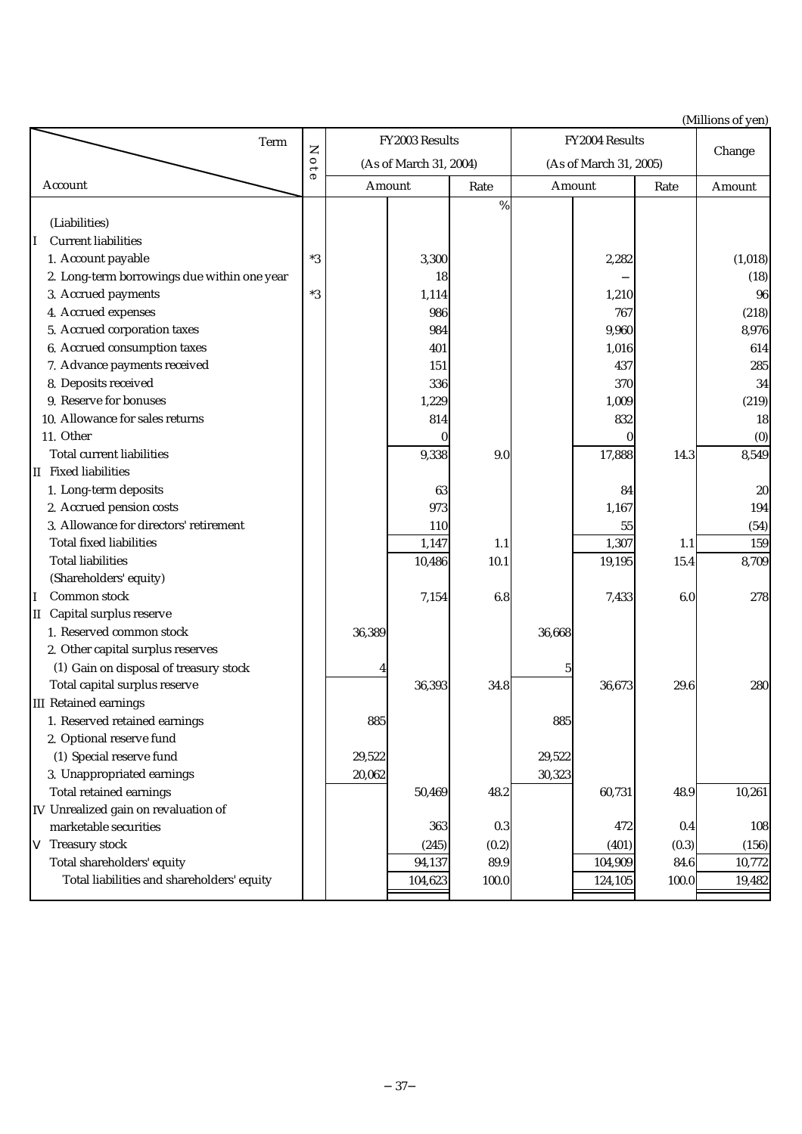|                                             |                |                        |                |       |                        |          |       | (Millions of yen) |
|---------------------------------------------|----------------|------------------------|----------------|-------|------------------------|----------|-------|-------------------|
| Term                                        | $\overline{z}$ |                        | FY2003 Results |       | FY2004 Results         |          |       | Change            |
|                                             | 010            | (As of March 31, 2004) |                |       | (As of March 31, 2005) |          |       |                   |
| Account                                     |                | Amount                 |                | Rate  | Amount                 |          | Rate  | Amount            |
|                                             |                |                        |                | $\%$  |                        |          |       |                   |
| (Liabilities)                               |                |                        |                |       |                        |          |       |                   |
| <b>Current liabilities</b><br>I             |                |                        |                |       |                        |          |       |                   |
| 1. Account payable                          | $*3$           |                        | 3,300          |       |                        | 2,282    |       | (1,018)           |
| 2. Long-term borrowings due within one year |                |                        | 18             |       |                        |          |       | (18)              |
| 3. Accrued payments                         | $*3$           |                        | 1,114          |       |                        | 1,210    |       | 96                |
| 4. Accrued expenses                         |                |                        | 986            |       |                        | 767      |       | (218)             |
| 5. Accrued corporation taxes                |                |                        | 984            |       |                        | 9,960    |       | 8,976             |
| 6. Accrued consumption taxes                |                |                        | 401            |       |                        | 1,016    |       | 614               |
| 7. Advance payments received                |                |                        | 151            |       |                        | 437      |       | 285               |
| 8. Deposits received                        |                |                        | 336            |       |                        | 370      |       | 34                |
| 9. Reserve for bonuses                      |                |                        | 1,229          |       |                        | 1,009    |       | (219)             |
| 10. Allowance for sales returns             |                |                        | 814            |       |                        | 832      |       | 18                |
| 11. Other                                   |                |                        |                |       |                        | $\bf{0}$ |       | (0)               |
| <b>Total current liabilities</b>            |                |                        | 9,338          | 9.0   |                        | 17,888   | 14.3  | 8,549             |
| II Fixed liabilities                        |                |                        |                |       |                        |          |       |                   |
| 1. Long-term deposits                       |                |                        | 63             |       |                        | 84       |       | 20                |
| 2. Accrued pension costs                    |                |                        | 973            |       |                        | 1,167    |       | 194               |
| 3. Allowance for directors' retirement      |                |                        | 110            |       |                        | 55       |       | (54)              |
| <b>Total fixed liabilities</b>              |                |                        | 1,147          | 1.1   |                        | 1,307    | 1.1   | 159               |
| <b>Total liabilities</b>                    |                |                        | 10,486         | 10.1  |                        | 19,195   | 15.4  | 8,709             |
| (Shareholders' equity)                      |                |                        |                |       |                        |          |       |                   |
| Common stock                                |                |                        | 7,154          | 6.8   |                        | 7,433    | 6.0   | 278               |
| II Capital surplus reserve                  |                |                        |                |       |                        |          |       |                   |
| 1. Reserved common stock                    |                | 36,389                 |                |       | 36,668                 |          |       |                   |
| 2. Other capital surplus reserves           |                |                        |                |       |                        |          |       |                   |
| (1) Gain on disposal of treasury stock      |                |                        |                |       | 5                      |          |       |                   |
| Total capital surplus reserve               |                |                        | 36,393         | 34.8  |                        | 36,673   | 29.6  | 280               |
| <b>III</b> Retained earnings                |                |                        |                |       |                        |          |       |                   |
| 1. Reserved retained earnings               |                | 885                    |                |       | 885                    |          |       |                   |
| 2. Optional reserve fund                    |                |                        |                |       |                        |          |       |                   |
| (1) Special reserve fund                    |                | 29,522                 |                |       | 29,522                 |          |       |                   |
| 3. Unappropriated earnings                  |                | 20,062                 |                |       | 30,323                 |          |       |                   |
| Total retained earnings                     |                |                        | 50,469         | 48.2  |                        | 60,731   | 48.9  | 10,261            |
| IV Unrealized gain on revaluation of        |                |                        |                |       |                        |          |       |                   |
| marketable securities                       |                |                        | 363            | 0.3   |                        | 472      | 0.4   | 108               |
| <b>Treasury stock</b>                       |                |                        | (245)          | (0.2) |                        | (401)    | (0.3) | (156)             |
| Total shareholders' equity                  |                |                        | 94,137         | 89.9  |                        | 104,909  | 84.6  | 10,772            |
| Total liabilities and shareholders' equity  |                |                        |                | 100.0 |                        |          | 100.0 |                   |
|                                             |                |                        | 104,623        |       |                        | 124,105  |       | 19,482            |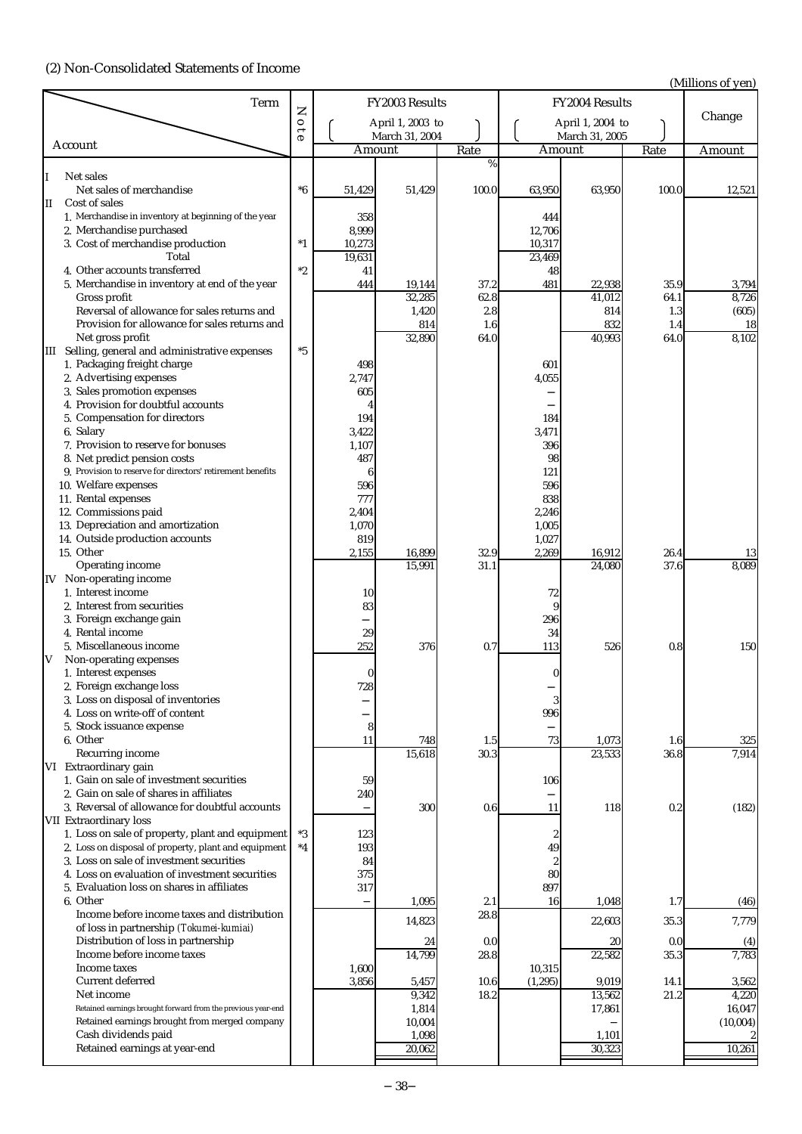## (2) Non-Consolidated Statements of Income

(Millions of yen)

| Term                                                                                       |          |              | FY2003 Results           |           |               | FY2004 Results   |       |                  |
|--------------------------------------------------------------------------------------------|----------|--------------|--------------------------|-----------|---------------|------------------|-------|------------------|
|                                                                                            | Z<br>010 |              | April 1, 2003 to         |           |               | April 1, 2004 to |       | Change           |
| Account                                                                                    |          |              | March 31, 2004<br>Amount |           | Amount        | March 31, 2005   |       |                  |
|                                                                                            |          |              |                          | Rate<br>% |               |                  | Rate  | Amount           |
| Net sales<br>II                                                                            |          |              |                          |           |               |                  |       |                  |
| Net sales of merchandise                                                                   | $^*6$    | 51,429       | 51,429                   | 100.0     | 63,950        | 63,950           | 100.0 | 12,521           |
| Cost of sales<br>Ш                                                                         |          |              |                          |           |               |                  |       |                  |
| 1. Merchandise in inventory at beginning of the year<br>2. Merchandise purchased           |          | 358<br>8,999 |                          |           | 444<br>12,706 |                  |       |                  |
| 3. Cost of merchandise production                                                          | $^*1$    | 10,273       |                          |           | 10,317        |                  |       |                  |
| Total                                                                                      |          | 19,631       |                          |           | 23,469        |                  |       |                  |
| 4. Other accounts transferred                                                              | $*2$     | 41           |                          |           | 48            |                  |       |                  |
| 5. Merchandise in inventory at end of the year                                             |          | 444          | 19,144                   | 37.2      | 481           | 22,938           | 35.9  | 3,794            |
| Gross profit                                                                               |          |              | 32,285                   | 62.8      |               | 41,012           | 64.1  | 8,726            |
| Reversal of allowance for sales returns and                                                |          |              | 1,420                    | 2.8       |               | 814              | 1.3   | (605)            |
| Provision for allowance for sales returns and                                              |          |              | 814<br>32,890            | 1.6       |               | 832<br>40,993    | 1.4   | 18<br>8,102      |
| Net gross profit<br>III Selling, general and administrative expenses                       | $*5$     |              |                          | 64.0      |               |                  | 64.0  |                  |
| 1. Packaging freight charge                                                                |          | 498          |                          |           | 601           |                  |       |                  |
| 2. Advertising expenses                                                                    |          | 2,747        |                          |           | 4,055         |                  |       |                  |
| 3. Sales promotion expenses                                                                |          | 605          |                          |           |               |                  |       |                  |
| 4. Provision for doubtful accounts                                                         |          |              |                          |           |               |                  |       |                  |
| 5. Compensation for directors                                                              |          | 194          |                          |           | 184           |                  |       |                  |
| 6. Salary                                                                                  |          | 3,422        |                          |           | 3,471         |                  |       |                  |
| 7. Provision to reserve for bonuses                                                        |          | 1,107        |                          |           | 396           |                  |       |                  |
| 8. Net predict pension costs<br>9. Provision to reserve for directors' retirement benefits |          | 487          |                          |           | 98            |                  |       |                  |
| 10. Welfare expenses                                                                       |          | 6<br>596     |                          |           | 121<br>596    |                  |       |                  |
| 11. Rental expenses                                                                        |          | 777          |                          |           | 838           |                  |       |                  |
| 12. Commissions paid                                                                       |          | 2,404        |                          |           | 2,246         |                  |       |                  |
| 13. Depreciation and amortization                                                          |          | 1,070        |                          |           | 1,005         |                  |       |                  |
| 14. Outside production accounts                                                            |          | 819          |                          |           | 1,027         |                  |       |                  |
| 15. Other                                                                                  |          | 2,155        | 16,899                   | 32.9      | 2,269         | 16,912           | 26.4  | 13               |
| Operating income                                                                           |          |              | 15,991                   | 31.1      |               | 24,080           | 37.6  | 8,089            |
| IV Non-operating income                                                                    |          |              |                          |           |               |                  |       |                  |
| 1. Interest income<br>2. Interest from securities                                          |          | 10<br>83     |                          |           | 72<br>9       |                  |       |                  |
| 3. Foreign exchange gain                                                                   |          |              |                          |           | 296           |                  |       |                  |
| 4. Rental income                                                                           |          | 29           |                          |           | 34            |                  |       |                  |
| 5. Miscellaneous income                                                                    |          | 252          | 376                      | 0.7       | 113           | 526              | 0.8   | 150              |
| Non-operating expenses<br>V                                                                |          |              |                          |           |               |                  |       |                  |
| 1. Interest expenses                                                                       |          | 0            |                          |           | $\theta$      |                  |       |                  |
| 2. Foreign exchange loss                                                                   |          | 728          |                          |           |               |                  |       |                  |
| 3. Loss on disposal of inventories<br>4. Loss on write-off of content                      |          |              |                          |           | 3<br>996      |                  |       |                  |
| 5. Stock issuance expense                                                                  |          | 8            |                          |           |               |                  |       |                  |
| 6. Other                                                                                   |          | 11           | 748                      | 1.5       | 73            | 1,073            | 1.6   | 325              |
| Recurring income                                                                           |          |              | 15,618                   | 30.3      |               | 23,533           | 36.8  | 7,914            |
| VI Extraordinary gain                                                                      |          |              |                          |           |               |                  |       |                  |
| 1. Gain on sale of investment securities                                                   |          | 59           |                          |           | 106           |                  |       |                  |
| 2. Gain on sale of shares in affiliates                                                    |          | 240          |                          |           |               |                  |       |                  |
| 3. Reversal of allowance for doubtful accounts<br>VII Extraordinary loss                   |          |              | 300                      | 0.6       | 11            | 118              | 0.2   | (182)            |
| 1. Loss on sale of property, plant and equipment                                           | $*3$     | 123          |                          |           | 2             |                  |       |                  |
| 2. Loss on disposal of property, plant and equipment                                       | $^*4$    | 193          |                          |           | 49            |                  |       |                  |
| 3. Loss on sale of investment securities                                                   |          | 84           |                          |           |               |                  |       |                  |
| 4. Loss on evaluation of investment securities                                             |          | 375          |                          |           | 80            |                  |       |                  |
| 5. Evaluation loss on shares in affiliates                                                 |          | 317          |                          |           | 897           |                  |       |                  |
| 6. Other                                                                                   |          |              | 1,095                    | 2.1       | 16            | 1,048            | 1.7   | (46)             |
| Income before income taxes and distribution                                                |          |              | 14,823                   | 28.8      |               | 22,603           | 35.3  | 7,779            |
| of loss in partnership (Tokumei-kumiai)<br>Distribution of loss in partnership             |          |              | 24                       | 0.0       |               | 20               | 0.0   | (4)              |
| Income before income taxes                                                                 |          |              | 14,799                   | 28.8      |               | 22,582           | 35.3  | 7,783            |
| Income taxes                                                                               |          | 1,600        |                          |           | 10,315        |                  |       |                  |
| Current deferred                                                                           |          | 3,856        | 5,457                    | 10.6      | (1, 295)      | 9,019            | 14.1  | 3,562            |
| Net income                                                                                 |          |              | 9,342                    | 18.2      |               | 13,562           | 21.2  | 4,220            |
| Retained earnings brought forward from the previous year-end                               |          |              | 1,814                    |           |               | 17,861           |       | 16,047           |
| Retained earnings brought from merged company                                              |          |              | 10,004                   |           |               |                  |       | (10,004)         |
| Cash dividends paid<br>Retained earnings at year-end                                       |          |              | 1,098<br>20,062          |           |               | 1,101<br>30,323  |       | $\boldsymbol{2}$ |
|                                                                                            |          |              |                          |           |               |                  |       | 10,261           |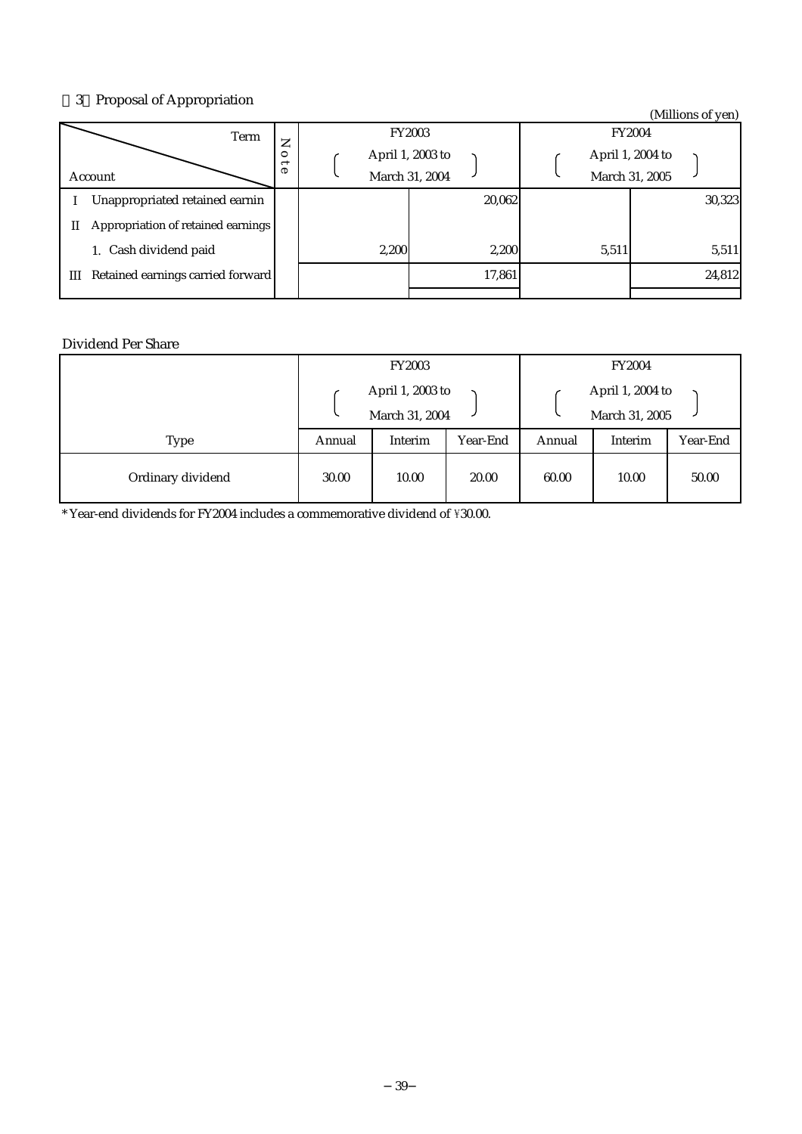# 3 Proposal of Appropriation

| ◡<br><b>Troposar of Appropriation</b>   |                               |       |                  |       | (Millions of yen) |
|-----------------------------------------|-------------------------------|-------|------------------|-------|-------------------|
| Term                                    | Z                             |       | <b>FY2003</b>    |       | <b>FY2004</b>     |
|                                         | ٥<br>$\overline{\phantom{0}}$ |       | April 1, 2003 to |       | April 1, 2004 to  |
| Account                                 | $\sigma$                      |       | March 31, 2004   |       | March 31, 2005    |
| Unappropriated retained earnin          |                               |       | 20,062           |       | 30,323            |
| Appropriation of retained earnings<br>П |                               |       |                  |       |                   |
| 1. Cash dividend paid                   |                               | 2,200 | 2,200            | 5,511 | 5,511             |
| Retained earnings carried forward<br>Ш  |                               |       | 17,861           |       | 24,812            |
|                                         |                               |       |                  |       |                   |

### Dividend Per Share

|                   | <b>FY2003</b>                           |         |          |        | <b>FY2004</b>                      |          |
|-------------------|-----------------------------------------|---------|----------|--------|------------------------------------|----------|
|                   | April 1, 2003 to<br>March 31, 2004<br>ر |         |          |        | April 1, 2004 to<br>March 31, 2005 | ╯        |
| <b>Type</b>       | Annual                                  | Interim | Year-End | Annual | Interim                            | Year-End |
| Ordinary dividend | 30.00                                   | 10.00   | 20.00    | 60.00  | 10.00                              | 50.00    |

\* Year-end dividends for FY2004 includes a commemorative dividend of \30.00.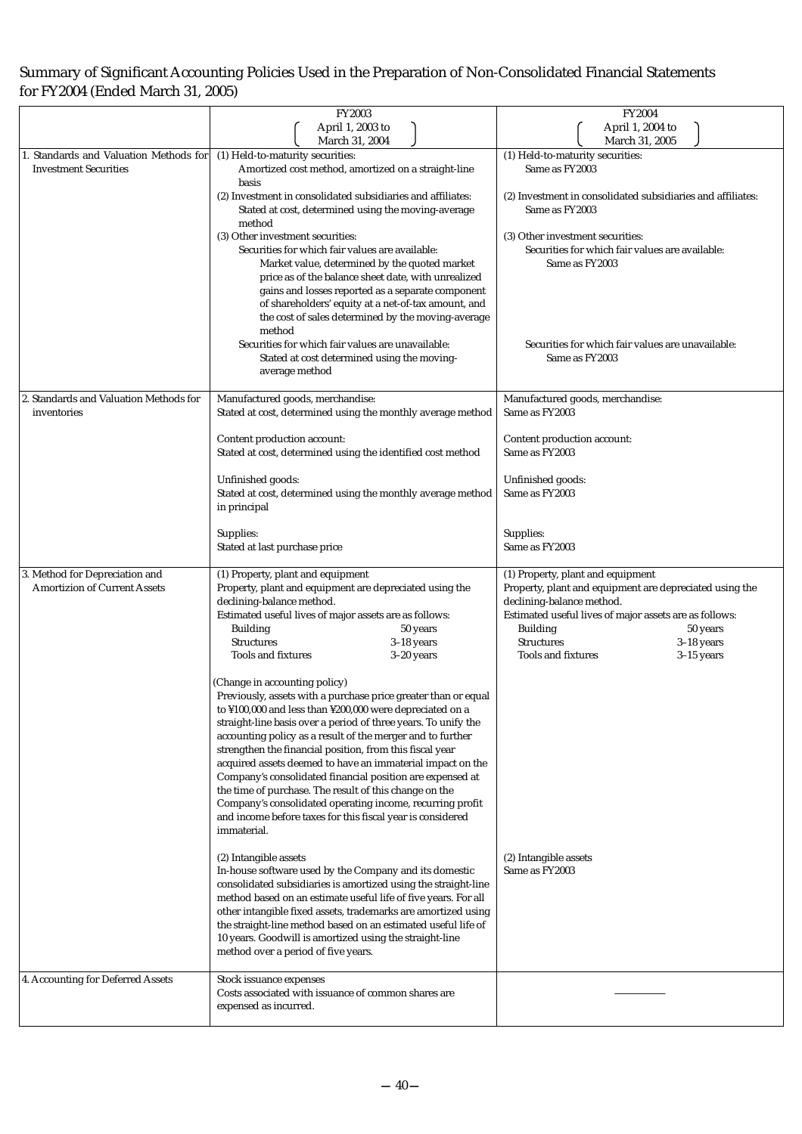# Summary of Significant Accounting Policies Used in the Preparation of Non-Consolidated Financial Statements for FY2004 (Ended March 31, 2005)

|                                                                     | FY2003                                                                                                                                                                   | FY2004                                                                               |
|---------------------------------------------------------------------|--------------------------------------------------------------------------------------------------------------------------------------------------------------------------|--------------------------------------------------------------------------------------|
|                                                                     | April 1, 2003 to                                                                                                                                                         | April 1, 2004 to                                                                     |
|                                                                     | March 31, 2004                                                                                                                                                           | March 31, 2005                                                                       |
| Standards and Valuation Methods for<br><b>Investment Securities</b> | (1) Held-to-maturity securities:<br>Amortized cost method, amortized on a straight-line                                                                                  | (1) Held-to-maturity securities:<br>Same as FY2003                                   |
|                                                                     | basis<br>(2) Investment in consolidated subsidiaries and affiliates:<br>Stated at cost, determined using the moving-average<br>method                                    | (2) Investment in consolidated subsidiaries and affiliates:<br>Same as FY2003        |
|                                                                     | (3) Other investment securities:<br>Securities for which fair values are available:                                                                                      | (3) Other investment securities:<br>Securities for which fair values are available:  |
|                                                                     | Market value, determined by the quoted market<br>price as of the balance sheet date, with unrealized                                                                     | Same as FY2003                                                                       |
|                                                                     | gains and losses reported as a separate component<br>of shareholders' equity at a net-of-tax amount, and<br>the cost of sales determined by the moving-average<br>method |                                                                                      |
|                                                                     | Securities for which fair values are unavailable:<br>Stated at cost determined using the moving-<br>average method                                                       | Securities for which fair values are unavailable:<br>Same as FY2003                  |
| Standards and Valuation Methods for<br>inventories                  | Manufactured goods, merchandise:<br>Stated at cost, determined using the monthly average method                                                                          | Manufactured goods, merchandise:<br>Same as FY2003                                   |
|                                                                     | Content production account:<br>Stated at cost, determined using the identified cost method                                                                               | Content production account:<br>Same as FY2003                                        |
|                                                                     | Unfinished goods:<br>Stated at cost, determined using the monthly average method<br>in principal                                                                         | Unfinished goods:<br>Same as FY2003                                                  |
|                                                                     | Supplies:<br>Stated at last purchase price                                                                                                                               | Supplies:<br>Same as FY2003                                                          |
| 3. Method for Depreciation and                                      | (1) Property, plant and equipment                                                                                                                                        | (1) Property, plant and equipment                                                    |
| <b>Amortizion of Current Assets</b>                                 | Property, plant and equipment are depreciated using the<br>declining-balance method.                                                                                     | Property, plant and equipment are depreciated using the<br>declining-balance method. |
|                                                                     | Estimated useful lives of major assets are as follows:                                                                                                                   | Estimated useful lives of major assets are as follows:                               |
|                                                                     | Building<br>50 years                                                                                                                                                     | 50 years<br><b>Building</b>                                                          |
|                                                                     | <b>Structures</b><br>$3-18$ years                                                                                                                                        | <b>Structures</b><br>$3-18$ years                                                    |
|                                                                     | <b>Tools and fixtures</b><br>$3-20$ years                                                                                                                                | Tools and fixtures<br>$3-15$ years                                                   |
|                                                                     | (Change in accounting policy)                                                                                                                                            |                                                                                      |
|                                                                     | Previously, assets with a purchase price greater than or equal                                                                                                           |                                                                                      |
|                                                                     | to ¥100,000 and less than ¥200,000 were depreciated on a                                                                                                                 |                                                                                      |
|                                                                     | straight-line basis over a period of three years. To unify the                                                                                                           |                                                                                      |
|                                                                     | accounting policy as a result of the merger and to further                                                                                                               |                                                                                      |
|                                                                     | strengthen the financial position, from this fiscal year                                                                                                                 |                                                                                      |
|                                                                     | acquired assets deemed to have an immaterial impact on the                                                                                                               |                                                                                      |
|                                                                     | Company's consolidated financial position are expensed at<br>the time of purchase. The result of this change on the                                                      |                                                                                      |
|                                                                     | Company's consolidated operating income, recurring profit                                                                                                                |                                                                                      |
|                                                                     | and income before taxes for this fiscal year is considered<br>immaterial.                                                                                                |                                                                                      |
|                                                                     | (2) Intangible assets                                                                                                                                                    | (2) Intangible assets                                                                |
|                                                                     | In-house software used by the Company and its domestic                                                                                                                   | Same as FY2003                                                                       |
|                                                                     | consolidated subsidiaries is amortized using the straight-line                                                                                                           |                                                                                      |
|                                                                     | method based on an estimate useful life of five years. For all<br>other intangible fixed assets, trademarks are amortized using                                          |                                                                                      |
|                                                                     | the straight-line method based on an estimated useful life of                                                                                                            |                                                                                      |
|                                                                     | 10 years. Goodwill is amortized using the straight-line<br>method over a period of five years.                                                                           |                                                                                      |
| 4. Accounting for Deferred Assets                                   | Stock issuance expenses                                                                                                                                                  |                                                                                      |
|                                                                     | Costs associated with issuance of common shares are<br>expensed as incurred.                                                                                             |                                                                                      |
|                                                                     |                                                                                                                                                                          |                                                                                      |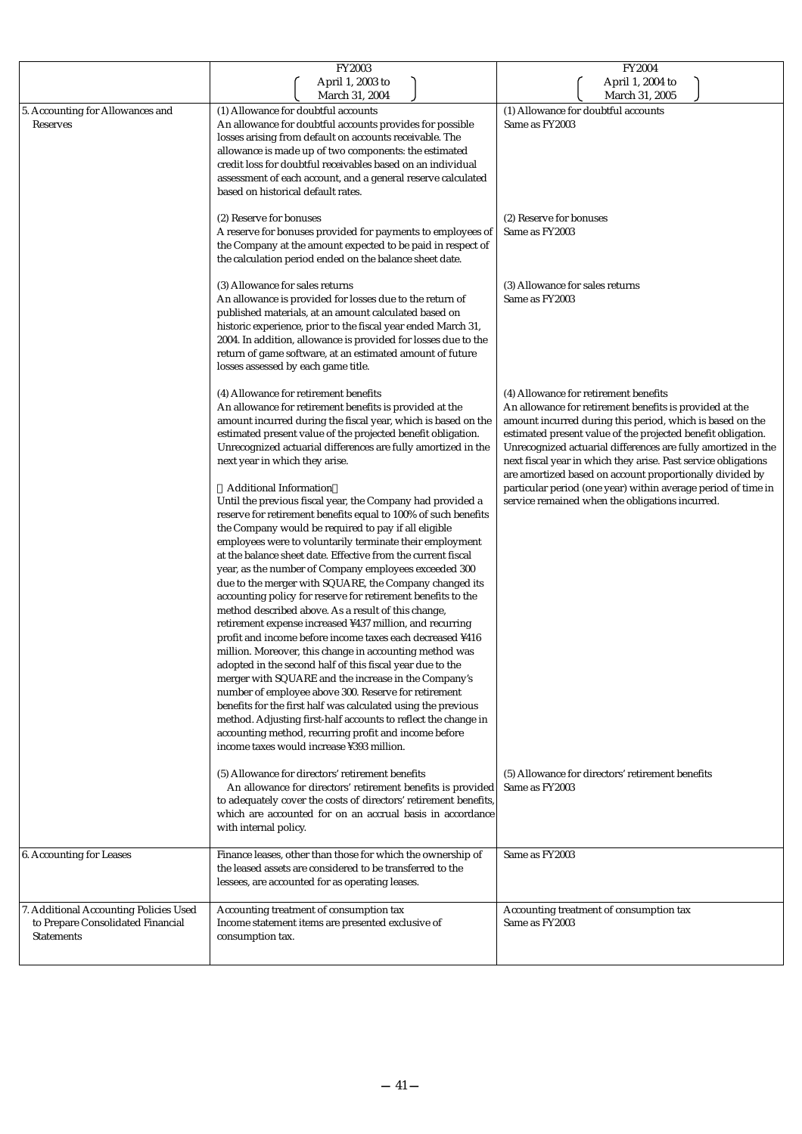|                                                                                                  | FY2003                                                                                                                                                                                                                                                                                                                                                                                                                                                                                                                                                                                                                                                                                                                                                                                                                                                                                                                                                                                                                                                                                                                                                                                                | FY2004                                                                                                                                                                                                                                                                                                                                                                                                                       |
|--------------------------------------------------------------------------------------------------|-------------------------------------------------------------------------------------------------------------------------------------------------------------------------------------------------------------------------------------------------------------------------------------------------------------------------------------------------------------------------------------------------------------------------------------------------------------------------------------------------------------------------------------------------------------------------------------------------------------------------------------------------------------------------------------------------------------------------------------------------------------------------------------------------------------------------------------------------------------------------------------------------------------------------------------------------------------------------------------------------------------------------------------------------------------------------------------------------------------------------------------------------------------------------------------------------------|------------------------------------------------------------------------------------------------------------------------------------------------------------------------------------------------------------------------------------------------------------------------------------------------------------------------------------------------------------------------------------------------------------------------------|
|                                                                                                  | April 1, 2003 to<br>March 31, 2004                                                                                                                                                                                                                                                                                                                                                                                                                                                                                                                                                                                                                                                                                                                                                                                                                                                                                                                                                                                                                                                                                                                                                                    | April 1, 2004 to<br>March 31, 2005                                                                                                                                                                                                                                                                                                                                                                                           |
| 5. Accounting for Allowances and<br>Reserves                                                     | (1) Allowance for doubtful accounts<br>An allowance for doubtful accounts provides for possible<br>losses arising from default on accounts receivable. The<br>allowance is made up of two components: the estimated<br>credit loss for doubtful receivables based on an individual<br>assessment of each account, and a general reserve calculated<br>based on historical default rates.                                                                                                                                                                                                                                                                                                                                                                                                                                                                                                                                                                                                                                                                                                                                                                                                              | (1) Allowance for doubtful accounts<br>Same as FY2003                                                                                                                                                                                                                                                                                                                                                                        |
|                                                                                                  | (2) Reserve for bonuses<br>A reserve for bonuses provided for payments to employees of<br>the Company at the amount expected to be paid in respect of<br>the calculation period ended on the balance sheet date.                                                                                                                                                                                                                                                                                                                                                                                                                                                                                                                                                                                                                                                                                                                                                                                                                                                                                                                                                                                      | (2) Reserve for bonuses<br>Same as FY2003                                                                                                                                                                                                                                                                                                                                                                                    |
|                                                                                                  | (3) Allowance for sales returns<br>An allowance is provided for losses due to the return of<br>published materials, at an amount calculated based on<br>historic experience, prior to the fiscal year ended March 31,<br>2004. In addition, allowance is provided for losses due to the<br>return of game software, at an estimated amount of future<br>losses assessed by each game title.                                                                                                                                                                                                                                                                                                                                                                                                                                                                                                                                                                                                                                                                                                                                                                                                           | (3) Allowance for sales returns<br>Same as FY2003                                                                                                                                                                                                                                                                                                                                                                            |
|                                                                                                  | (4) Allowance for retirement benefits<br>An allowance for retirement benefits is provided at the<br>amount incurred during the fiscal year, which is based on the<br>estimated present value of the projected benefit obligation.<br>Unrecognized actuarial differences are fully amortized in the<br>next year in which they arise.                                                                                                                                                                                                                                                                                                                                                                                                                                                                                                                                                                                                                                                                                                                                                                                                                                                                  | (4) Allowance for retirement benefits<br>An allowance for retirement benefits is provided at the<br>amount incurred during this period, which is based on the<br>estimated present value of the projected benefit obligation.<br>Unrecognized actuarial differences are fully amortized in the<br>next fiscal year in which they arise. Past service obligations<br>are amortized based on account proportionally divided by |
|                                                                                                  | <b>Additional Information</b><br>Until the previous fiscal year, the Company had provided a<br>reserve for retirement benefits equal to 100% of such benefits<br>the Company would be required to pay if all eligible<br>employees were to voluntarily terminate their employment<br>at the balance sheet date. Effective from the current fiscal<br>year, as the number of Company employees exceeded 300<br>due to the merger with SQUARE, the Company changed its<br>accounting policy for reserve for retirement benefits to the<br>method described above. As a result of this change,<br>retirement expense increased ¥437 million, and recurring<br>profit and income before income taxes each decreased ¥416<br>million. Moreover, this change in accounting method was<br>adopted in the second half of this fiscal year due to the<br>merger with SQUARE and the increase in the Company's<br>number of employee above 300. Reserve for retirement<br>benefits for the first half was calculated using the previous<br>method. Adjusting first-half accounts to reflect the change in<br>accounting method, recurring profit and income before<br>income taxes would increase ¥393 million. | particular period (one year) within average period of time in<br>service remained when the obligations incurred.                                                                                                                                                                                                                                                                                                             |
|                                                                                                  | (5) Allowance for directors' retirement benefits<br>An allowance for directors' retirement benefits is provided<br>to adequately cover the costs of directors' retirement benefits,<br>which are accounted for on an accrual basis in accordance<br>with internal policy.                                                                                                                                                                                                                                                                                                                                                                                                                                                                                                                                                                                                                                                                                                                                                                                                                                                                                                                             | (5) Allowance for directors' retirement benefits<br>Same as FY2003                                                                                                                                                                                                                                                                                                                                                           |
| 6. Accounting for Leases                                                                         | Finance leases, other than those for which the ownership of<br>the leased assets are considered to be transferred to the<br>lessees, are accounted for as operating leases.                                                                                                                                                                                                                                                                                                                                                                                                                                                                                                                                                                                                                                                                                                                                                                                                                                                                                                                                                                                                                           | Same as FY2003                                                                                                                                                                                                                                                                                                                                                                                                               |
| 7. Additional Accounting Policies Used<br>to Prepare Consolidated Financial<br><b>Statements</b> | Accounting treatment of consumption tax<br>Income statement items are presented exclusive of<br>consumption tax.                                                                                                                                                                                                                                                                                                                                                                                                                                                                                                                                                                                                                                                                                                                                                                                                                                                                                                                                                                                                                                                                                      | Accounting treatment of consumption tax<br>Same as FY2003                                                                                                                                                                                                                                                                                                                                                                    |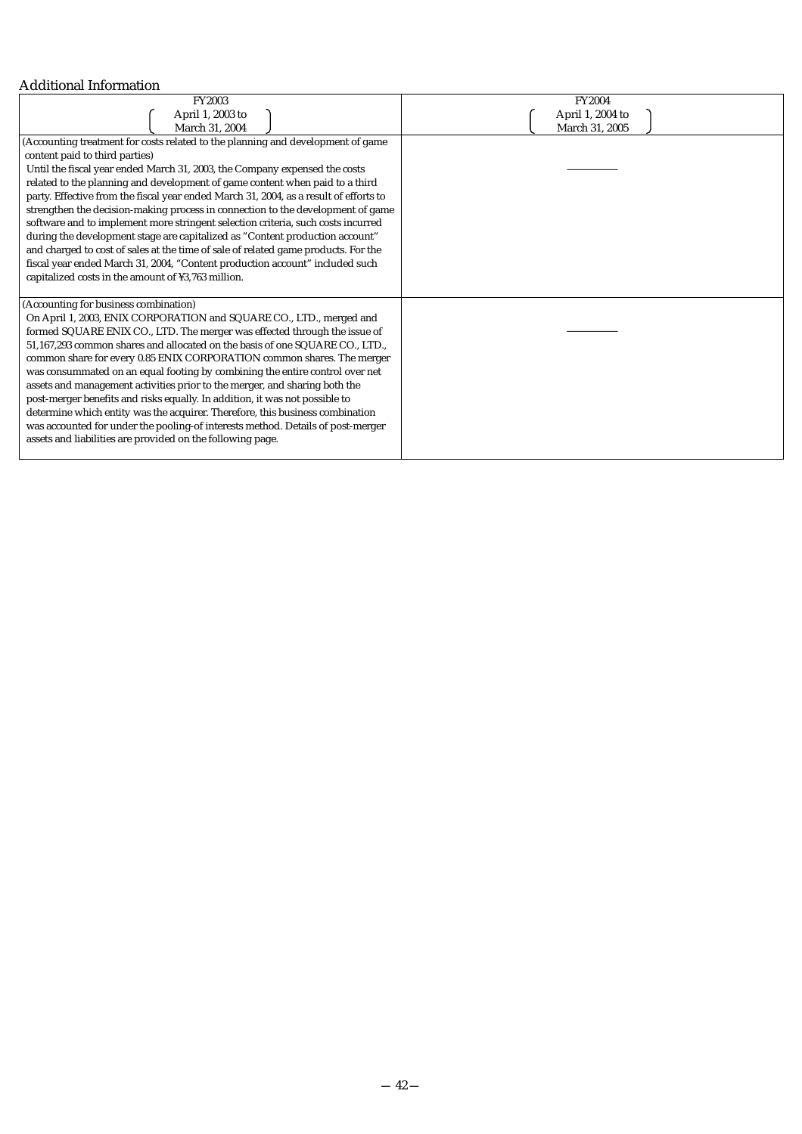# Additional Information

| <b>FY2003</b>                                                                         | <b>FY2004</b>    |
|---------------------------------------------------------------------------------------|------------------|
| April 1, 2003 to                                                                      | April 1, 2004 to |
| March 31, 2004                                                                        | March 31, 2005   |
| (Accounting treatment for costs related to the planning and development of game       |                  |
| content paid to third parties)                                                        |                  |
| Until the fiscal year ended March 31, 2003, the Company expensed the costs            |                  |
| related to the planning and development of game content when paid to a third          |                  |
| party. Effective from the fiscal year ended March 31, 2004, as a result of efforts to |                  |
| strengthen the decision-making process in connection to the development of game       |                  |
| software and to implement more stringent selection criteria, such costs incurred      |                  |
| during the development stage are capitalized as "Content production account"          |                  |
| and charged to cost of sales at the time of sale of related game products. For the    |                  |
| fiscal year ended March 31, 2004, "Content production account" included such          |                  |
| capitalized costs in the amount of ¥3,763 million.                                    |                  |
|                                                                                       |                  |
| (Accounting for business combination)                                                 |                  |
| On April 1, 2003, ENIX CORPORATION and SQUARE CO., LTD., merged and                   |                  |
| formed SQUARE ENIX CO., LTD. The merger was effected through the issue of             |                  |
| 51,167,293 common shares and allocated on the basis of one SQUARE CO., LTD.,          |                  |
| common share for every 0.85 ENIX CORPORATION common shares. The merger                |                  |
| was consummated on an equal footing by combining the entire control over net          |                  |
| assets and management activities prior to the merger, and sharing both the            |                  |
| post-merger benefits and risks equally. In addition, it was not possible to           |                  |
| determine which entity was the acquirer. Therefore, this business combination         |                  |
| was accounted for under the pooling-of interests method. Details of post-merger       |                  |
| assets and liabilities are provided on the following page.                            |                  |
|                                                                                       |                  |
|                                                                                       |                  |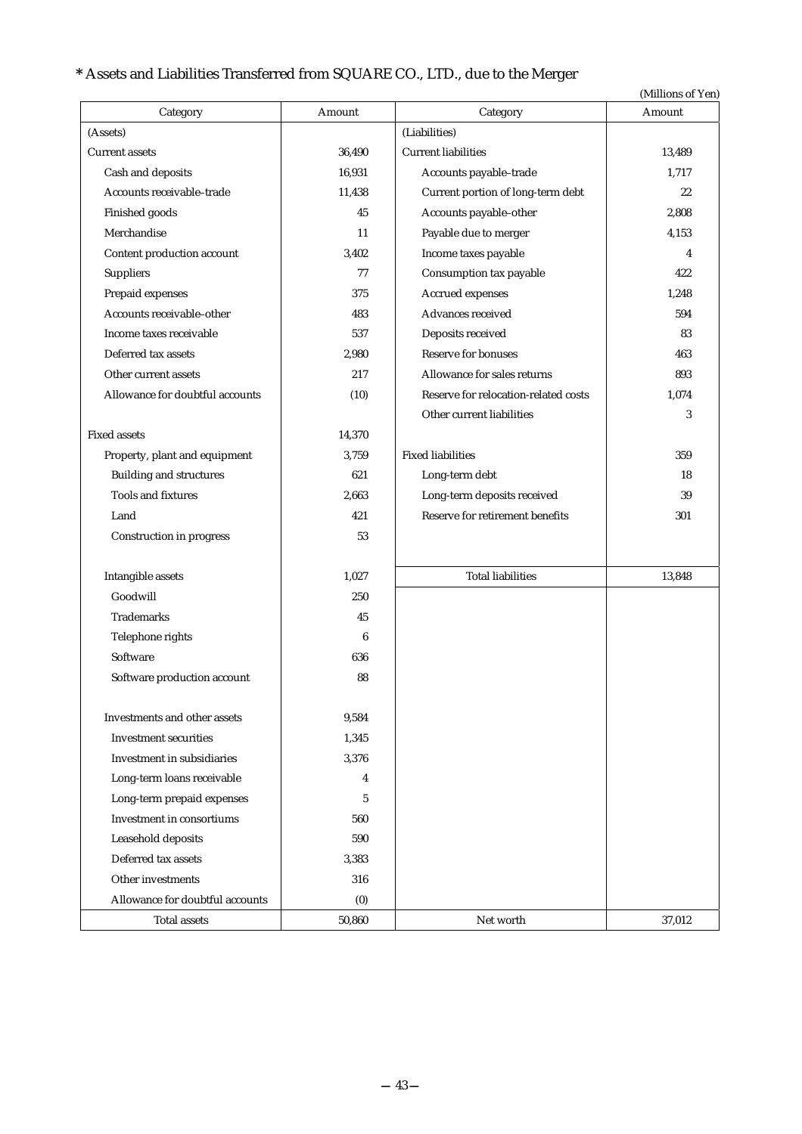# **\*** Assets and Liabilities Transferred from SQUARE CO., LTD., due to the Merger

|                                 |        |                                      | (Millions of Yen) |
|---------------------------------|--------|--------------------------------------|-------------------|
| Category                        | Amount | Category                             | Amount            |
| (Assets)                        |        | (Liabilities)                        |                   |
| <b>Current</b> assets           | 36,490 | <b>Current liabilities</b>           | 13,489            |
| Cash and deposits               | 16,931 | Accounts payable-trade               | 1,717             |
| Accounts receivable-trade       | 11,438 | Current portion of long-term debt    | 22                |
| Finished goods                  | 45     | Accounts payable-other               | 2,808             |
| Merchandise                     | 11     | Payable due to merger                | 4,153             |
| Content production account      | 3,402  | Income taxes payable                 | 4                 |
| Suppliers                       | 77     | Consumption tax payable              | 422               |
| Prepaid expenses                | 375    | Accrued expenses                     | 1,248             |
| Accounts receivable-other       | 483    | Advances received                    | 594               |
| Income taxes receivable         | 537    | Deposits received                    | 83                |
| Deferred tax assets             | 2,980  | Reserve for bonuses                  | 463               |
| Other current assets            | 217    | Allowance for sales returns          | 893               |
| Allowance for doubtful accounts | (10)   | Reserve for relocation-related costs | 1,074             |
|                                 |        | Other current liabilities            | 3                 |
| <b>Fixed assets</b>             | 14,370 |                                      |                   |
| Property, plant and equipment   | 3,759  | <b>Fixed liabilities</b>             | 359               |
| <b>Building and structures</b>  | 621    | Long-term debt                       | 18                |
| <b>Tools and fixtures</b>       | 2,663  | Long-term deposits received          | 39                |
| Land                            | 421    | Reserve for retirement benefits      | 301               |
| Construction in progress        | 53     |                                      |                   |
| Intangible assets               | 1,027  | <b>Total liabilities</b>             | 13,848            |
| Goodwill                        | 250    |                                      |                   |
| <b>Trademarks</b>               | 45     |                                      |                   |
| Telephone rights                | 6      |                                      |                   |
| Software                        | 636    |                                      |                   |
| Software production account     | 88     |                                      |                   |
| Investments and other assets    | 9,584  |                                      |                   |
| <b>Investment securities</b>    | 1,345  |                                      |                   |
| Investment in subsidiaries      | 3,376  |                                      |                   |
| Long-term loans receivable      | 4      |                                      |                   |
| Long-term prepaid expenses      | 5      |                                      |                   |
| Investment in consortiums       | 560    |                                      |                   |
| Leasehold deposits              | 590    |                                      |                   |
| Deferred tax assets             | 3,383  |                                      |                   |
| Other investments               | 316    |                                      |                   |
| Allowance for doubtful accounts | (0)    |                                      |                   |
| <b>Total assets</b>             | 50,860 | Net worth                            | 37,012            |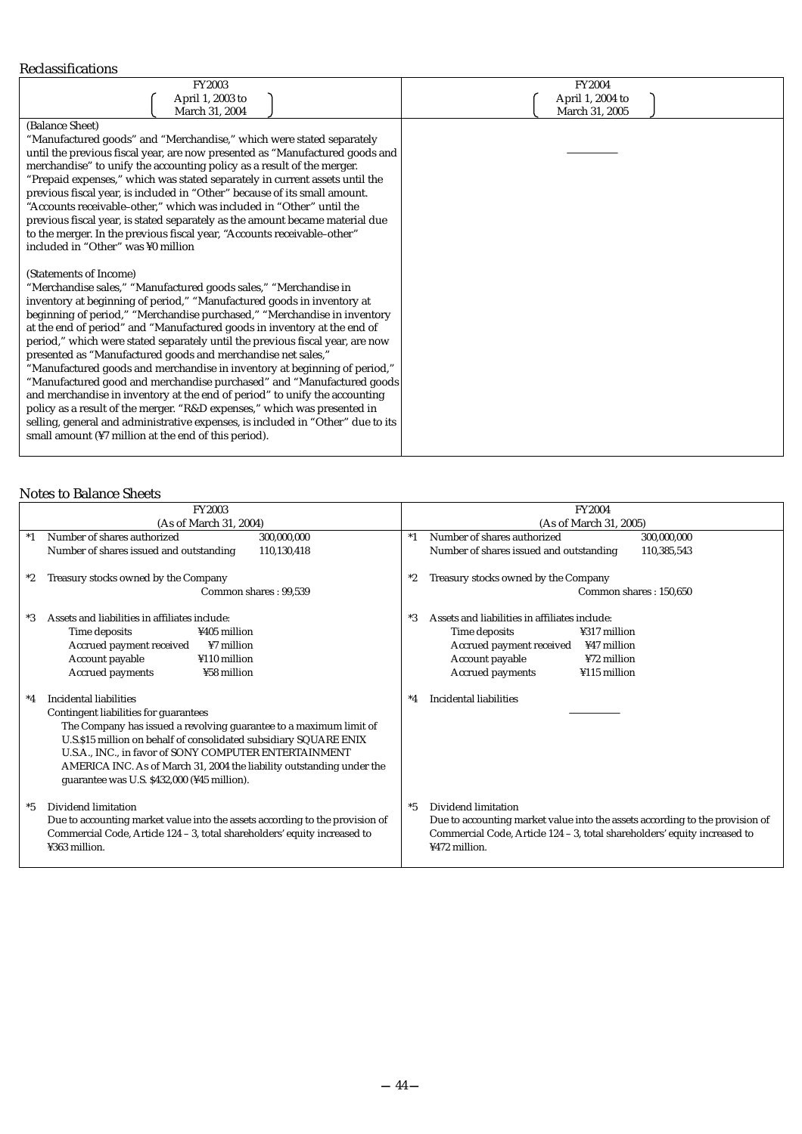## Reclassifications

| rechabbilitations                                                                                                                                                                                                                                                                                                                                                                                                                                                                                                                                                                                                                                                                                                                                                                                                                                                                                                                        |                                    |
|------------------------------------------------------------------------------------------------------------------------------------------------------------------------------------------------------------------------------------------------------------------------------------------------------------------------------------------------------------------------------------------------------------------------------------------------------------------------------------------------------------------------------------------------------------------------------------------------------------------------------------------------------------------------------------------------------------------------------------------------------------------------------------------------------------------------------------------------------------------------------------------------------------------------------------------|------------------------------------|
| <b>FY2003</b>                                                                                                                                                                                                                                                                                                                                                                                                                                                                                                                                                                                                                                                                                                                                                                                                                                                                                                                            | <b>FY2004</b>                      |
| April 1, 2003 to<br>March 31, 2004                                                                                                                                                                                                                                                                                                                                                                                                                                                                                                                                                                                                                                                                                                                                                                                                                                                                                                       | April 1, 2004 to<br>March 31, 2005 |
| (Balance Sheet)<br>"Manufactured goods" and "Merchandise," which were stated separately<br>until the previous fiscal year, are now presented as "Manufactured goods and<br>merchandise" to unify the accounting policy as a result of the merger.<br>"Prepaid expenses," which was stated separately in current assets until the<br>previous fiscal year, is included in "Other" because of its small amount.<br>"Accounts receivable-other," which was included in "Other" until the<br>previous fiscal year, is stated separately as the amount became material due<br>to the merger. In the previous fiscal year, "Accounts receivable-other"<br>included in "Other" was ¥0 million                                                                                                                                                                                                                                                   |                                    |
| (Statements of Income)<br>"Merchandise sales," "Manufactured goods sales," "Merchandise in<br>inventory at beginning of period," "Manufactured goods in inventory at<br>beginning of period," "Merchandise purchased," "Merchandise in inventory<br>at the end of period" and "Manufactured goods in inventory at the end of<br>period," which were stated separately until the previous fiscal year, are now<br>presented as "Manufactured goods and merchandise net sales,"<br>"Manufactured goods and merchandise in inventory at beginning of period,"<br>"Manufactured good and merchandise purchased" and "Manufactured goods<br>and merchandise in inventory at the end of period" to unify the accounting<br>policy as a result of the merger. "R&D expenses," which was presented in<br>selling, general and administrative expenses, is included in "Other" due to its<br>small amount (¥7 million at the end of this period). |                                    |

### Notes to Balance Sheets

| <b>FY2003</b>                                                                                                                                                                                                                                                                                                                                                                                     | <b>FY2004</b>                                                                                                                                                                                             |  |  |  |  |  |
|---------------------------------------------------------------------------------------------------------------------------------------------------------------------------------------------------------------------------------------------------------------------------------------------------------------------------------------------------------------------------------------------------|-----------------------------------------------------------------------------------------------------------------------------------------------------------------------------------------------------------|--|--|--|--|--|
| (As of March 31, 2004)                                                                                                                                                                                                                                                                                                                                                                            | (As of March 31, 2005)                                                                                                                                                                                    |  |  |  |  |  |
| Number of shares authorized<br>300,000,000<br>$*1$                                                                                                                                                                                                                                                                                                                                                | Number of shares authorized<br>$*1$<br>300.000.000                                                                                                                                                        |  |  |  |  |  |
| Number of shares issued and outstanding<br>110,130,418                                                                                                                                                                                                                                                                                                                                            | Number of shares issued and outstanding<br>110,385,543                                                                                                                                                    |  |  |  |  |  |
| Treasury stocks owned by the Company<br>*2<br>Common shares: 99.539                                                                                                                                                                                                                                                                                                                               | Treasury stocks owned by the Company<br>$^*2$<br>Common shares: 150.650                                                                                                                                   |  |  |  |  |  |
| Assets and liabilities in affiliates include:<br>$*3$<br>Time deposits<br>¥405 million<br>Accrued payment received<br>¥7 million<br>Account payable<br>¥110 million<br>Accrued payments<br>¥58 million                                                                                                                                                                                            | Assets and liabilities in affiliates include:<br>*3<br>Time deposits<br>¥317 million<br>Accrued payment received<br>¥47 million<br>Account payable<br>¥72 million<br>Accrued payments<br>¥115 million     |  |  |  |  |  |
| Incidental liabilities<br>*4<br>Contingent liabilities for guarantees<br>The Company has issued a revolving guarantee to a maximum limit of<br>U.S.\$15 million on behalf of consolidated subsidiary SQUARE ENIX<br>U.S.A., INC., in favor of SONY COMPUTER ENTERTAINMENT<br>AMERICA INC. As of March 31, 2004 the liability outstanding under the<br>guarantee was U.S. \$432,000 (¥45 million). | <b>Incidental liabilities</b><br>$*_{4}$                                                                                                                                                                  |  |  |  |  |  |
| Dividend limitation<br>$*5$<br>Due to accounting market value into the assets according to the provision of<br>Commercial Code, Article 124 - 3, total shareholders' equity increased to<br>¥363 million.                                                                                                                                                                                         | Dividend limitation<br>$*5$<br>Due to accounting market value into the assets according to the provision of<br>Commercial Code, Article 124 - 3, total shareholders' equity increased to<br>¥472 million. |  |  |  |  |  |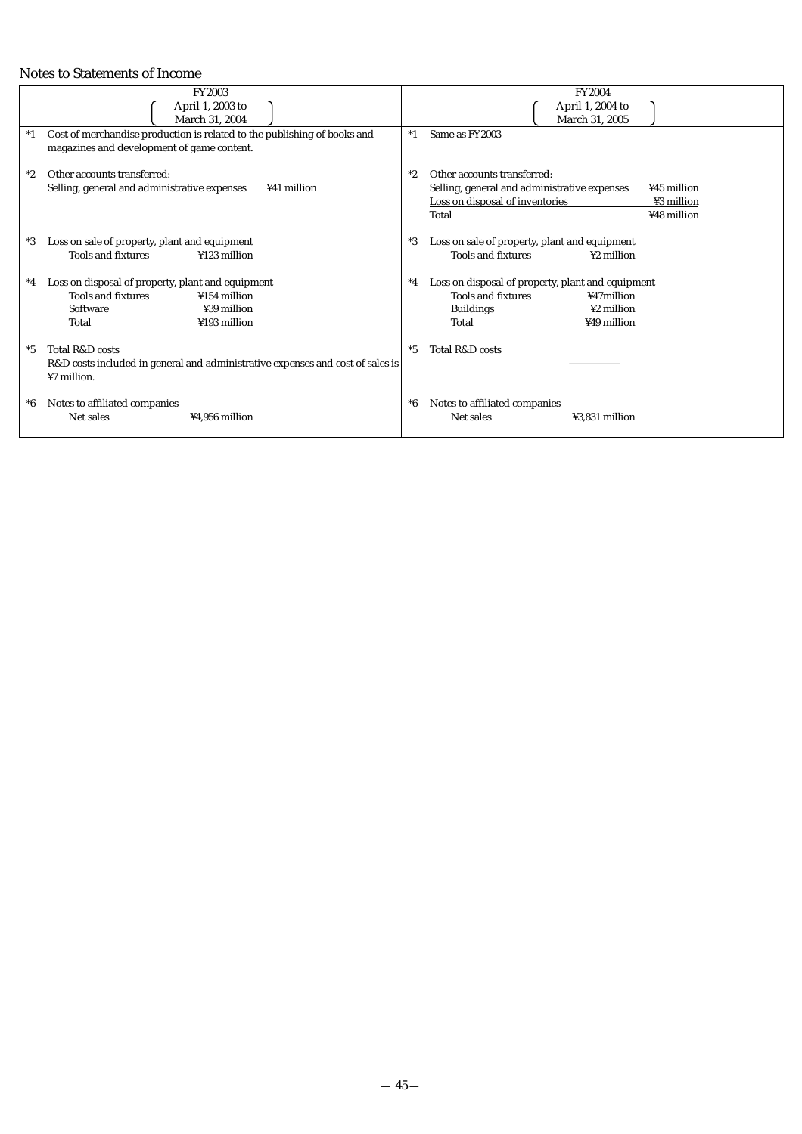### Notes to Statements of Income

|       | <b>FY2003</b>                                                                  |      | <b>FY2004</b>                                     |
|-------|--------------------------------------------------------------------------------|------|---------------------------------------------------|
|       |                                                                                |      |                                                   |
|       | April 1, 2003 to                                                               |      | April 1, 2004 to                                  |
|       | March 31, 2004                                                                 |      | March 31, 2005                                    |
| $^*1$ | Cost of merchandise production is related to the publishing of books and       | $*1$ | Same as FY2003                                    |
|       | magazines and development of game content.                                     |      |                                                   |
|       |                                                                                |      |                                                   |
| $*2$  | Other accounts transferred:                                                    | $*2$ | Other accounts transferred:                       |
|       | ¥41 million                                                                    |      | ¥45 million                                       |
|       | Selling, general and administrative expenses                                   |      | Selling, general and administrative expenses      |
|       |                                                                                |      | Loss on disposal of inventories<br>¥3 million     |
|       |                                                                                |      | ¥48 million<br>Total                              |
|       |                                                                                |      |                                                   |
| *3    | Loss on sale of property, plant and equipment                                  | *3   | Loss on sale of property, plant and equipment     |
|       | <b>Tools and fixtures</b><br>¥123 million                                      |      | <b>Tools and fixtures</b><br>¥2 million           |
|       |                                                                                |      |                                                   |
| $^*4$ | Loss on disposal of property, plant and equipment                              | *4   | Loss on disposal of property, plant and equipment |
|       | <b>Tools and fixtures</b><br>¥154 million                                      |      | <b>Tools and fixtures</b><br>¥47million           |
|       | ¥39 million                                                                    |      | <b>Buildings</b><br>¥2 million                    |
|       | <b>Software</b>                                                                |      |                                                   |
|       | Total<br>¥193 million                                                          |      | ¥49 million<br>Total                              |
|       |                                                                                |      |                                                   |
| $*5$  | Total R&D costs                                                                | *5   | Total R&D costs                                   |
|       | R&D costs included in general and administrative expenses and cost of sales is |      |                                                   |
|       | ¥7 million.                                                                    |      |                                                   |
|       |                                                                                |      |                                                   |
| $^*6$ | Notes to affiliated companies                                                  | *6   | Notes to affiliated companies                     |
|       | Net sales<br>¥4.956 million                                                    |      | Net sales<br>¥3.831 million                       |
|       |                                                                                |      |                                                   |
|       |                                                                                |      |                                                   |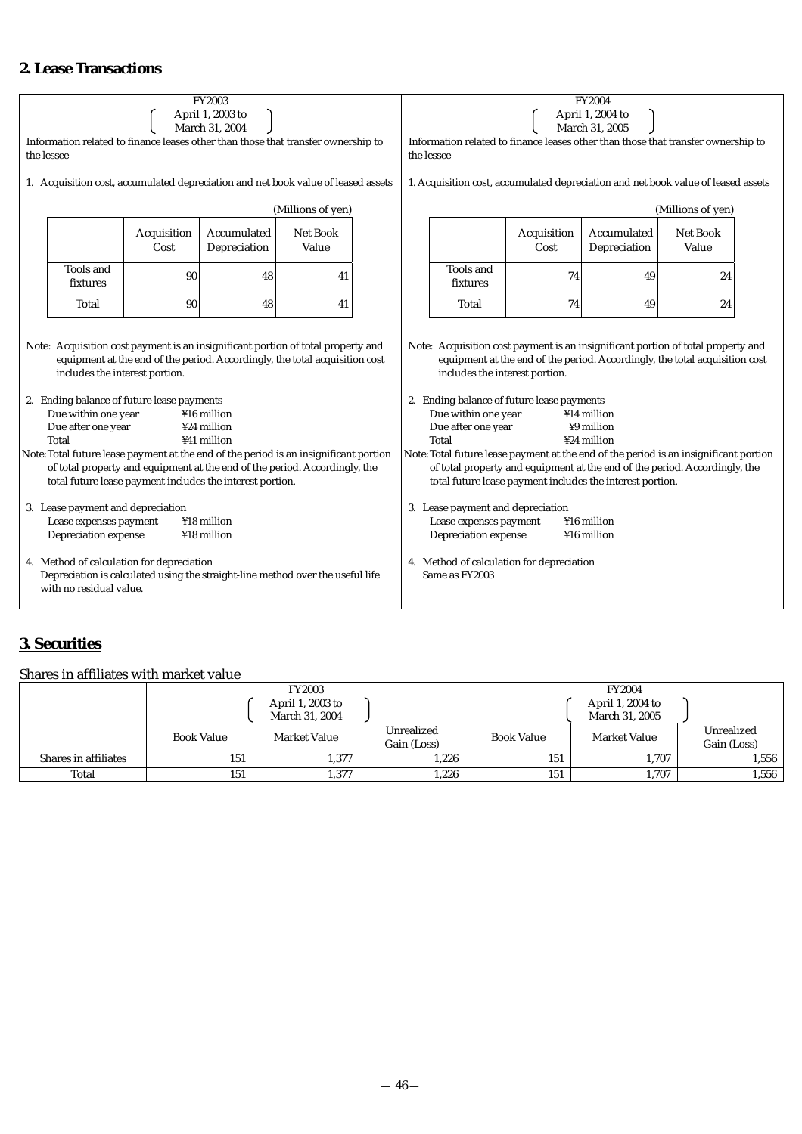# **2. Lease Transactions**

|                                                                                                                                                                                                                                                                                                                                                                                                                                                                                                                                                                                                                                                                                                                                                                                                                                                                                                                                                                                                                                                                                                                                                                                                                                                                                                                                                                                                                                                                                                                                                                                                                                                    |                       |             | FY2003                                                                            |                   |  |                                                                                   |                       |             | <b>FY2004</b>                                                                     |                   |  |
|----------------------------------------------------------------------------------------------------------------------------------------------------------------------------------------------------------------------------------------------------------------------------------------------------------------------------------------------------------------------------------------------------------------------------------------------------------------------------------------------------------------------------------------------------------------------------------------------------------------------------------------------------------------------------------------------------------------------------------------------------------------------------------------------------------------------------------------------------------------------------------------------------------------------------------------------------------------------------------------------------------------------------------------------------------------------------------------------------------------------------------------------------------------------------------------------------------------------------------------------------------------------------------------------------------------------------------------------------------------------------------------------------------------------------------------------------------------------------------------------------------------------------------------------------------------------------------------------------------------------------------------------------|-----------------------|-------------|-----------------------------------------------------------------------------------|-------------------|--|-----------------------------------------------------------------------------------|-----------------------|-------------|-----------------------------------------------------------------------------------|-------------------|--|
|                                                                                                                                                                                                                                                                                                                                                                                                                                                                                                                                                                                                                                                                                                                                                                                                                                                                                                                                                                                                                                                                                                                                                                                                                                                                                                                                                                                                                                                                                                                                                                                                                                                    |                       |             | April 1, 2003 to                                                                  |                   |  |                                                                                   |                       |             | April 1, 2004 to                                                                  |                   |  |
|                                                                                                                                                                                                                                                                                                                                                                                                                                                                                                                                                                                                                                                                                                                                                                                                                                                                                                                                                                                                                                                                                                                                                                                                                                                                                                                                                                                                                                                                                                                                                                                                                                                    |                       |             | March 31, 2004                                                                    |                   |  |                                                                                   |                       |             | March 31, 2005                                                                    |                   |  |
|                                                                                                                                                                                                                                                                                                                                                                                                                                                                                                                                                                                                                                                                                                                                                                                                                                                                                                                                                                                                                                                                                                                                                                                                                                                                                                                                                                                                                                                                                                                                                                                                                                                    |                       |             | Information related to finance leases other than those that transfer ownership to |                   |  |                                                                                   |                       |             | Information related to finance leases other than those that transfer ownership to |                   |  |
| the lessee                                                                                                                                                                                                                                                                                                                                                                                                                                                                                                                                                                                                                                                                                                                                                                                                                                                                                                                                                                                                                                                                                                                                                                                                                                                                                                                                                                                                                                                                                                                                                                                                                                         |                       |             |                                                                                   |                   |  | the lessee                                                                        |                       |             |                                                                                   |                   |  |
| 1. Acquisition cost, accumulated depreciation and net book value of leased assets                                                                                                                                                                                                                                                                                                                                                                                                                                                                                                                                                                                                                                                                                                                                                                                                                                                                                                                                                                                                                                                                                                                                                                                                                                                                                                                                                                                                                                                                                                                                                                  |                       |             |                                                                                   |                   |  | 1. Acquisition cost, accumulated depreciation and net book value of leased assets |                       |             |                                                                                   |                   |  |
|                                                                                                                                                                                                                                                                                                                                                                                                                                                                                                                                                                                                                                                                                                                                                                                                                                                                                                                                                                                                                                                                                                                                                                                                                                                                                                                                                                                                                                                                                                                                                                                                                                                    |                       |             |                                                                                   | (Millions of yen) |  |                                                                                   |                       |             |                                                                                   | (Millions of yen) |  |
|                                                                                                                                                                                                                                                                                                                                                                                                                                                                                                                                                                                                                                                                                                                                                                                                                                                                                                                                                                                                                                                                                                                                                                                                                                                                                                                                                                                                                                                                                                                                                                                                                                                    |                       | Acquisition | Accumulated                                                                       | Net Book          |  |                                                                                   |                       | Acquisition | Accumulated                                                                       | Net Book          |  |
|                                                                                                                                                                                                                                                                                                                                                                                                                                                                                                                                                                                                                                                                                                                                                                                                                                                                                                                                                                                                                                                                                                                                                                                                                                                                                                                                                                                                                                                                                                                                                                                                                                                    |                       | Cost        | Depreciation                                                                      | Value             |  |                                                                                   |                       | Cost        | Depreciation                                                                      | Value             |  |
|                                                                                                                                                                                                                                                                                                                                                                                                                                                                                                                                                                                                                                                                                                                                                                                                                                                                                                                                                                                                                                                                                                                                                                                                                                                                                                                                                                                                                                                                                                                                                                                                                                                    |                       |             |                                                                                   |                   |  |                                                                                   |                       |             |                                                                                   |                   |  |
|                                                                                                                                                                                                                                                                                                                                                                                                                                                                                                                                                                                                                                                                                                                                                                                                                                                                                                                                                                                                                                                                                                                                                                                                                                                                                                                                                                                                                                                                                                                                                                                                                                                    | Tools and<br>fixtures | 90          | 48                                                                                | 41                |  |                                                                                   | Tools and<br>fixtures | 74          | 49                                                                                | 24                |  |
|                                                                                                                                                                                                                                                                                                                                                                                                                                                                                                                                                                                                                                                                                                                                                                                                                                                                                                                                                                                                                                                                                                                                                                                                                                                                                                                                                                                                                                                                                                                                                                                                                                                    | Total                 | 90          | 48                                                                                | 41                |  |                                                                                   | Total                 | 74          | 49                                                                                | 24                |  |
| Note: Acquisition cost payment is an insignificant portion of total property and<br>Note: Acquisition cost payment is an insignificant portion of total property and<br>equipment at the end of the period. Accordingly, the total acquisition cost<br>equipment at the end of the period. Accordingly, the total acquisition cost<br>includes the interest portion.<br>includes the interest portion.<br>2. Ending balance of future lease payments<br>2. Ending balance of future lease payments<br>Due within one year<br>Due within one year<br>¥14 million<br>¥16 million<br>Due after one year<br>Due after one year<br>¥24 million<br>¥9 million<br>¥41 million<br>¥24 million<br>Total<br>Total<br>Note: Total future lease payment at the end of the period is an insignificant portion<br>Note: Total future lease payment at the end of the period is an insignificant portion<br>of total property and equipment at the end of the period. Accordingly, the<br>of total property and equipment at the end of the period. Accordingly, the<br>total future lease payment includes the interest portion.<br>total future lease payment includes the interest portion.<br>3. Lease payment and depreciation<br>3. Lease payment and depreciation<br>¥18 million<br>¥16 million<br>Lease expenses payment<br>Lease expenses payment<br>Depreciation expense<br>Depreciation expense<br>¥18 million<br>¥16 million<br>4. Method of calculation for depreciation<br>4. Method of calculation for depreciation<br>Depreciation is calculated using the straight-line method over the useful life<br>Same as FY2003<br>with no residual value. |                       |             |                                                                                   |                   |  |                                                                                   |                       |             |                                                                                   |                   |  |

# **3. Securities**

### Shares in affiliates with market value

|                      |                   | <b>FY2003</b>    |                           | <b>FY2004</b>     |                     |                           |  |
|----------------------|-------------------|------------------|---------------------------|-------------------|---------------------|---------------------------|--|
|                      |                   | April 1, 2003 to |                           |                   | April 1, 2004 to    |                           |  |
|                      |                   | March 31, 2004   |                           |                   | March 31, 2005      |                           |  |
|                      | <b>Book Value</b> | Market Value     | Unrealized<br>Gain (Loss) | <b>Book Value</b> | <b>Market Value</b> | Unrealized<br>Gain (Loss) |  |
| Shares in affiliates | 151               | 1,377            | 1,226                     | 151               | 1.707               | 1,556                     |  |
| Total                | 151               | 1,377            | 1,226                     | 151               | 1,707               | 1,556                     |  |